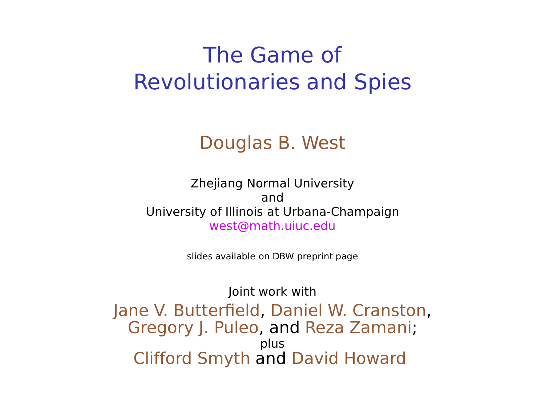## The Game of Revolutionaries and Spies

#### Douglas B. West

Zhejiang Normal University and University of Illinois at Urbana-Champaign west@math.uiuc.edu

slides available on DBW preprint page

Joint work with Jane V. Butterfield, Daniel W. Cranston, Gregory J. Puleo, and Reza Zamani; plus Clifford Smyth and David Howard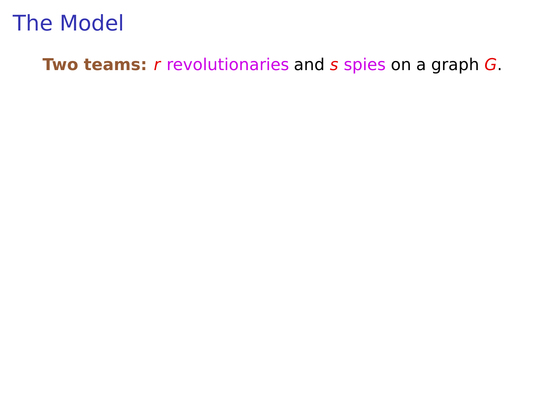**Two teams:** r revolutionaries and s spies on a graph G.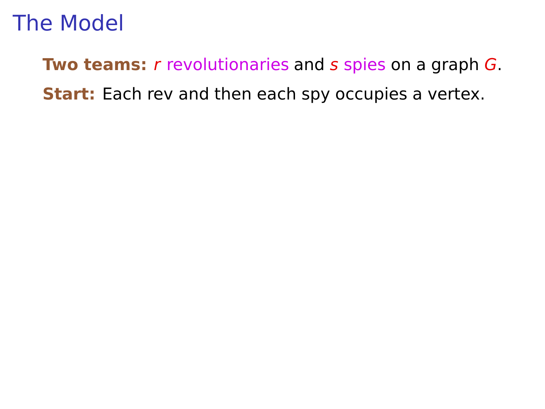**Two teams:** r revolutionaries and s spies on a graph G. **Start:** Each rev and then each spy occupies a vertex.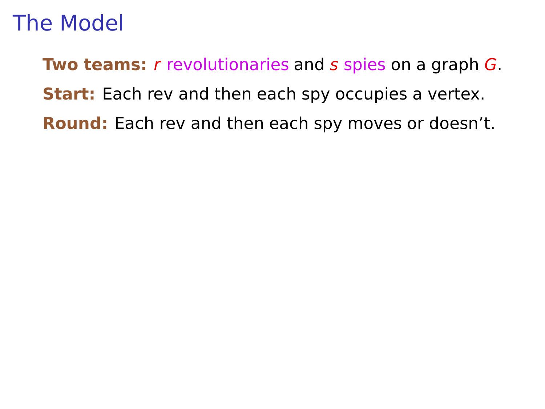**Two teams:** r revolutionaries and s spies on a graph G. **Start:** Each rev and then each spy occupies a vertex. **Round:** Each rev and then each spy moves or doesn't.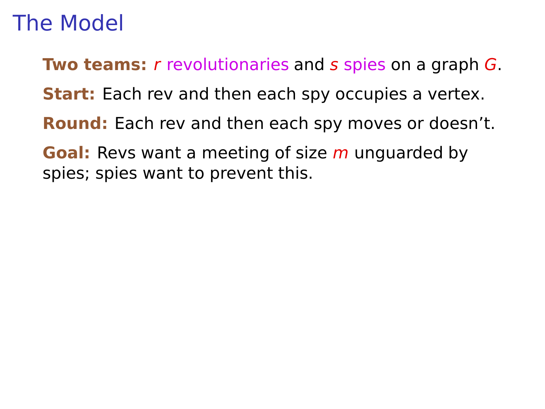**Two teams:** r revolutionaries and s spies on a graph G.

**Start:** Each rev and then each spy occupies a vertex.

- **Round:** Each rev and then each spy moves or doesn't.
- **Goal:** Revs want a meeting of size m unguarded by spies; spies want to prevent this.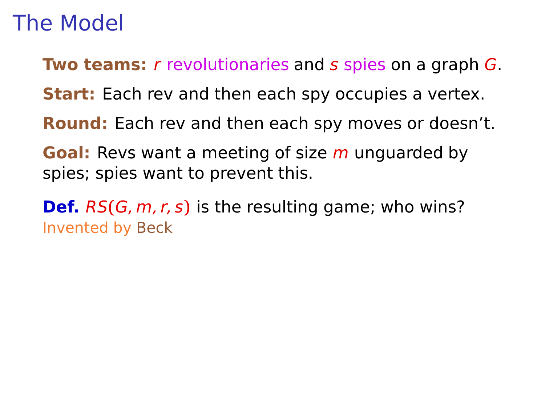**Two teams:** r revolutionaries and s spies on a graph G.

**Start:** Each rev and then each spy occupies a vertex.

**Round:** Each rev and then each spy moves or doesn't.

**Goal:** Revs want a meeting of size m unguarded by spies; spies want to prevent this.

**Def.** RS**(**G, m, r, s**)** is the resulting game; who wins? Invented by Beck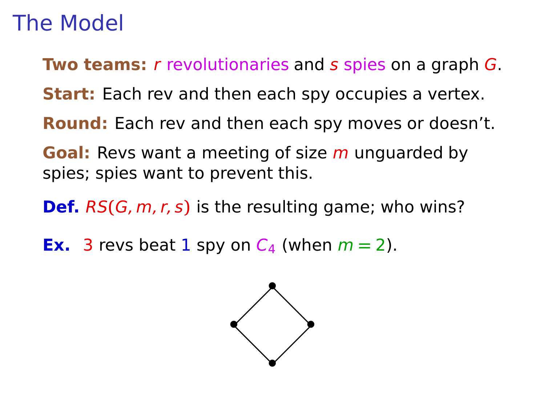**Two teams:** r revolutionaries and s spies on a graph G.

**Start:** Each rev and then each spy occupies a vertex.

**Round:** Each rev and then each spy moves or doesn't.

**Goal:** Revs want a meeting of size m unguarded by spies; spies want to prevent this.

**Def.** RS**(**G, m, r, s**)** is the resulting game; who wins?

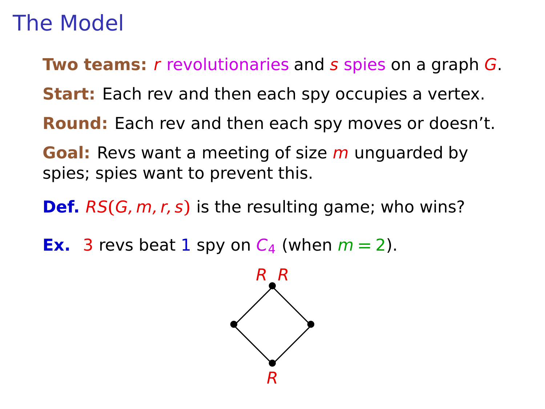**Two teams:** r revolutionaries and s spies on a graph G.

**Start:** Each rev and then each spy occupies a vertex.

**Round:** Each rev and then each spy moves or doesn't.

**Goal:** Revs want a meeting of size m unguarded by spies; spies want to prevent this.

**Def.** RS**(**G, m, r, s**)** is the resulting game; who wins?

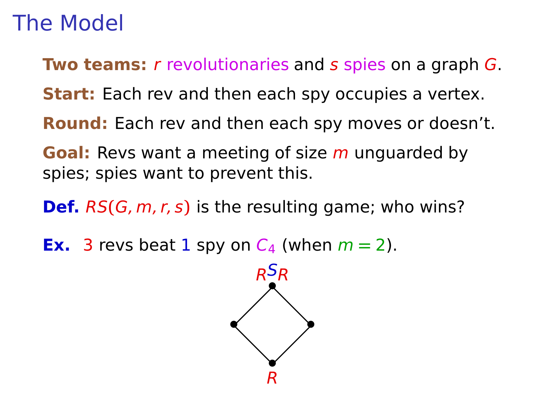**Two teams:** r revolutionaries and s spies on a graph G.

**Start:** Each rev and then each spy occupies a vertex.

**Round:** Each rev and then each spy moves or doesn't.

**Goal:** Revs want a meeting of size m unguarded by spies; spies want to prevent this.

**Def.** RS**(**G, m, r, s**)** is the resulting game; who wins?

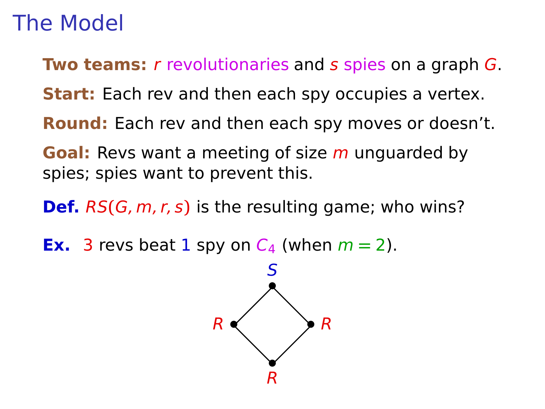**Two teams:** r revolutionaries and s spies on a graph G.

**Start:** Each rev and then each spy occupies a vertex.

**Round:** Each rev and then each spy moves or doesn't.

**Goal:** Revs want a meeting of size m unguarded by spies; spies want to prevent this.

**Def.** RS**(**G, m, r, s**)** is the resulting game; who wins?

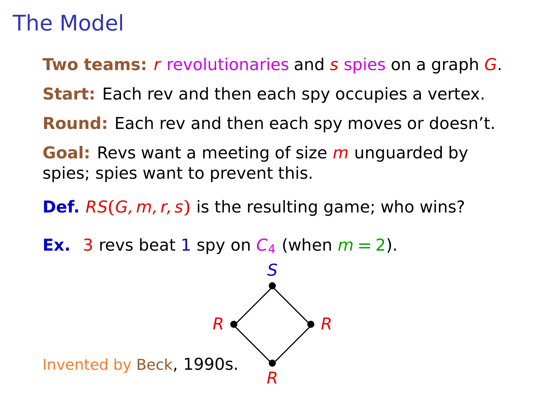**Two teams:** r revolutionaries and s spies on a graph G.

**Start:** Each rev and then each spy occupies a vertex.

**Round:** Each rev and then each spy moves or doesn't.

**Goal:** Revs want a meeting of size m unguarded by spies; spies want to prevent this.

**Def.** RS**(**G, m, r, s**)** is the resulting game; who wins?

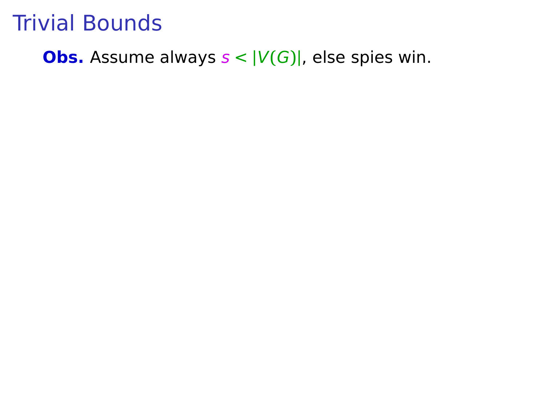#### **Obs.** Assume always  $s < |V(G)|$ , else spies win.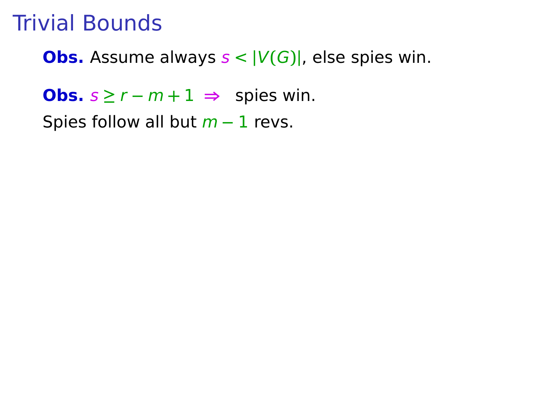**Obs.** Assume always  $s < |V(G)|$ , else spies win.

**Obs.**  $s \ge r - m + 1$  ⇒ spies win.

Spies follow all but m **−** 1 revs.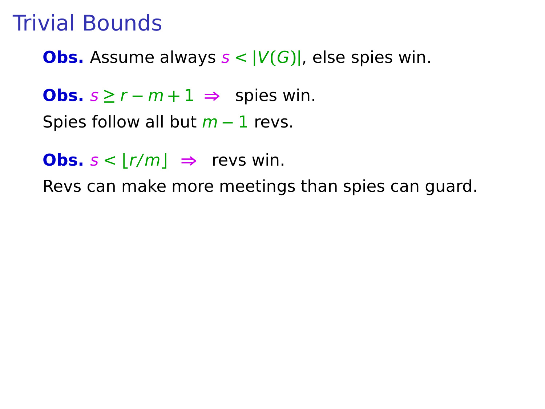**Obs.** Assume always  $s < |V(G)|$ , else spies win.

**Obs.**  $s \ge r - m + 1 \implies$  spies win.

Spies follow all but m **−** 1 revs.

**Obs.**  $s < |r/m| \Rightarrow$  revs win.

Revs can make more meetings than spies can guard.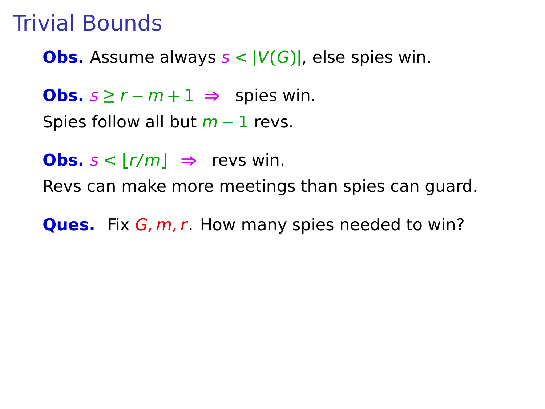**Obs.** Assume always  $s < |V(G)|$ , else spies win.

**Obs.**  $s \ge r - m + 1$  ⇒ spies win.

Spies follow all but m **−** 1 revs.

**Obs.**  $s < |r/m| \implies$  revs win.

Revs can make more meetings than spies can guard.

**Ques.** Fix G, m, r. How many spies needed to win?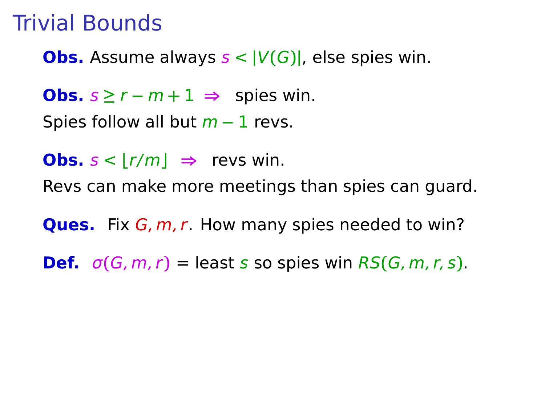**Obs.** Assume always  $s < |V(G)|$ , else spies win.

**Obs.**  $s \ge r - m + 1 \implies$  spies win.

Spies follow all but m **−** 1 revs.

**Obs.**  $s < |r/m| \implies$  revs win.

Revs can make more meetings than spies can guard.

**Ques.** Fix G, m, r. How many spies needed to win?

**Def.**  $\sigma(G, m, r) =$  least s so spies win  $RS(G, m, r, s)$ .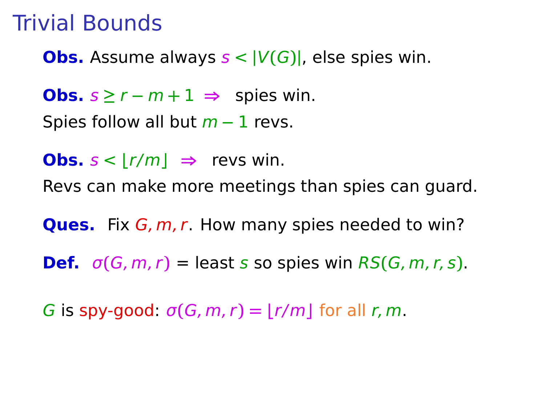**Obs.** Assume always  $s < |V(G)|$ , else spies win.

**Obs.**  $s \ge r - m + 1 \implies$  spies win.

Spies follow all but m **−** 1 revs.

**Obs.**  $s < |r/m| \implies$  revs win.

Revs can make more meetings than spies can guard.

**Ques.** Fix G, m, r. How many spies needed to win?

**Def.**  $\sigma(G, m, r) =$  least s so spies win  $RS(G, m, r, s)$ .

G is spy-good:  $\sigma(G, m, r) = |r/m|$  for all r, m.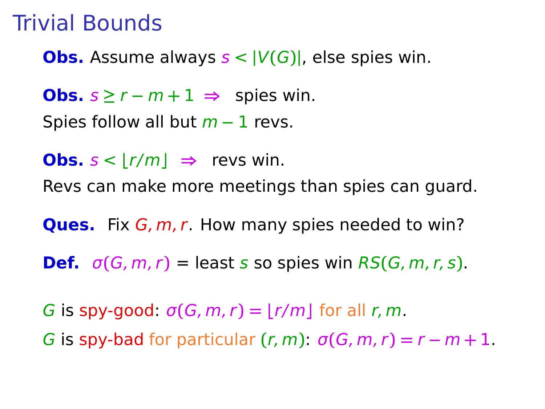**Obs.** Assume always  $s < |V(G)|$ , else spies win.

**Obs.**  $s \ge r - m + 1 \implies$  spies win.

Spies follow all but m **−** 1 revs.

**Obs.**  $s < |r/m| \implies$  revs win.

Revs can make more meetings than spies can guard.

**Ques.** Fix G, m, r. How many spies needed to win?

**Def.**  $\sigma(G, m, r) =$  least s so spies win  $RS(G, m, r, s)$ .

G is spy-good:  $\sigma(G, m, r) = |r/m|$  for all r, m.

G is spy-bad for particular  $(r, m)$ :  $\sigma(G, m, r) = r - m + 1$ .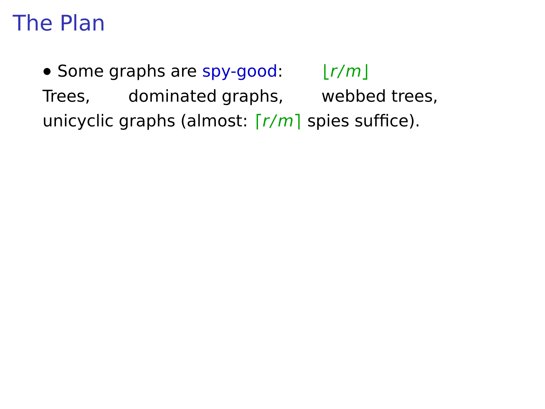• Some graphs are spy-good:  $|r/m|$ 

Trees, dominated graphs, webbed trees, unicyclic graphs (almost:  $\lceil r/m \rceil$  spies suffice).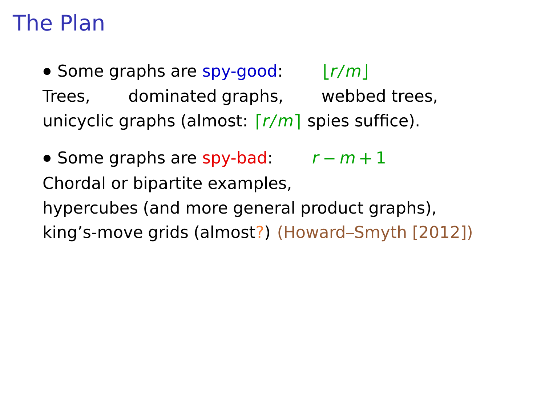• Some graphs are spy-good:  $|r/m|$ Trees, dominated graphs, webbed trees, unicyclic graphs (almost:  $\lceil r/m \rceil$  spies suffice).

**•** Some graphs are spy-bad: r **−** m **+** 1 Chordal or bipartite examples, hypercubes (and more general product graphs), king's-move grids (almost?) (Howard–Smyth [2012])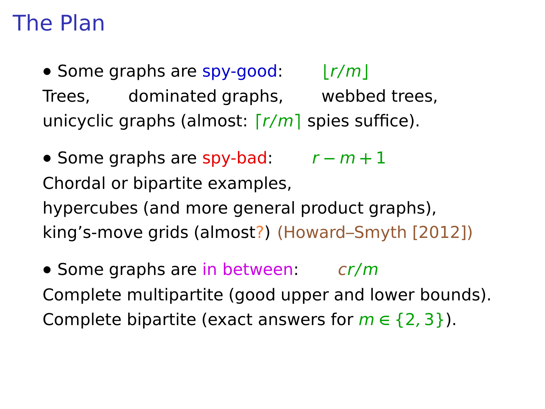• Some graphs are spy-good:  $|r/m|$ Trees, dominated graphs, webbed trees, unicyclic graphs (almost:  $\lceil r/m \rceil$  spies suffice).

**•** Some graphs are spy-bad: r **−** m **+** 1 Chordal or bipartite examples, hypercubes (and more general product graphs), king's-move grids (almost?) (Howard–Smyth [2012])

• Some graphs are in between: cr/m Complete multipartite (good upper and lower bounds). Complete bipartite (exact answers for  $m \in \{2, 3\}$ ).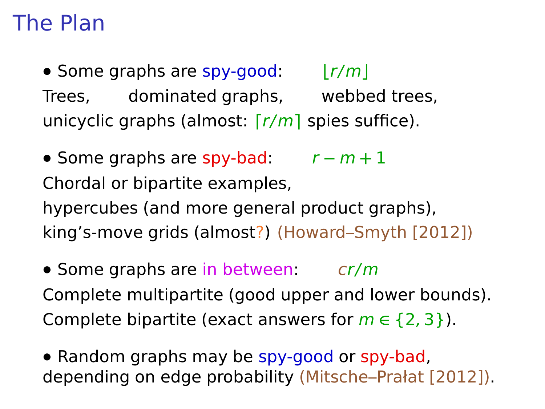• Some graphs are spy-good:  $|r/m|$ Trees, dominated graphs, webbed trees, unicyclic graphs (almost:  $\lceil r/m \rceil$  spies suffice).

**•** Some graphs are spy-bad: r **−** m **+** 1 Chordal or bipartite examples, hypercubes (and more general product graphs), king's-move grids (almost?) (Howard–Smyth [2012])

• Some graphs are in between: cr/m Complete multipartite (good upper and lower bounds). Complete bipartite (exact answers for  $m \in \{2, 3\}$ ).

**•** Random graphs may be spy-good or spy-bad, depending on edge probability (Mitsche–Prałat [2012]).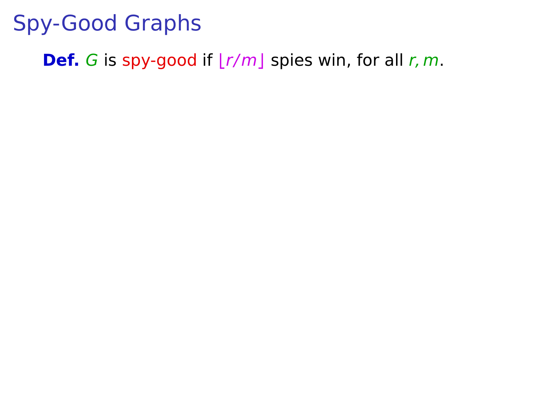**Def.** G is spy-good if  $|r/m|$  spies win, for all r, m.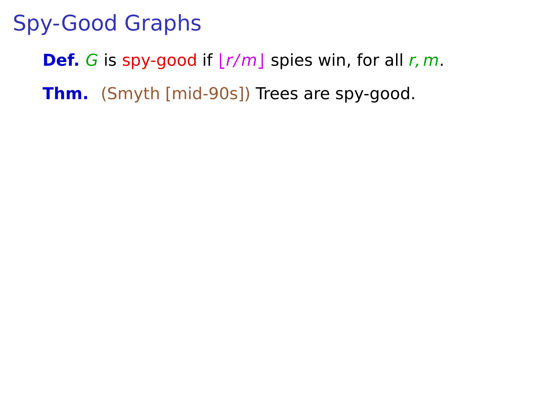**Def.** G is spy-good if  $|r/m|$  spies win, for all r, m.

**Thm.** (Smyth [mid-90s]) Trees are spy-good.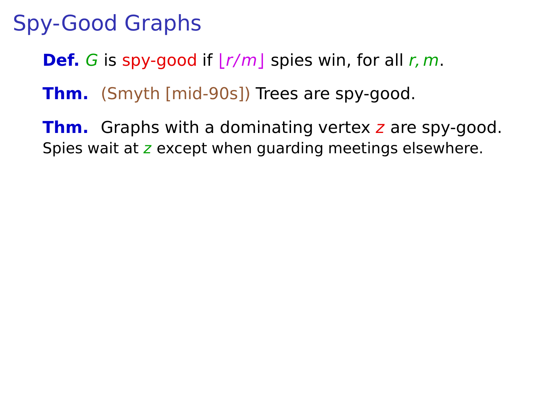**Def.** G is spy-good if  $|r/m|$  spies win, for all r, m.

**Thm.** (Smyth [mid-90s]) Trees are spy-good.

**Thm.** Graphs with a dominating vertex z are spy-good. Spies wait at z except when quarding meetings elsewhere.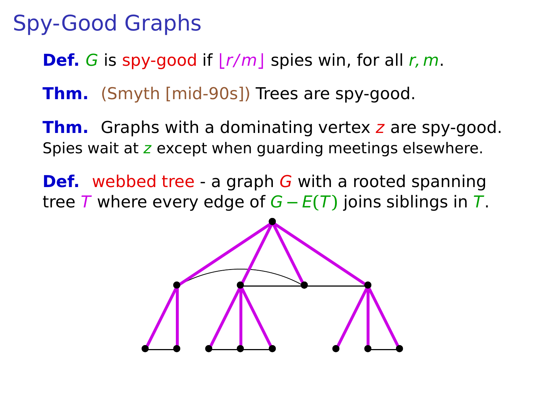**Def.** G is spy-good if  $|r/m|$  spies win, for all r, m.

**Thm.** (Smyth [mid-90s]) Trees are spy-good.

**Thm.** Graphs with a dominating vertex z are spy-good. Spies wait at z except when quarding meetings elsewhere.

**Def.** webbed tree - a graph G with a rooted spanning tree T where every edge of G **−** E**(**T**)** joins siblings in T.

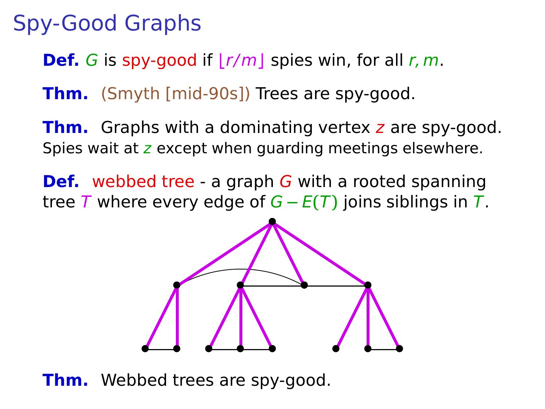**Def.** G is spy-good if  $|r/m|$  spies win, for all r, m.

**Thm.** (Smyth [mid-90s]) Trees are spy-good.

**Thm.** Graphs with a dominating vertex z are spy-good. Spies wait at z except when quarding meetings elsewhere.

**Def.** webbed tree - a graph G with a rooted spanning tree T where every edge of G **−** E**(**T**)** joins siblings in T.



**Thm.** Webbed trees are spy-good.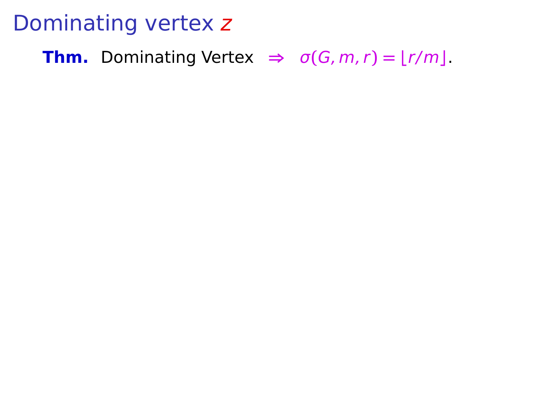**Thm.** Dominating Vertex  $\Rightarrow$   $\sigma(G, m, r) = \lfloor r/m \rfloor$ .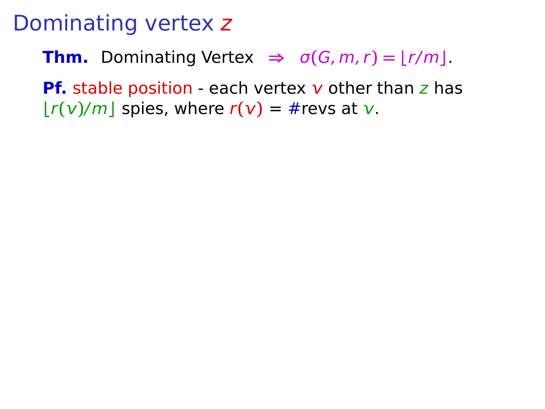**Thm.** Dominating Vertex  $\Rightarrow$   $\sigma(G, m, r) = |r/m|$ .

**Pf.** stable position - each vertex  $\bf{v}$  other than  $\bf{z}$  has  $|r(\nu)/m|$  spies, where  $r(\nu) = #$ revs at  $\nu$ .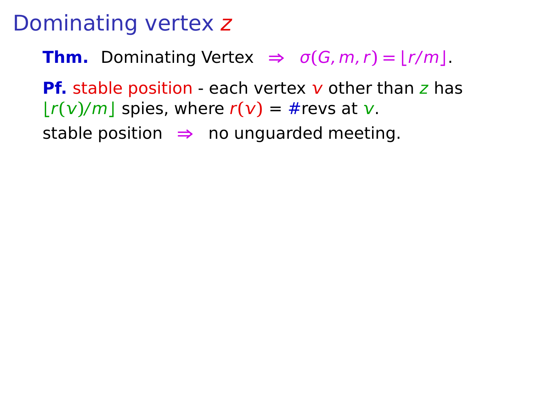**Thm.** Dominating Vertex  $\Rightarrow$   $\sigma(G, m, r) = |r/m|$ .

**Pf.** stable position - each vertex  $\bf{v}$  other than  $\bf{z}$  has  $|r(\nu)/m|$  spies, where  $r(\nu) = #$ revs at  $\nu$ .

stable position **⇒** no unguarded meeting.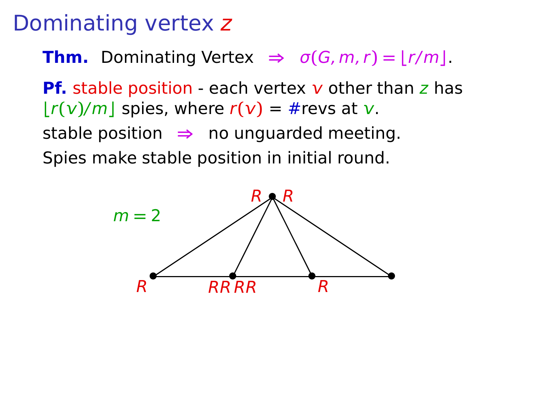**Thm.** Dominating Vertex  $\Rightarrow$   $\sigma(G, m, r) = |r/m|$ .

**Pf.** stable position - each vertex  $\bf{v}$  other than  $\bf{z}$  has  $|r(\nu)/m|$  spies, where  $r(\nu) = #$ revs at  $\nu$ . stable position **⇒** no unguarded meeting. Spies make stable position in initial round.

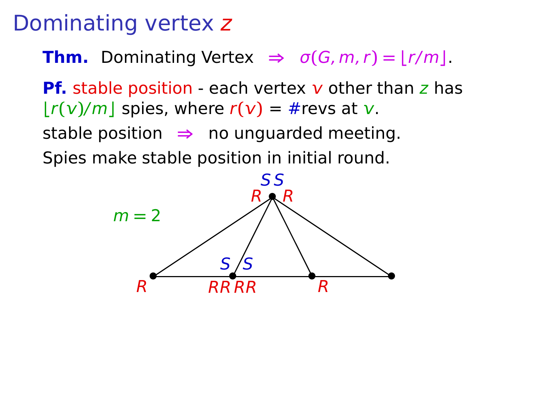**Thm.** Dominating Vertex  $\Rightarrow$   $\sigma(G, m, r) = |r/m|$ .

**Pf.** stable position - each vertex  $\bf{v}$  other than  $\bf{z}$  has  $|r(\nu)/m|$  spies, where  $r(\nu) = #$ revs at  $\nu$ . stable position **⇒** no unguarded meeting.

Spies make stable position in initial round.

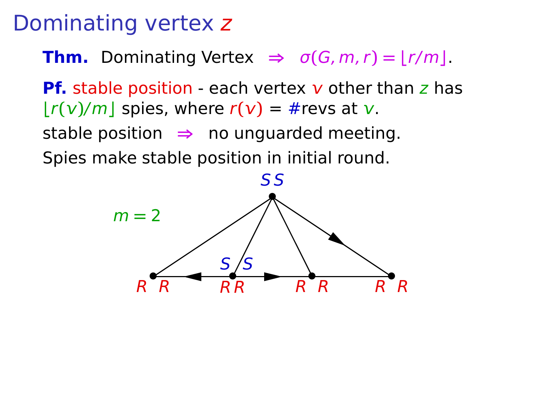**Thm.** Dominating Vertex  $\Rightarrow$   $\sigma(G, m, r) = |r/m|$ .

**Pf.** stable position - each vertex  $\bf{v}$  other than  $\bf{z}$  has  $|r(\nu)/m|$  spies, where  $r(\nu) = #$ revs at  $\nu$ . stable position **⇒** no unguarded meeting. Spies make stable position in initial round.

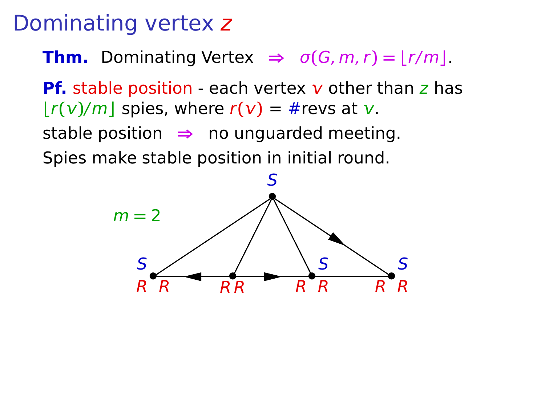**Thm.** Dominating Vertex  $\Rightarrow$   $\sigma(G, m, r) = |r/m|$ .

**Pf.** stable position - each vertex  $\bf{v}$  other than  $\bf{z}$  has  $|r(\nu)/m|$  spies, where  $r(\nu) = #$ revs at  $\nu$ . stable position **⇒** no unguarded meeting. Spies make stable position in initial round.

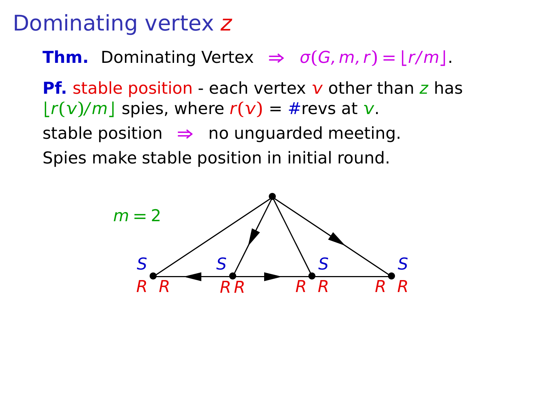**Thm.** Dominating Vertex  $\Rightarrow$   $\sigma(G, m, r) = |r/m|$ .

**Pf.** stable position - each vertex  $\bf{v}$  other than  $\bf{z}$  has  $|r(\nu)/m|$  spies, where  $r(\nu) = #$ revs at  $\nu$ . stable position **⇒** no unguarded meeting.

Spies make stable position in initial round.

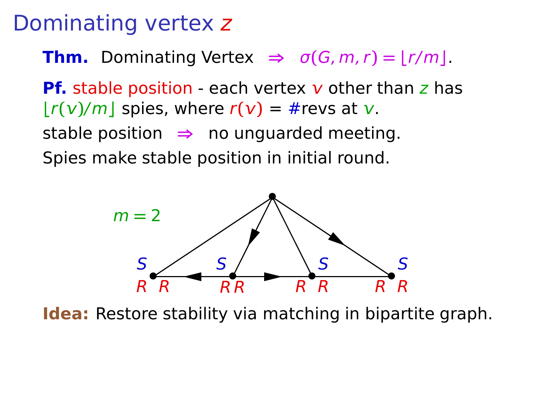**Thm.** Dominating Vertex  $\Rightarrow$   $\sigma(G, m, r) = |r/m|$ .

**Pf.** stable position - each vertex  $\bf{v}$  other than  $\bf{z}$  has  $|r(\nu)/m|$  spies, where  $r(\nu) = #$ revs at  $\nu$ . stable position **⇒** no unguarded meeting.

Spies make stable position in initial round.



**Idea:** Restore stability via matching in bipartite graph.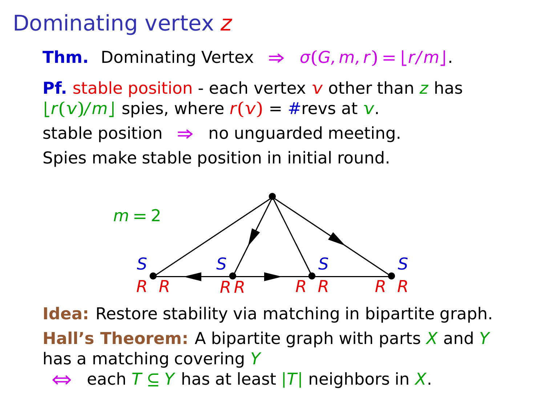#### Dominating vertex z

**Thm.** Dominating Vertex  $\Rightarrow$   $\sigma(G, m, r) = |r/m|$ .

**Pf.** stable position - each vertex  $\bf{v}$  other than  $\bf{z}$  has  $|r(\nu)/m|$  spies, where  $r(\nu) = \text{#}$  revs at  $\nu$ . stable position **⇒** no unguarded meeting.

Spies make stable position in initial round.



**Idea:** Restore stability via matching in bipartite graph.

**Hall's Theorem:** A bipartite graph with parts  $X$  and Y has a matching covering Y

**⇔** each T **⊆** Y has at least **|**T**|** neighbors in X.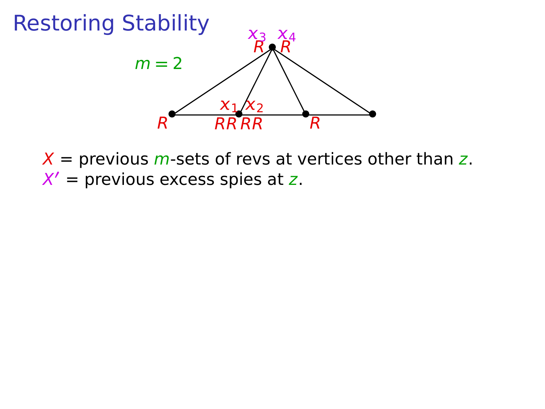

 $X$  = previous *m*-sets of revs at vertices other than z. X **′** = previous excess spies at z.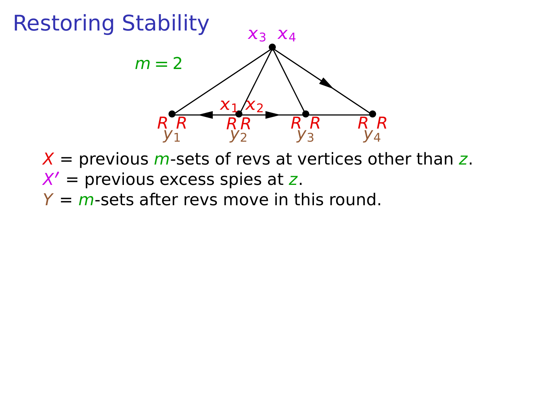$X =$  previous *m*-sets of revs at vertices other than z. X **′** = previous excess spies at z.  $Y = m$ -sets after revs move in this round.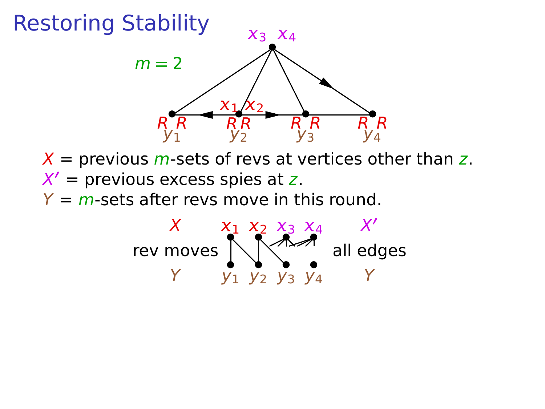$X$  = previous *m*-sets of revs at vertices other than z. X **′** = previous excess spies at z.  $Y = m$ -sets after revs move in this round.

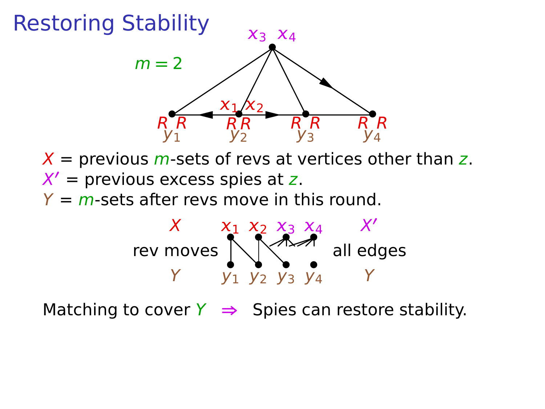$X =$  previous *m*-sets of revs at vertices other than z. X **′** = previous excess spies at z.  $Y = m$ -sets after revs move in this round.



Matching to cover  $Y \Rightarrow$  Spies can restore stability.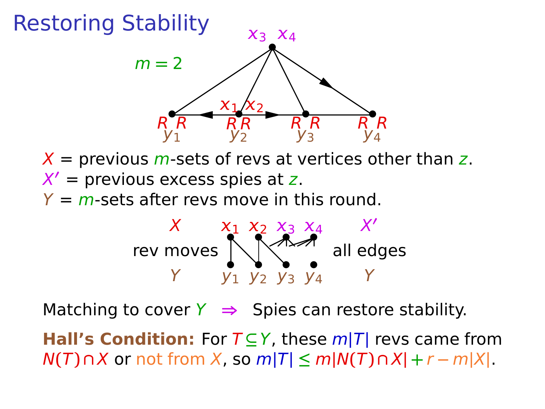$X =$  previous *m*-sets of revs at vertices other than z. X **′** = previous excess spies at z.  $Y = m$ -sets after revs move in this round.



Matching to cover  $Y \Rightarrow$  Spies can restore stability.

**Hall's Condition:** For T **⊆**Y, these m**|**T**|** revs came from  $N(T) \cap X$  or not from X, so  $m|T|$  ≤  $m|N(T) \cap X|$  +  $r - m|X|$ .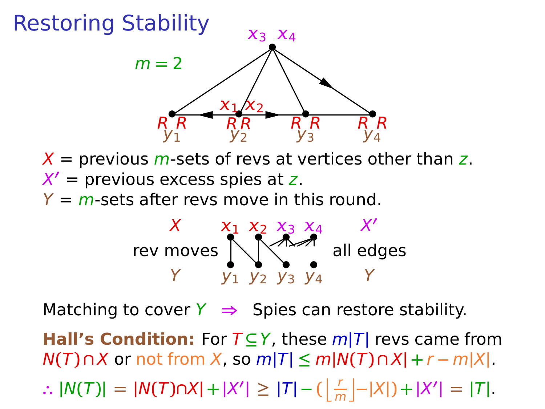$X$  = previous *m*-sets of revs at vertices other than z. X **′** = previous excess spies at z.  $Y = m$ -sets after revs move in this round.



Matching to cover  $Y \Rightarrow$  Spies can restore stability.

**Hall's Condition:** For T **⊆**Y, these m**|**T**|** revs came from  $N(T) \cap X$  or not from X, so  $m|T|$  ≤  $m|N(T) \cap X| + r - m|X|$ .

:.  $|N(T)| = |N(T) \cap X| + |X'| \ge |T| - (\frac{r}{m} - |X|) + |X'| = |T|.$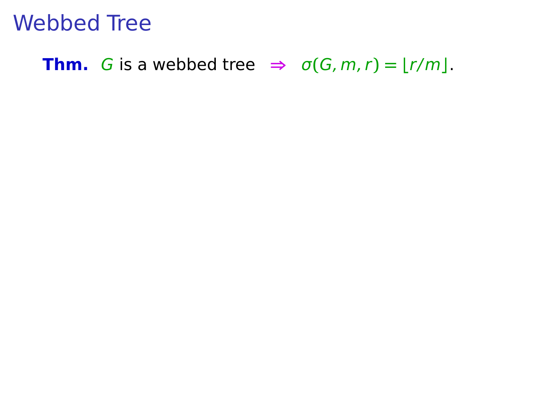#### **Thm.** G is a webbed tree  $\Rightarrow$   $\sigma(G, m, r) = |r/m|$ .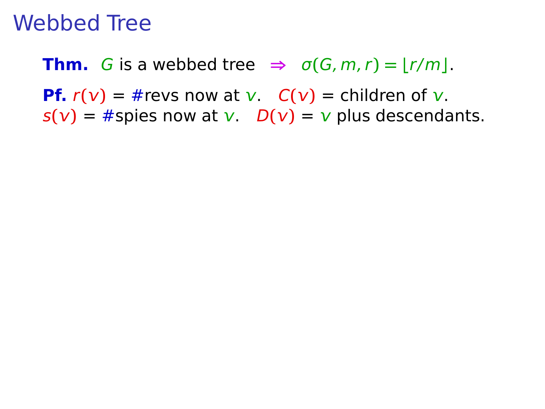**Thm.** G is a webbed tree  $\Rightarrow$   $\sigma(G, m, r) = |r/m|$ . **Pf.**  $r(v) = #revs$  now at  $v$ .  $C(v) =$  children of  $v$ .

 $s(v) = #$ spies now at v.  $D(v) = v$  plus descendants.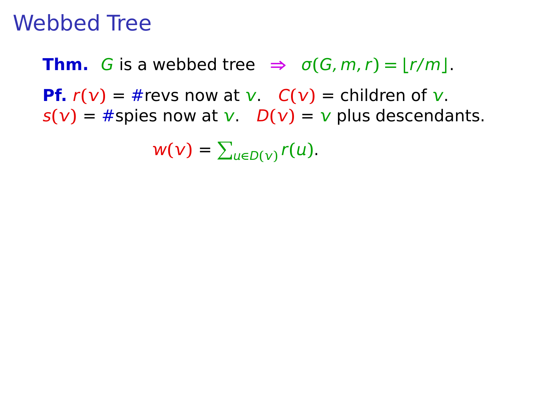**Thm.** G is a webbed tree  $\Rightarrow$   $\sigma(G, m, r) = |r/m|$ . **Pf.**  $r(v) = #revs$  now at v.  $C(v) =$  children of v.  $s(v) = #$ spies now at v.  $D(v) = v$  plus descendants.

 $w(v) = \sum_{u \in D(v)} r(u).$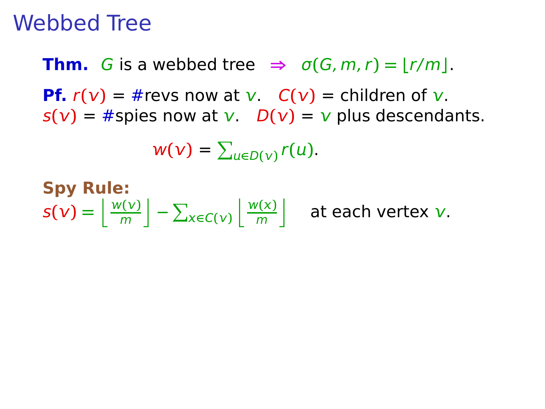**Thm.** G is a webbed tree  $\Rightarrow$   $\sigma(G, m, r) = |r/m|$ . **Pf.**  $r(v) = #revs$  now at  $v$ .  $C(v) =$  children of  $v$ .  $s(v) = #$ spies now at v.  $D(v) = v$  plus descendants.

$$
w(v)=\sum_{u\in D(v)}r(u).
$$

**Spy Rule:**  $s(\nu) = \frac{w(\nu)}{m}$  $\left[\frac{v(v)}{m}\right] - \sum_{x \in C(v)}$  $\mathbf{w}(\mathbf{x})$  $\left[\frac{n(x)}{m}\right]$  at each vertex v.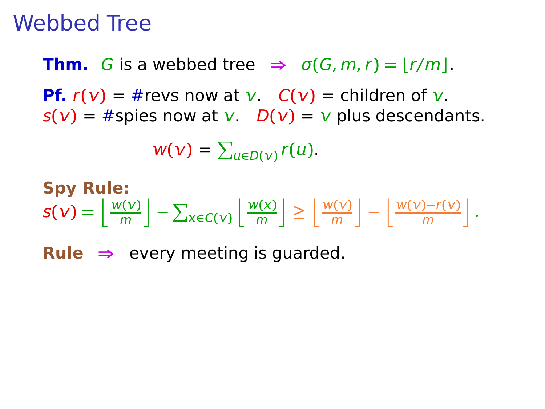**Thm.** G is a webbed tree  $\Rightarrow$   $\sigma(G, m, r) = |r/m|$ . **Pf.**  $r(v) = #revs$  now at  $v$ .  $C(v) =$  children of  $v$ .  $s(v) = #$ spies now at  $v$ .  $D(v) = v$  plus descendants.

$$
w(v)=\sum_{u\in D(v)}r(u).
$$

$$
\text{Spy Rule:} \quad \mathbf{S}(\mathbf{v}) = \left\lfloor \frac{w(\mathbf{v})}{m} \right\rfloor - \sum_{\mathbf{x} \in C(\mathbf{v})} \left\lfloor \frac{w(\mathbf{x})}{m} \right\rfloor \ge \left\lfloor \frac{w(\mathbf{v})}{m} \right\rfloor - \left\lfloor \frac{w(\mathbf{v}) - r(\mathbf{v})}{m} \right\rfloor.
$$

**Rule**  $\Rightarrow$  every meeting is quarded.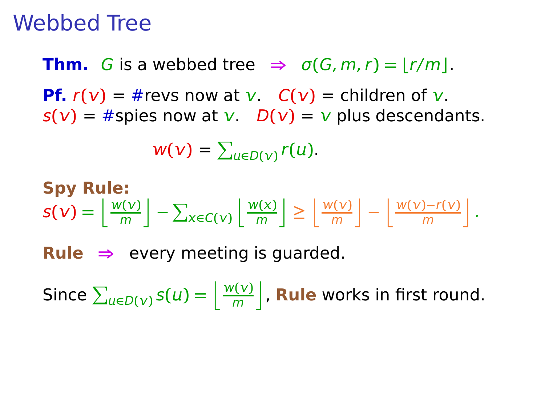**Thm.** G is a webbed tree  $\Rightarrow$   $\sigma(G, m, r) = |r/m|$ . **Pf.**  $r(v) = #revs$  now at v.  $C(v) =$  children of v.  $s(v) = #$ spies now at v.  $D(v) = v$  plus descendants.

$$
w(v)=\sum_{u\in D(v)}r(u).
$$

$$
\text{Spy Rule:} \quad \mathsf{s}(v) = \left\lfloor \frac{w(v)}{m} \right\rfloor - \sum_{x \in C(v)} \left\lfloor \frac{w(x)}{m} \right\rfloor \ge \left\lfloor \frac{w(v)}{m} \right\rfloor - \left\lfloor \frac{w(v) - r(v)}{m} \right\rfloor.
$$

**Rule**  $\Rightarrow$  every meeting is quarded.

Since  $\sum_{u \in D(v)} s(u) = \left\lfloor \frac{w(v)}{m} \right\rfloor$  $\frac{n(\nabla)}{m}$ , **Rule** works in first round.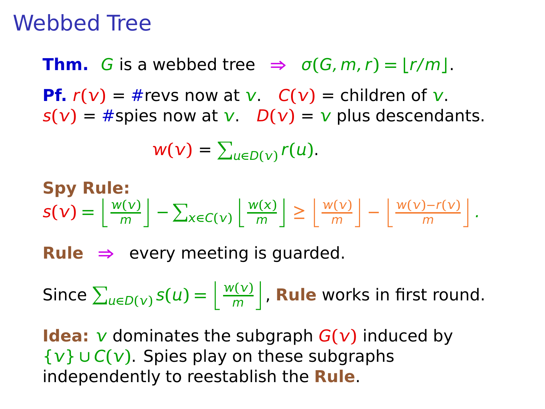**Thm.** G is a webbed tree  $\Rightarrow$   $\sigma(G, m, r) = |r/m|$ . **Pf.**  $r(v) = #revs$  now at v.  $C(v) =$  children of v.  $s(v) = #$ spies now at v.  $D(v) = v$  plus descendants.

$$
w(v)=\sum_{u\in D(v)}r(u).
$$

$$
\text{Spy Rule:} \quad \mathsf{S(v)} = \left\lfloor \frac{w(v)}{m} \right\rfloor - \sum_{x \in C(v)} \left\lfloor \frac{w(x)}{m} \right\rfloor \ge \left\lfloor \frac{w(v)}{m} \right\rfloor - \left\lfloor \frac{w(v) - r(v)}{m} \right\rfloor.
$$

**Rule**  $\Rightarrow$  every meeting is quarded.

Since  $\sum_{u \in D(v)} s(u) = \left\lfloor \frac{w(v)}{m} \right\rfloor$  $\frac{n(\nabla)}{m}$ , **Rule** works in first round.

**Idea:**  $\nu$  dominates the subgraph  $G(\nu)$  induced by {} **∪** C**()**. Spies play on these subgraphs independently to reestablish the **Rule**.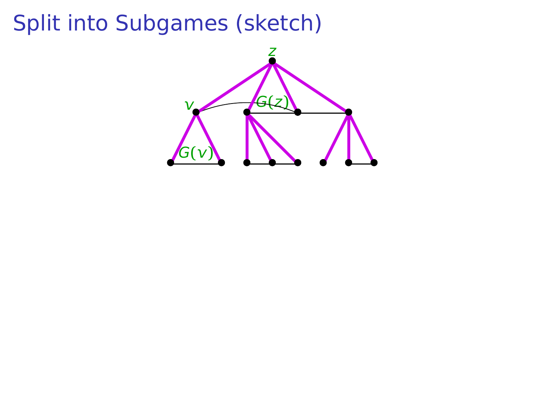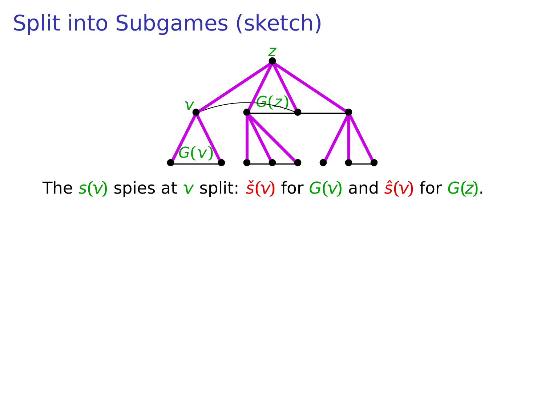

The  $s(\nu)$  spies at  $\nu$  split:  $\check{s}(\nu)$  for  $G(\nu)$  and  $\hat{s}(\nu)$  for  $G(z)$ .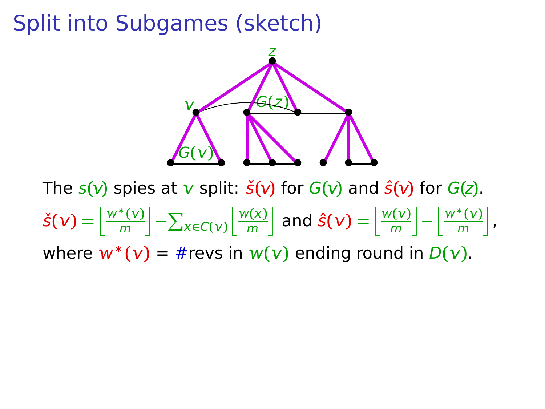

The  $s(\nu)$  spies at  $\nu$  split:  $\check{s}(\nu)$  for  $G(\nu)$  and  $\hat{s}(\nu)$  for  $G(z)$ .  $\check{\mathsf{s}}(\mathsf{v}) = \left| \frac{w^*(\mathsf{v})}{m} \right|$  $\left[\frac{\kappa(\nu)}{m}\right]-\sum_{x\in C(\nu)}$  $\mathbf{w}(\mathbf{x})$  $\left[\frac{m(\mathbf{x})}{m}\right]$  and  $\hat{\mathbf{s}}(\mathbf{v}) = \left[\frac{m(\mathbf{v})}{m}\right]$  $\left[\frac{w^*(v)}{m}\right] - \left[\frac{w^*(v)}{m}\right]$  $\frac{\sqrt[k]{v}}{m}$ , where  $w^*(v) = #$ revs in  $w(v)$  ending round in  $D(v)$ .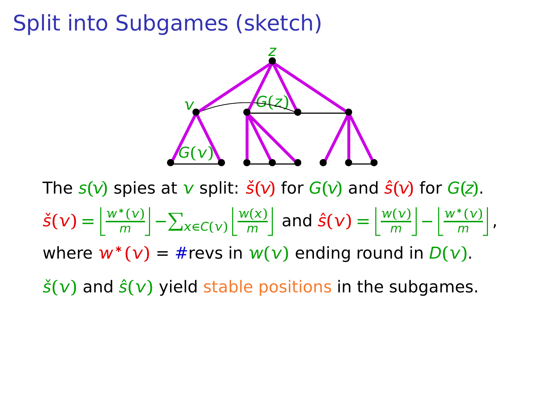

The  $s(\nu)$  spies at  $\nu$  split:  $\check{s}(\nu)$  for  $G(\nu)$  and  $\hat{s}(\nu)$  for  $G(z)$ .  $\check{\mathsf{s}}(\mathsf{v}) = \left| \frac{w^*(\mathsf{v})}{m} \right|$  $\left[\frac{\kappa(\nu)}{m}\right]-\sum_{x\in C(\nu)}$  $\mathbf{w}(\mathbf{x})$  $\left[\frac{m(\mathbf{x})}{m}\right]$  and  $\hat{\mathbf{s}}(\mathbf{v}) = \left[\frac{m(\mathbf{v})}{m}\right]$  $\left[\frac{w^*(v)}{m}\right] - \left[\frac{w^*(v)}{m}\right]$  $\frac{\sqrt[k]{v}}{m}$ , where  $w^*(v) = #$ revs in  $w(v)$  ending round in  $D(v)$ .  $\dot{\mathbf{s}}(\mathbf{v})$  and  $\hat{\mathbf{s}}(\mathbf{v})$  yield stable positions in the subgames.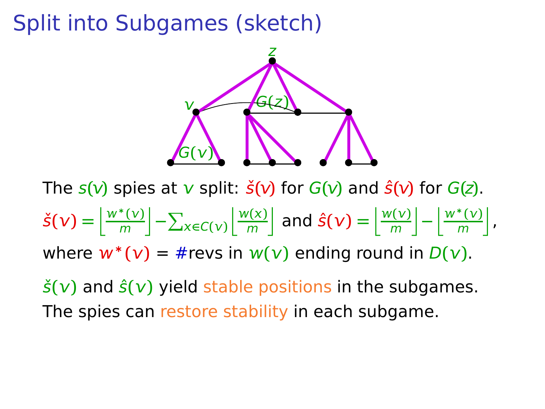

The  $s(\nu)$  spies at  $\nu$  split:  $\check{s}(\nu)$  for  $G(\nu)$  and  $\hat{s}(\nu)$  for  $G(z)$ .  $\check{\mathsf{s}}(\mathsf{v}) = \left| \frac{w^*(\mathsf{v})}{m} \right|$  $\left[\frac{\kappa(\nu)}{m}\right]-\sum_{x\in C(\nu)}$  $\mathbf{w}(\mathbf{x})$  $\left[\frac{m(\mathbf{x})}{m}\right]$  and  $\hat{\mathbf{s}}(\mathbf{v}) = \left[\frac{m(\mathbf{v})}{m}\right]$  $\left[\frac{w^*(v)}{m}\right] - \left[\frac{w^*(v)}{m}\right]$  $\frac{\sqrt[k]{v}}{m}$ , where  $w^*(v) = #$ revs in  $w(v)$  ending round in  $D(v)$ .

 $\dot{\mathbf{s}}(\mathbf{v})$  and  $\hat{\mathbf{s}}(\mathbf{v})$  yield stable positions in the subgames. The spies can restore stability in each subgame.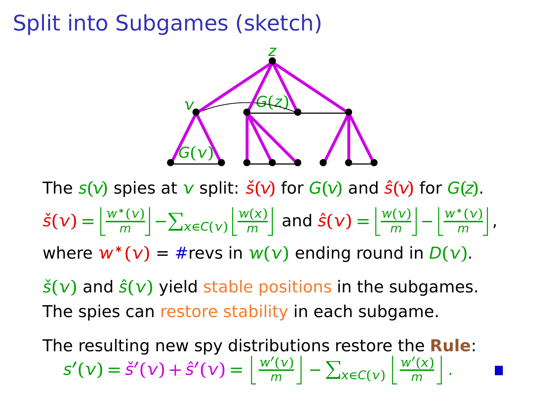

The  $s(\nu)$  spies at  $\nu$  split:  $\check{s}(\nu)$  for  $G(\nu)$  and  $\hat{s}(\nu)$  for  $G(z)$ .  $\check{\mathsf{s}}(\mathsf{v}) = \left| \frac{w^*(\mathsf{v})}{m} \right|$  $\left[\frac{\kappa(\nu)}{m}\right]-\sum_{x\in C(\nu)}$  $\mathbf{w}(\mathbf{x})$  $\left[\frac{m(\mathbf{x})}{m}\right]$  and  $\hat{\mathbf{s}}(\mathbf{v}) = \left[\frac{m(\mathbf{v})}{m}\right]$  $\left[\frac{w^*(v)}{m}\right] - \left[\frac{w^*(v)}{m}\right]$  $\frac{\sqrt[k]{v}}{m}$ , where  $w^*(v) = #$ revs in  $w(v)$  ending round in  $D(v)$ .

 $\dot{\mathbf{s}}(\mathbf{v})$  and  $\hat{\mathbf{s}}(\mathbf{v})$  yield stable positions in the subgames. The spies can restore stability in each subgame.

The resulting new spy distributions restore the **Rule**:  $S'(v) = \check{S}'(v) + \hat{S}'(v) = \frac{w'(v)}{m}$  $\left[\frac{\gamma(v)}{m}\right] - \sum_{x \in C(v)}$  $\frac{w'(x)}{x}$  $\frac{r'(x)}{m}$ .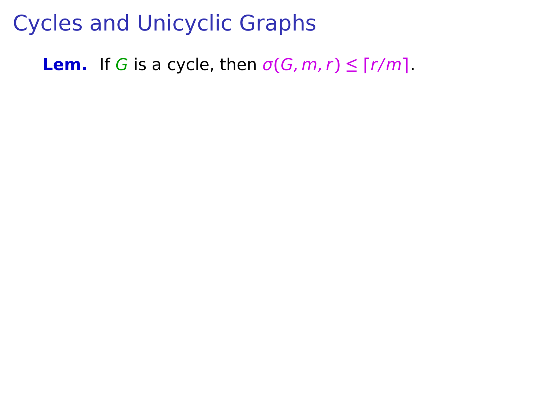**Lem.** If G is a cycle, then  $\sigma(G, m, r) \leq \lceil r/m \rceil$ .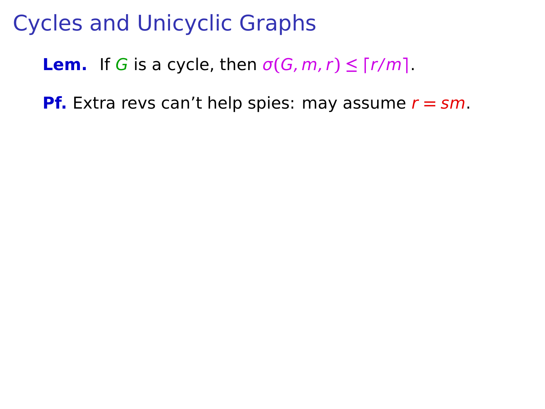#### **Lem.** If G is a cycle, then  $\sigma(G, m, r) \leq \lceil r/m \rceil$ .

**Pf.** Extra revs can't help spies: may assume  $r = sm$ .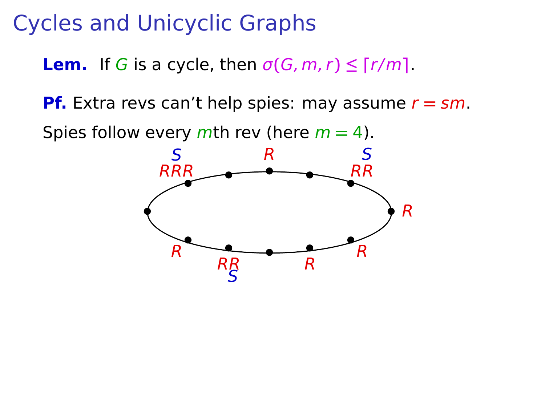**Lem.** If G is a cycle, then  $\sigma(G, m, r) \leq \lceil r/m \rceil$ .

**Pf.** Extra revs can't help spies: may assume  $r = sm$ .

Spies follow every mth rev (here m **=** 4).

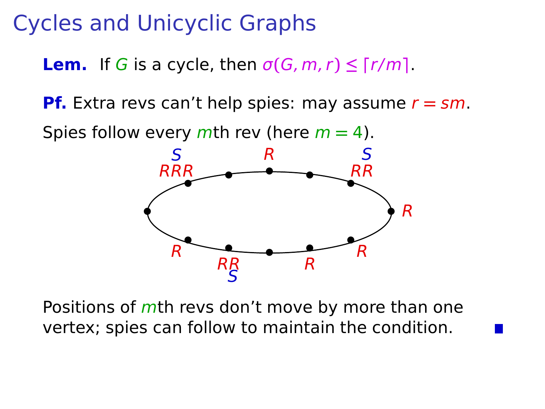**Lem.** If G is a cycle, then  $\sigma(G, m, r) \leq \lceil r/m \rceil$ .

**Pf.** Extra revs can't help spies: may assume r **=** sm.

Spies follow every mth rev (here m **=** 4).



Positions of mth revs don't move by more than one vertex; spies can follow to maintain the condition.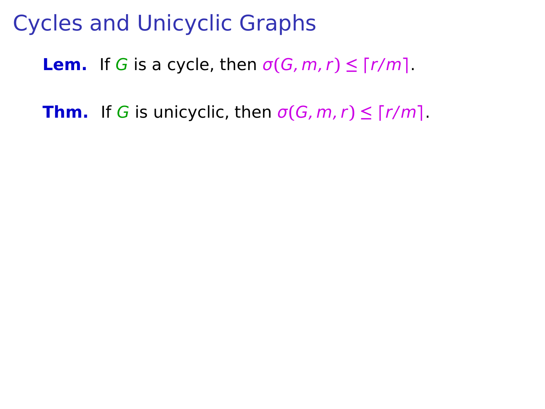**Lem.** If G is a cycle, then  $\sigma(G, m, r) \leq \lceil r/m \rceil$ .

**Thm.** If G is unicyclic, then  $\sigma(G, m, r) \leq \lceil r/m \rceil$ .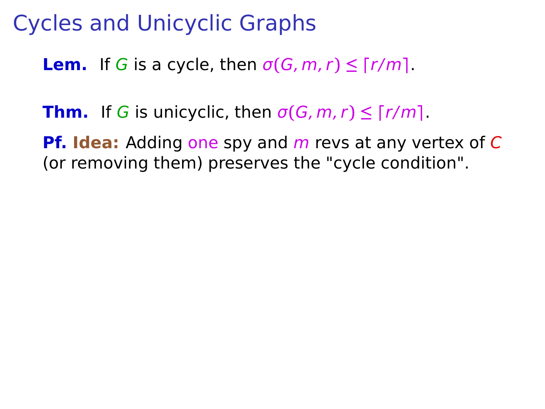**Lem.** If G is a cycle, then  $\sigma(G, m, r) \leq \lceil r/m \rceil$ .

**Thm.** If G is unicyclic, then  $\sigma(G, m, r) \leq \lceil r/m \rceil$ .

**Pf. Idea:** Adding one spy and m revs at any vertex of C (or removing them) preserves the "cycle condition".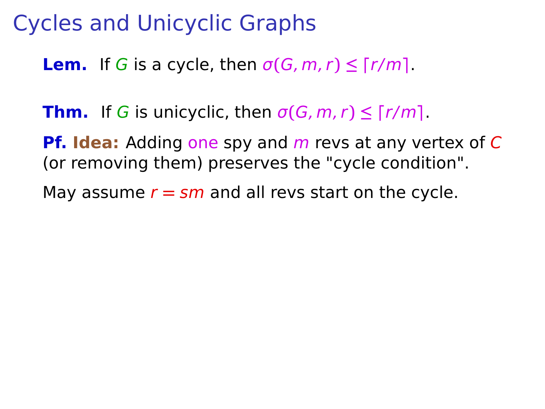**Lem.** If G is a cycle, then  $\sigma(G, m, r) \leq \lceil r/m \rceil$ .

**Thm.** If G is unicyclic, then  $\sigma(G, m, r) \leq \lceil r/m \rceil$ .

**Pf. Idea:** Adding one spy and m revs at any vertex of C (or removing them) preserves the "cycle condition".

May assume  $r = \frac{sm}{}$  and all revs start on the cycle.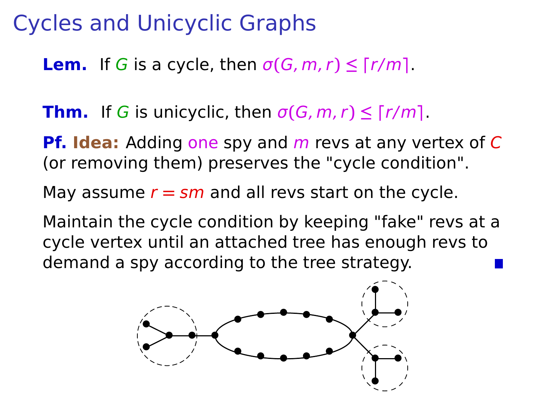**Lem.** If G is a cycle, then  $\sigma(G, m, r) \leq \lceil r/m \rceil$ .

**Thm.** If G is unicyclic, then  $\sigma(G, m, r) \leq \lceil r/m \rceil$ .

**Pf. Idea:** Adding one spy and m revs at any vertex of C (or removing them) preserves the "cycle condition".

May assume  $r = \frac{sm}{}$  and all revs start on the cycle.

Maintain the cycle condition by keeping "fake" revs at a cycle vertex until an attached tree has enough revs to demand a spy according to the tree strategy.

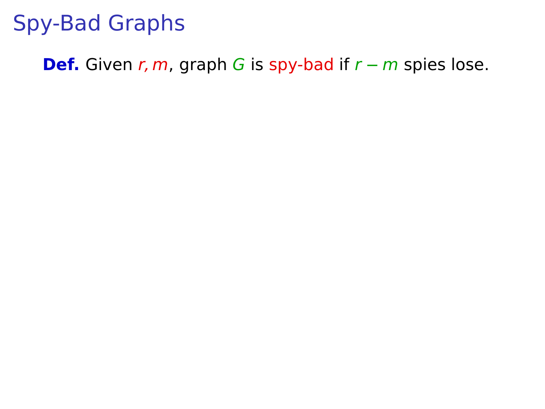**Def.** Given r, m, graph G is spy-bad if  $r - m$  spies lose.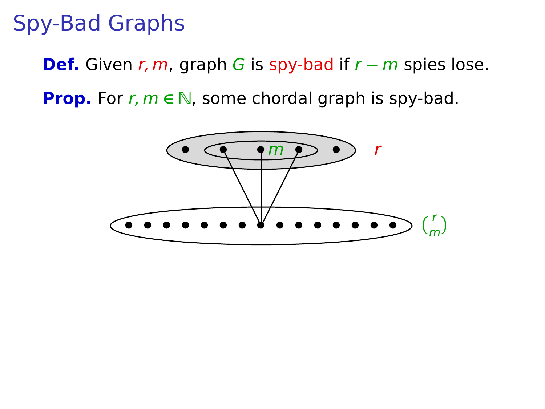**Def.** Given r, m, graph G is spy-bad if  $r - m$  spies lose.

**Prop.** For *r*, *m* ∈ N, some chordal graph is spy-bad.

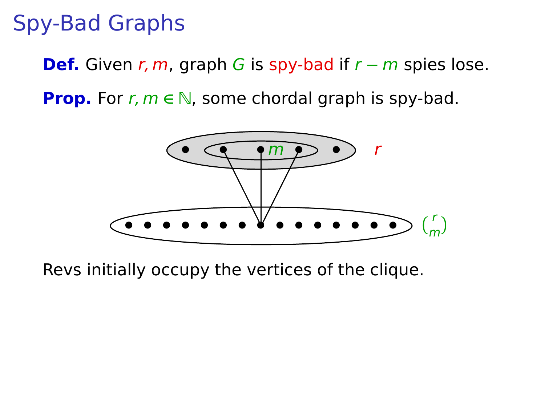**Def.** Given r, m, graph G is spy-bad if  $r - m$  spies lose. **Prop.** For *r*, *m* ∈ N, some chordal graph is spy-bad.

> **• • • • • • • •** r  $\binom{r}{m}$ **• •** m **• • • • • • • • • •**

Revs initially occupy the vertices of the clique.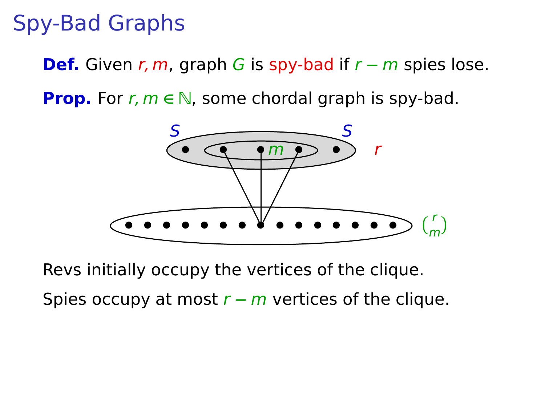**Def.** Given r, m, graph G is spy-bad if r **−** m spies lose.

**Prop.** For *r*, *m* ∈ N, some chordal graph is spy-bad.



Revs initially occupy the vertices of the clique.

Spies occupy at most r **−** m vertices of the clique.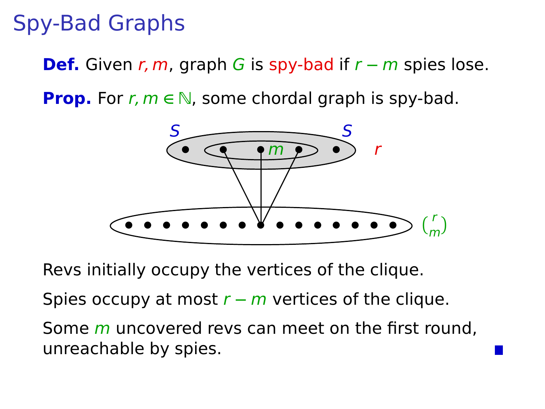**Def.** Given r, m, graph G is spy-bad if r **−** m spies lose.

**Prop.** For *r*, *m* ∈ N, some chordal graph is spy-bad.



Revs initially occupy the vertices of the clique.

Spies occupy at most r **−** m vertices of the clique.

Some *m* uncovered revs can meet on the first round. unreachable by spies.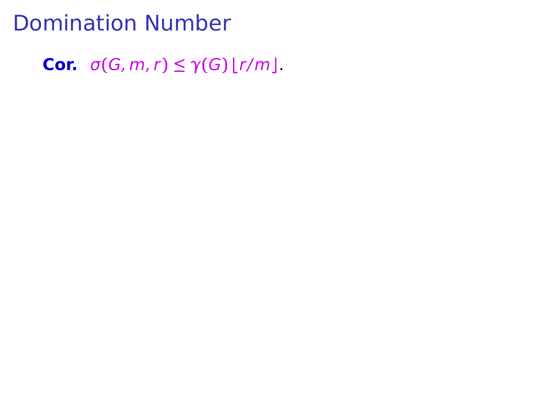#### Domination Number

**Cor.**  $\sigma(G, m, r) \leq \gamma(G) \lfloor r/m \rfloor$ .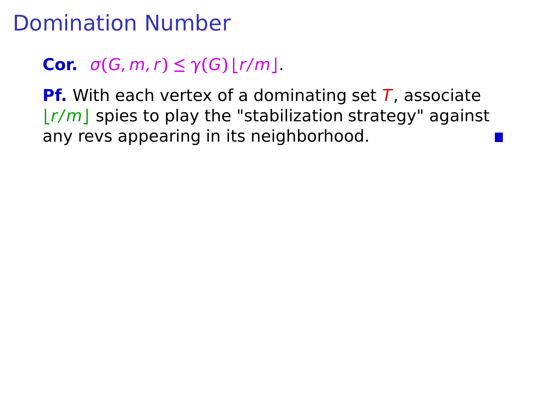# Domination Number

#### **Cor.**  $\sigma(G, m, r) \leq \gamma(G) |r/m|$ .

**Pf.** With each vertex of a dominating set T, associate **⌊**r/m**⌋** spies to play the "stabilization strategy" against any revs appearing in its neighborhood.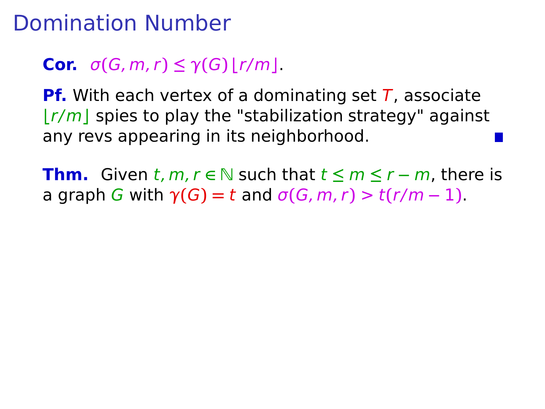### Domination Number

#### **Cor.**  $\sigma(G, m, r) \leq \gamma(G) |r/m|$ .

**Pf.** With each vertex of a dominating set T, associate **⌊**r/m**⌋** spies to play the "stabilization strategy" against any revs appearing in its neighborhood.

**Thm.** Given t, m,  $r \in \mathbb{N}$  such that  $t \leq m \leq r - m$ , there is a graph G with  $\gamma(G) = t$  and  $\sigma(G, m, r) > t(r/m - 1)$ .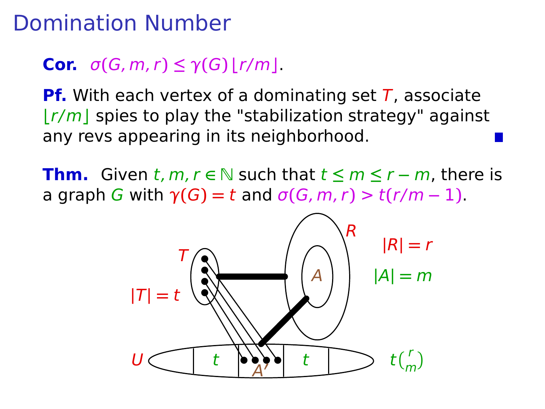## Domination Number

#### **Cor.**  $\sigma(G, m, r) \leq \gamma(G) |r/m|$ .

**Pf.** With each vertex of a dominating set T, associate **⌊**r/m**⌋** spies to play the "stabilization strategy" against any revs appearing in its neighborhood.

**Thm.** Given  $t, m, r \in \mathbb{N}$  such that  $t \leq m \leq r - m$ , there is a graph G with  $\gamma(G) = t$  and  $\sigma(G, m, r) > t(r/m - 1)$ .

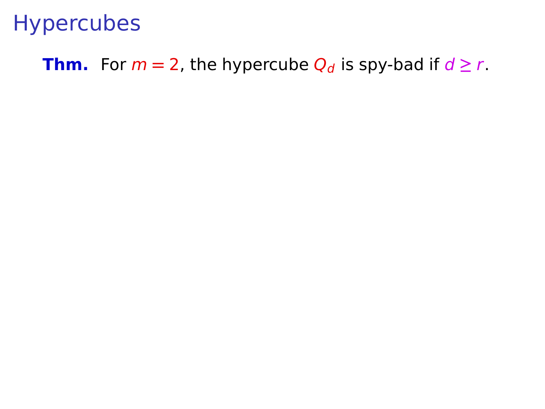**Thm.** For  $m = 2$ , the hypercube  $Q_d$  is spy-bad if  $d \ge r$ .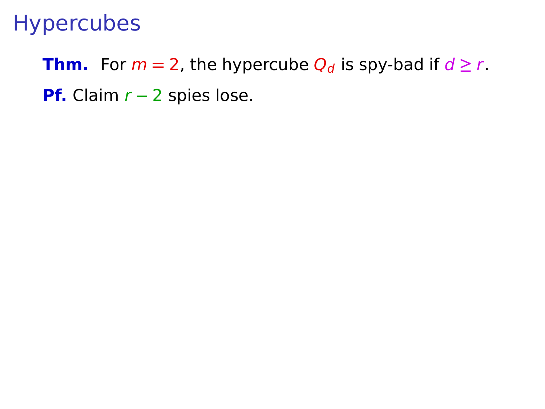**Thm.** For  $m = 2$ , the hypercube  $Q_d$  is spy-bad if  $d \ge r$ . **Pf.** Claim *r* − 2 spies lose.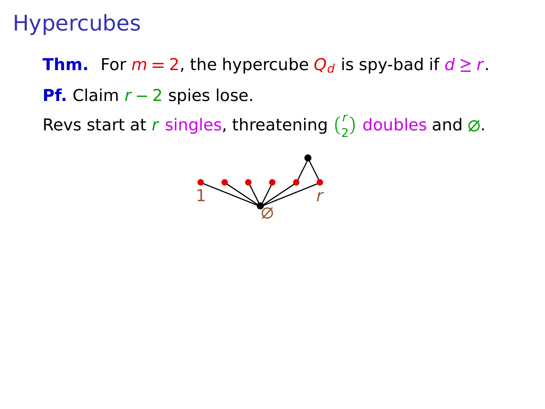**Thm.** For  $m = 2$ , the hypercube  $Q_d$  is spy-bad if  $d \ge r$ . **Pf.** Claim *r* − 2 spies lose.

Revs start at r singles, threatening  $\binom{r}{2}$  doubles and  $\varnothing$ .

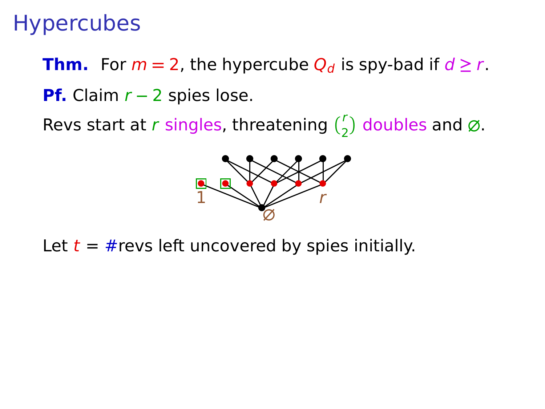**Thm.** For  $m = 2$ , the hypercube  $Q_d$  is spy-bad if  $d \ge r$ . **Pf.** Claim *r* − 2 spies lose.

Revs start at r singles, threatening  $\binom{r}{2}$  doubles and  $\varnothing$ .



Let  $t = #$ revs left uncovered by spies initially.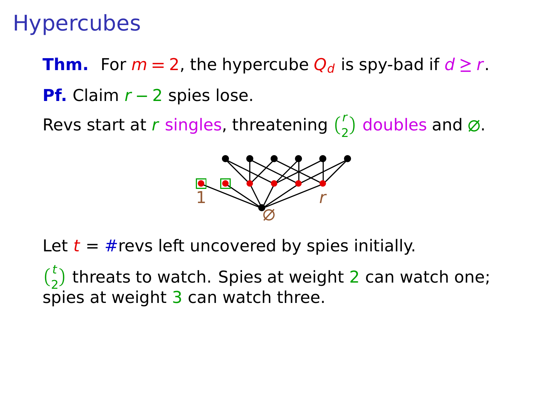**Thm.** For  $m = 2$ , the hypercube  $Q_d$  is spy-bad if  $d \ge r$ . **Pf.** Claim *r* − 2 spies lose.

Revs start at r singles, threatening  $\binom{r}{2}$  doubles and  $\varnothing$ .



Let  $t = #$ revs left uncovered by spies initially.

 $\binom{t}{2}$  threats to watch. Spies at weight 2 can watch one; spies at weight  $3$  can watch three.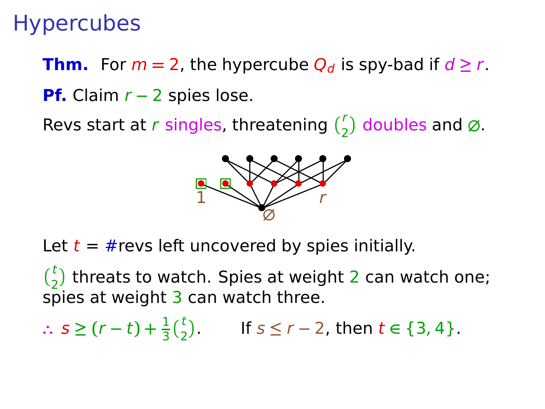**Thm.** For  $m = 2$ , the hypercube  $Q_d$  is spy-bad if  $d \ge r$ . **Pf.** Claim *r* − 2 spies lose.

Revs start at r singles, threatening  $\binom{r}{2}$  doubles and  $\varnothing$ .



Let  $t = #$ revs left uncovered by spies initially.

 $\binom{t}{2}$  threats to watch. Spies at weight 2 can watch one; spies at weight  $3$  can watch three.

∴  $s \ge (r - t) + \frac{1}{3} {t \choose 2}$ . If  $s \le r - 2$ , then  $t \in \{3, 4\}$ .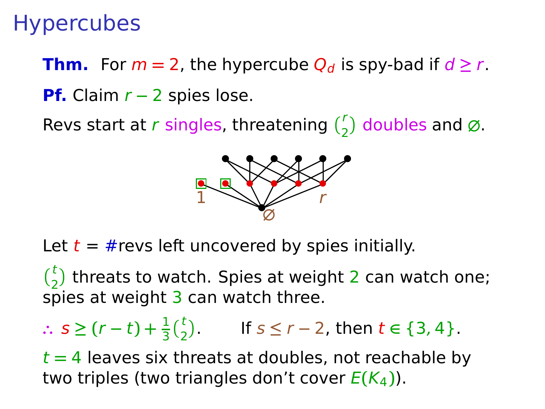**Thm.** For  $m = 2$ , the hypercube  $Q_d$  is spy-bad if  $d \ge r$ . **Pf.** Claim *r* − 2 spies lose.

Revs start at r singles, threatening  $\binom{r}{2}$  doubles and  $\varnothing$ .



Let  $t = #$ revs left uncovered by spies initially.

 $\binom{t}{2}$  threats to watch. Spies at weight 2 can watch one; spies at weight  $3$  can watch three.

∴  $s \ge (r - t) + \frac{1}{3} {t \choose 2}$ . If  $s \le r - 2$ , then  $t \in \{3, 4\}$ .

t **=** 4 leaves six threats at doubles, not reachable by two triples (two triangles don't cover  $E(K_4)$ ).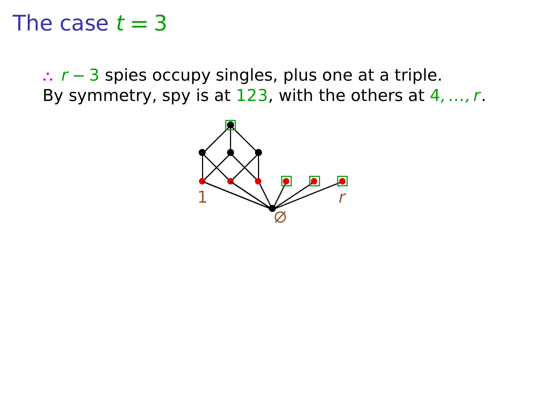∴ r – 3 spies occupy singles, plus one at a triple. By symmetry, spy is at  $123$ , with the others at  $4, ..., r$ .

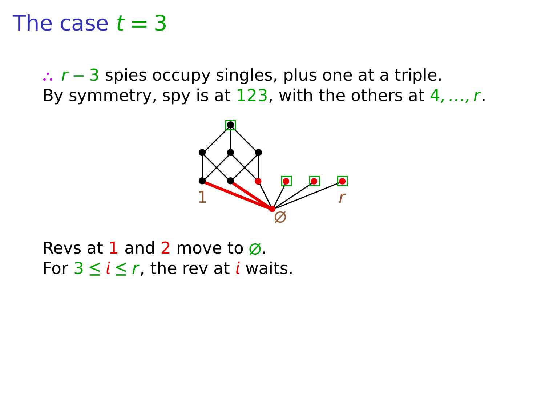**∴** r **−** 3 spies occupy singles, plus one at a triple. By symmetry, spy is at  $123$ , with the others at  $4, ..., r$ .



Revs at 1 and 2 move to **∅**. For  $3 \le i \le r$ , the rev at *i* waits.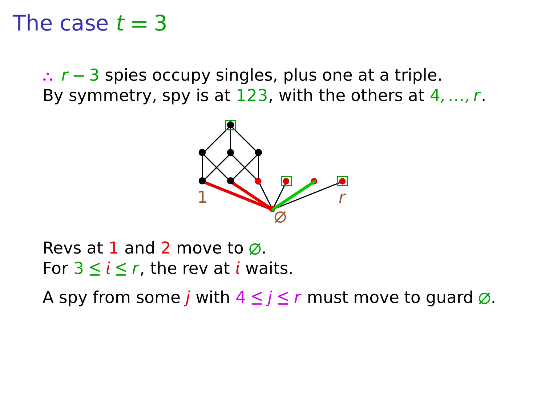**∴** r **−** 3 spies occupy singles, plus one at a triple. By symmetry, spy is at  $123$ , with the others at  $4, ..., r$ .



Revs at 1 and 2 move to **∅**. For  $3 \le i \le r$ , the rev at *i* waits.

A spy from some j with 4 **≤** j **≤** r must move to guard **∅**.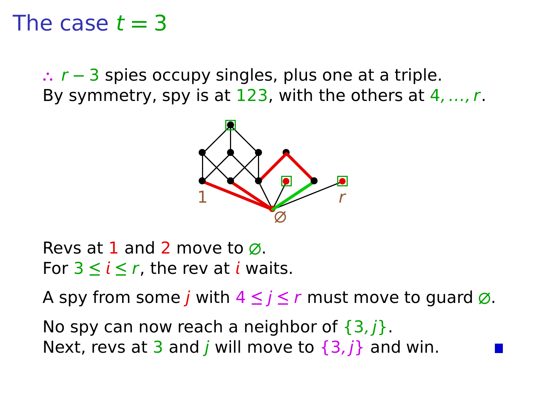**∴** r **−** 3 spies occupy singles, plus one at a triple. By symmetry, spy is at  $123$ , with the others at  $4, ..., r$ .



Revs at 1 and 2 move to **∅**. For  $3 \le i \le r$ , the rev at *i* waits.

A spy from some j with 4 **≤** j **≤** r must move to guard **∅**.

No spy can now reach a neighbor of  $\{3, i\}$ . Next, revs at 3 and *j* will move to  $\{3, j\}$  and win.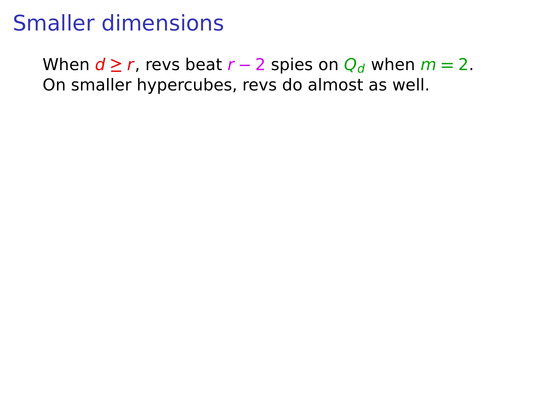When  $d \ge r$ , revs beat  $r - 2$  spies on  $Q_d$  when  $m = 2$ . On smaller hypercubes, revs do almost as well.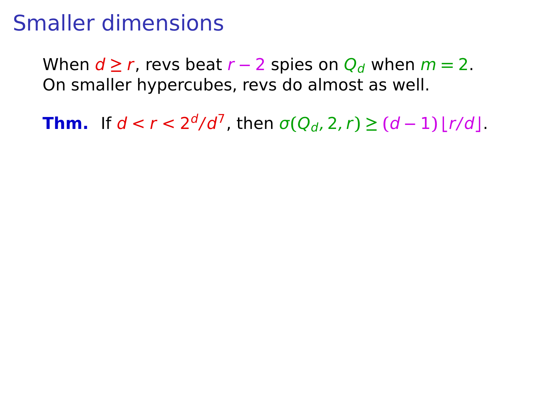When  $d \ge r$ , revs beat  $r - 2$  spies on  $Q_d$  when  $m = 2$ . On smaller hypercubes, revs do almost as well.

**Thm.** If  $d < r < 2^d/d^7$ , then  $\sigma(Q_d, 2, r) \geq (d-1) \lfloor r/d \rfloor$ .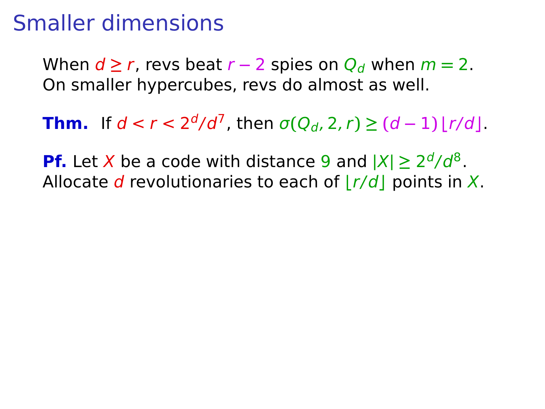When  $d \ge r$ , revs beat  $r - 2$  spies on  $Q_d$  when  $m = 2$ . On smaller hypercubes, revs do almost as well.

**Thm.** If  $d < r < 2^d/d^7$ , then  $\sigma(Q_d, 2, r) \geq (d-1) \lfloor r/d \rfloor$ .

**Pf.** Let X be a code with distance 9 and  $|X| \geq 2^d/d^8$ . Allocate d revolutionaries to each of  $|r/d|$  points in X.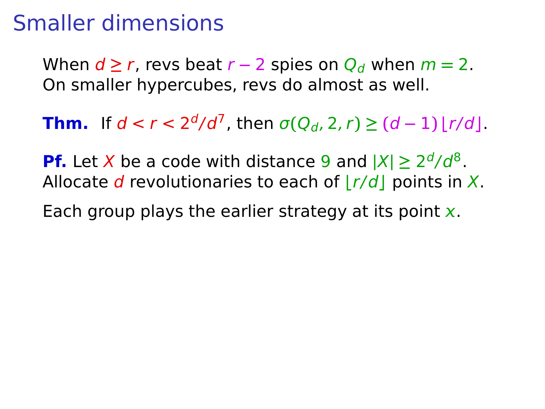When  $d \ge r$ , revs beat  $r - 2$  spies on  $Q_d$  when  $m = 2$ . On smaller hypercubes, revs do almost as well.

**Thm.** If  $d < r < 2^d/d^7$ , then  $\sigma(Q_d, 2, r) \geq (d-1) \lfloor r/d \rfloor$ .

**Pf.** Let X be a code with distance 9 and  $|X| \geq 2^d/d^8$ . Allocate d revolutionaries to each of  $|r/d|$  points in X.

Each group plays the earlier strategy at its point  $x$ .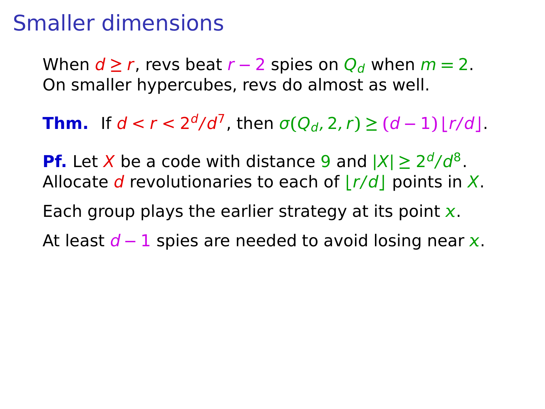When  $d \ge r$ , revs beat  $r - 2$  spies on  $Q_d$  when  $m = 2$ . On smaller hypercubes, revs do almost as well.

**Thm.** If  $d < r < 2^d/d^7$ , then  $\sigma(Q_d, 2, r) \geq (d-1) \lfloor r/d \rfloor$ .

**Pf.** Let X be a code with distance 9 and  $|X| \geq 2^d/d^8$ . Allocate d revolutionaries to each of  $|r/d|$  points in X.

Each group plays the earlier strategy at its point  $x$ .

At least *d* − 1 spies are needed to avoid losing near x.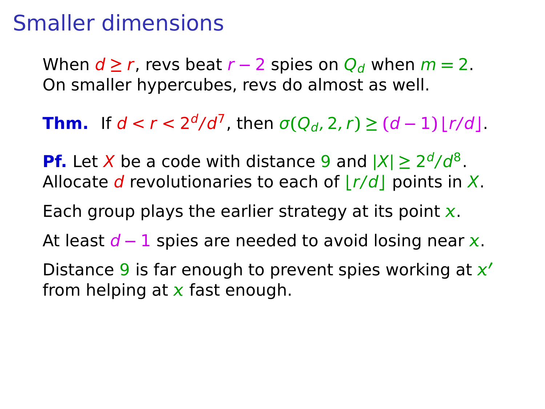When  $d \ge r$ , revs beat  $r - 2$  spies on  $Q_d$  when  $m = 2$ . On smaller hypercubes, revs do almost as well.

**Thm.** If  $d < r < 2^d/d^7$ , then  $\sigma(Q_d, 2, r) \geq (d-1) \lfloor r/d \rfloor$ .

**Pf.** Let X be a code with distance 9 and  $|X| \geq 2^d/d^8$ . Allocate d revolutionaries to each of  $|r/d|$  points in X.

Each group plays the earlier strategy at its point  $x$ .

At least d − 1 spies are needed to avoid losing near x.

Distance 9 is far enough to prevent spies working at **′** from helping at  $x$  fast enough.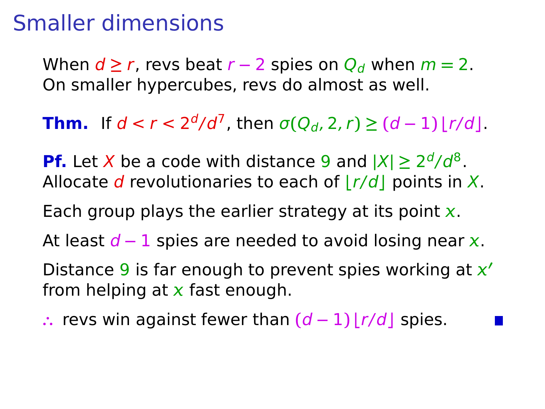When  $d \ge r$ , revs beat  $r - 2$  spies on  $Q_d$  when  $m = 2$ . On smaller hypercubes, revs do almost as well.

**Thm.** If  $d < r < 2^d/d^7$ , then  $\sigma(Q_d, 2, r) \geq (d-1) \lfloor r/d \rfloor$ .

**Pf.** Let X be a code with distance 9 and  $|X| \geq 2^d/d^8$ . Allocate d revolutionaries to each of  $|r/d|$  points in X.

Each group plays the earlier strategy at its point  $x$ .

At least d − 1 spies are needed to avoid losing near x.

Distance 9 is far enough to prevent spies working at **′** from helping at  $x$  fast enough.

**∴** revs win against fewer than **(**d **−** 1**) ⌊**r/d**⌋** spies.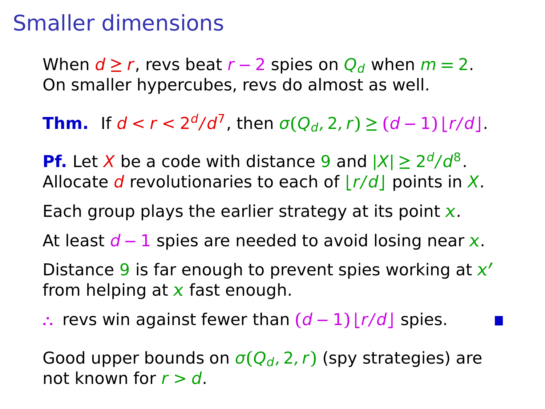When  $d \ge r$ , revs beat  $r - 2$  spies on  $Q_d$  when  $m = 2$ . On smaller hypercubes, revs do almost as well.

**Thm.** If  $d < r < 2^d/d^7$ , then  $\sigma(Q_d, 2, r) \geq (d-1) \lfloor r/d \rfloor$ .

**Pf.** Let X be a code with distance 9 and  $|X| \geq 2^d/d^8$ . Allocate d revolutionaries to each of  $|r/d|$  points in X.

Each group plays the earlier strategy at its point  $x$ .

At least d − 1 spies are needed to avoid losing near x.

Distance 9 is far enough to prevent spies working at **′** from helping at  $x$  fast enough.

**∴** revs win against fewer than **(**d **−** 1**) ⌊**r/d**⌋** spies.

Good upper bounds on  $\sigma(Q_d, 2, r)$  (spy strategies) are not known for  $r > d$ .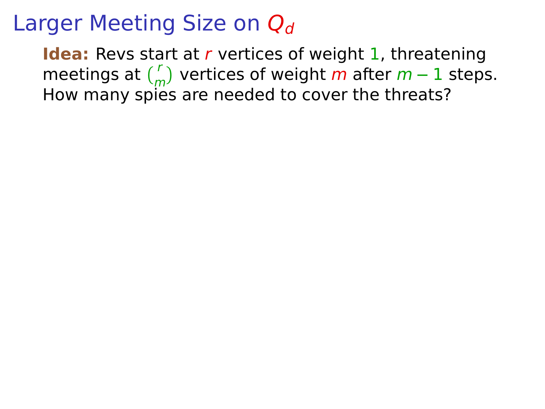**Idea:** Revs start at r vertices of weight 1, threatening meetings at  $\binom{r}{m}$  vertices of weight m after  $m-1$  steps.  $\frac{1}{2}$  How many spies are needed to cover the threats?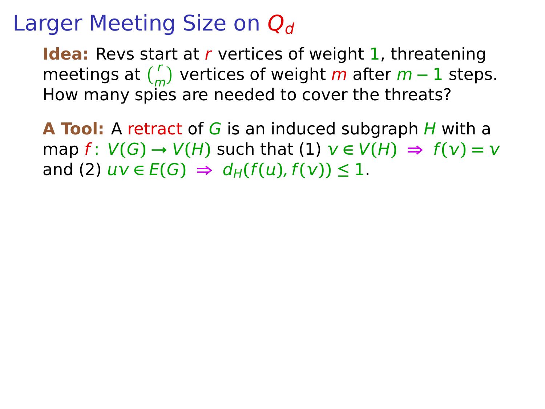**Idea:** Revs start at r vertices of weight 1, threatening meetings at  $\binom{r}{m}$  vertices of weight m after  $m-1$  steps.  $\frac{1}{2}$  How many spies are needed to cover the threats?

**A Tool:** A retract of G is an induced subgraph H with a  $\mathsf{map}\; f: V(G) \to V(H)$  such that  $(1)$   $v \in V(H) \Rightarrow f(v) = v$ and (2)  $uv \in E(G) \Rightarrow d_H(f(u), f(v)) \leq 1$ .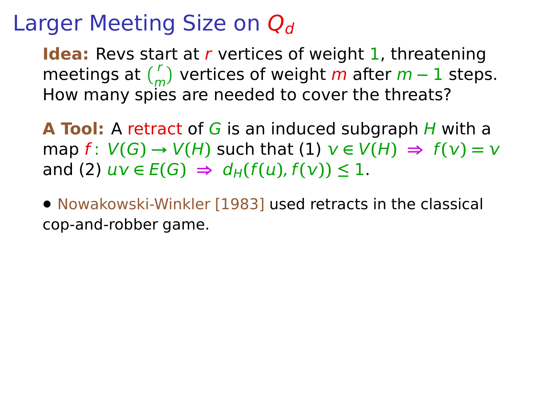**Idea:** Revs start at r vertices of weight 1, threatening meetings at  $\binom{r}{m}$  vertices of weight m after  $m-1$  steps.  $\frac{1}{2}$  How many spies are needed to cover the threats?

**A Tool:** A retract of G is an induced subgraph H with a  $\mathsf{map}\; f: V(G) \to V(H)$  such that  $(1)$   $v \in V(H) \Rightarrow f(v) = v$ and (2)  $uv \in E(G) \Rightarrow d_H(f(u), f(v)) \leq 1$ .

**•** Nowakowski-Winkler [1983] used retracts in the classical cop-and-robber game.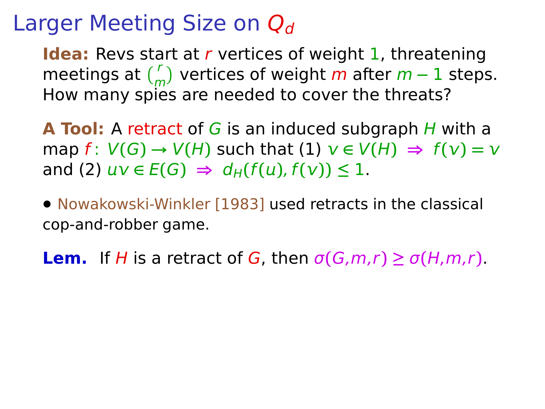**Idea:** Revs start at r vertices of weight 1, threatening meetings at  $\binom{r}{m}$  vertices of weight m after  $m-1$  steps.  $\frac{1}{2}$  How many spies are needed to cover the threats?

**A Tool:** A retract of G is an induced subgraph H with a  $\mathsf{map}\; f: V(G) \to V(H)$  such that  $(1)$   $v \in V(H) \Rightarrow f(v) = v$ and (2)  $uv \in E(G) \Rightarrow d_H(f(u), f(v)) \leq 1$ .

**•** Nowakowski-Winkler [1983] used retracts in the classical cop-and-robber game.

**Lem.** If H is a retract of G, then  $\sigma(G, m, r) \geq \sigma(H, m, r)$ .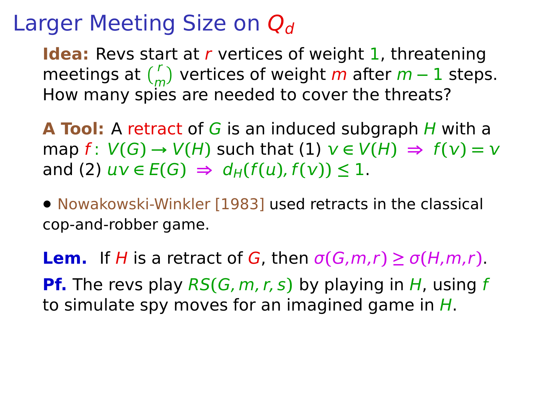**Idea:** Revs start at r vertices of weight 1, threatening meetings at  $\binom{r}{m}$  vertices of weight m after  $m-1$  steps.  $\frac{1}{2}$  How many spies are needed to cover the threats?

**A Tool:** A retract of G is an induced subgraph H with a  $\mathsf{map}\; f: V(G) \to V(H)$  such that  $(1)$   $v \in V(H) \Rightarrow f(v) = v$ and (2)  $uv \in E(G) \Rightarrow d_H(f(u), f(v)) \leq 1$ .

**•** Nowakowski-Winkler [1983] used retracts in the classical cop-and-robber game.

**Lem.** If H is a retract of G, then  $\sigma(G, m, r) \geq \sigma(H, m, r)$ . **Pf.** The revs play RS**(**G, m, r, s**)** by playing in H, using f to simulate spy moves for an imagined game in  $H$ .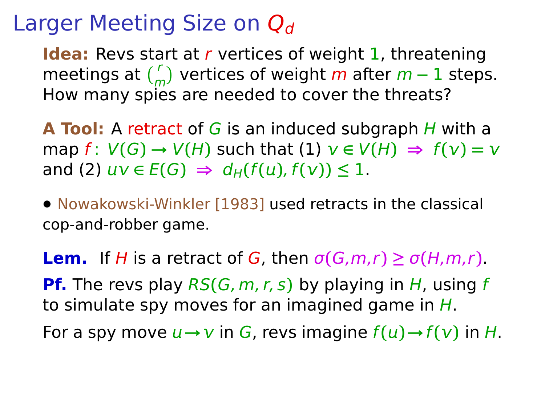**Idea:** Revs start at r vertices of weight 1, threatening meetings at  $\binom{r}{m}$  vertices of weight m after  $m-1$  steps.  $\frac{1}{2}$  How many spies are needed to cover the threats?

**A Tool:** A retract of G is an induced subgraph H with a  $\mathsf{map}\; f: V(G) \to V(H)$  such that  $(1)$   $v \in V(H) \Rightarrow f(v) = v$ and (2)  $uv \in E(G) \Rightarrow d_H(f(u), f(v)) \leq 1$ .

**•** Nowakowski-Winkler [1983] used retracts in the classical cop-and-robber game.

**Lem.** If H is a retract of G, then  $\sigma(G, m, r) \geq \sigma(H, m, r)$ . **Pf.** The revs play RS**(**G, m, r, s**)** by playing in H, using f to simulate spy moves for an imagined game in  $H$ . For a spy move  $u \rightarrow v$  in G, revs imagine  $f(u) \rightarrow f(v)$  in H.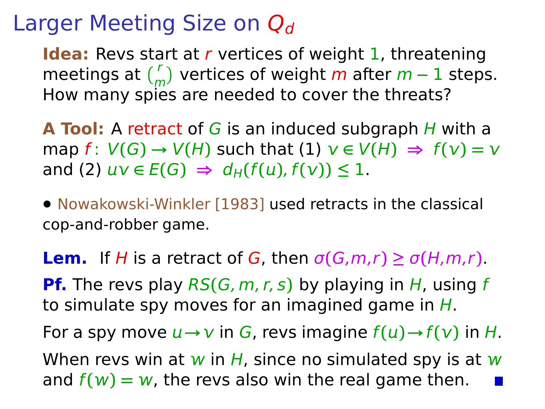**Idea:** Revs start at r vertices of weight 1, threatening meetings at  $\binom{r}{m}$  vertices of weight m after  $m-1$  steps.  $\frac{1}{2}$  How many spies are needed to cover the threats?

**A Tool:** A retract of G is an induced subgraph H with a map  $f: V(G) \rightarrow V(H)$  such that  $(1)$   $v \in V(H) \Rightarrow f(v) = v$ and (2)  $uv \in E(G) \Rightarrow d_H(f(u), f(v)) \leq 1$ .

**•** Nowakowski-Winkler [1983] used retracts in the classical cop-and-robber game.

**Lem.** If H is a retract of G, then  $\sigma(G, m, r) \geq \sigma(H, m, r)$ . **Pf.** The revs play RS**(**G, m, r, s**)** by playing in H, using f to simulate spy moves for an imagined game in  $H$ . For a spy move  $u \rightarrow v$  in G, revs imagine  $f(u) \rightarrow f(v)$  in H. When revs win at w in H, since no simulated spy is at w and  $f(w) = w$ , the revs also win the real game then.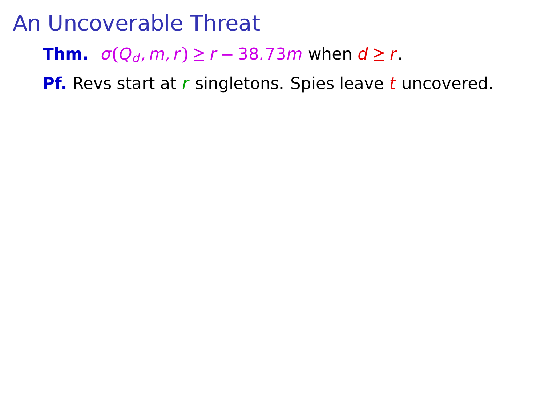**Thm.**  $\sigma(Q_d, m, r) \ge r - 38.73m$  when  $d \ge r$ .

**Pf.** Revs start at r singletons. Spies leave t uncovered.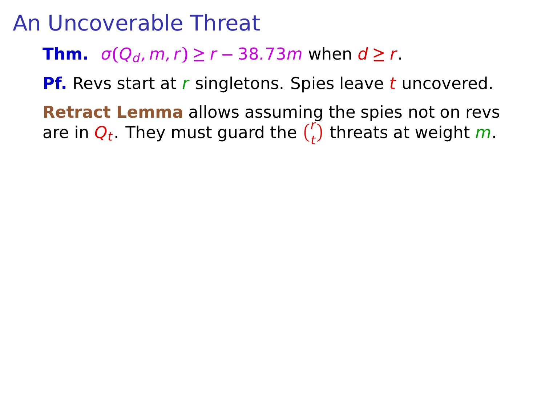**Thm.**  $\sigma(Q_d, m, r) \ge r - 38.73m$  when  $d \ge r$ .

**Pf.** Revs start at r singletons. Spies leave t uncovered.

**Retract Lemma** allows assuming the spies not on revs are in  $Q_t$ . They must guard the  $\binom{r}{t}$  threats at weight m.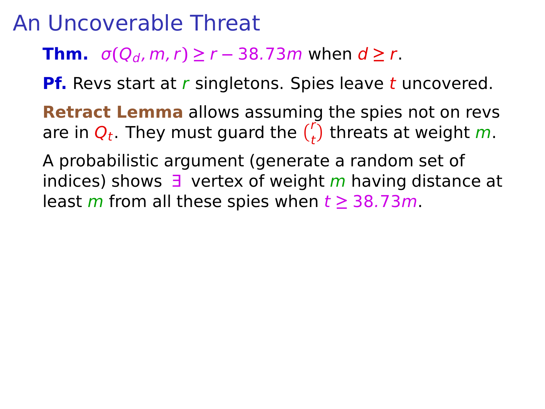**Thm.**  $\sigma(Q_d, m, r) \ge r - 38.73m$  when  $d \ge r$ .

**Pf.** Revs start at r singletons. Spies leave t uncovered.

**Retract Lemma** allows assuming the spies not on revs are in  $Q_t$ . They must guard the  $\binom{r}{t}$  threats at weight m.

A probabilistic argument (generate a random set of indices) shows  $\exists$  vertex of weight m having distance at least m from all these spies when  $t \geq 38.73m$ .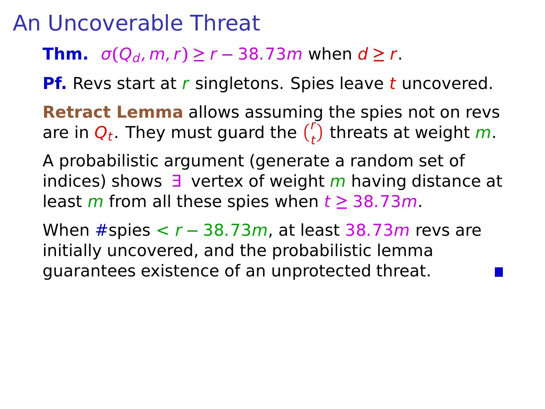**Thm.**  $\sigma(Q_d, m, r) \ge r - 38.73m$  when  $d \ge r$ .

**Pf.** Revs start at r singletons. Spies leave t uncovered.

**Retract Lemma** allows assuming the spies not on revs are in  $Q_t$ . They must guard the  $\binom{r}{t}$  threats at weight m.

A probabilistic argument (generate a random set of indices) shows  $\exists$  vertex of weight m having distance at least m from all these spies when  $t \geq 38.73m$ .

When #spies < r **−** 38.73m, at least 38.73m revs are initially uncovered, and the probabilistic lemma guarantees existence of an unprotected threat.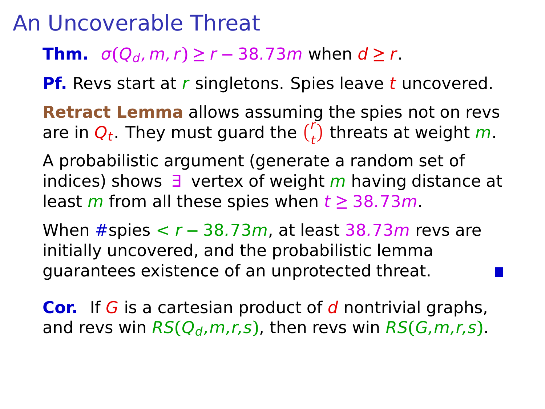**Thm.**  $\sigma(Q_d, m, r) \ge r - 38.73m$  when  $d \ge r$ .

**Pf.** Revs start at r singletons. Spies leave t uncovered.

**Retract Lemma** allows assuming the spies not on revs are in  $Q_t$ . They must guard the  $\binom{r}{t}$  threats at weight m.

A probabilistic argument (generate a random set of indices) shows  $\exists$  vertex of weight m having distance at least m from all these spies when  $t \geq 38.73m$ .

When #spies < r **−** 38.73m, at least 38.73m revs are initially uncovered, and the probabilistic lemma guarantees existence of an unprotected threat.

**Cor.** If G is a cartesian product of d nontrivial graphs, and revs win  $RS(Q_d, m, r, s)$ , then revs win  $RS(G, m, r, s)$ .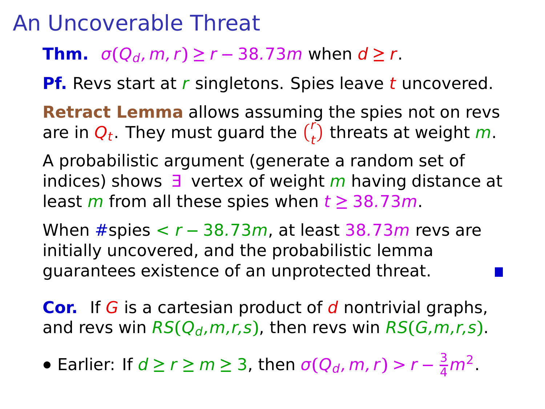**Thm.**  $\sigma(Q_d, m, r) \ge r - 38.73m$  when  $d \ge r$ .

**Pf.** Revs start at r singletons. Spies leave t uncovered.

**Retract Lemma** allows assuming the spies not on revs are in  $Q_t$ . They must guard the  $\binom{r}{t}$  threats at weight m.

A probabilistic argument (generate a random set of indices) shows  $\exists$  vertex of weight m having distance at least m from all these spies when  $t \geq 38.73m$ .

When #spies < r **−** 38.73m, at least 38.73m revs are initially uncovered, and the probabilistic lemma guarantees existence of an unprotected threat.

**Cor.** If G is a cartesian product of d nontrivial graphs, and revs win  $RS(Q_d, m, r, s)$ , then revs win  $RS(G, m, r, s)$ .

• Earlier: If  $d \ge r \ge m \ge 3$ , then  $\sigma(Q_d, m, r) > r - \frac{3}{4}m^2$ .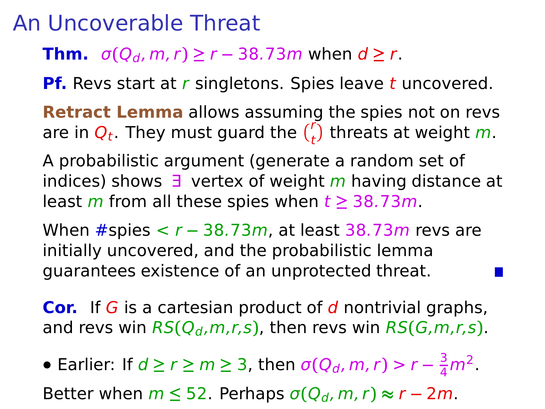**Thm.**  $\sigma(Q_d, m, r) \ge r - 38.73m$  when  $d \ge r$ .

**Pf.** Revs start at r singletons. Spies leave t uncovered.

**Retract Lemma** allows assuming the spies not on revs are in  $Q_t$ . They must guard the  $\binom{r}{t}$  threats at weight m.

A probabilistic argument (generate a random set of indices) shows  $\exists$  vertex of weight m having distance at least m from all these spies when  $t \geq 38.73m$ .

When #spies < r **−** 38.73m, at least 38.73m revs are initially uncovered, and the probabilistic lemma guarantees existence of an unprotected threat.

**Cor.** If G is a cartesian product of d nontrivial graphs, and revs win  $RS(Q_d, m, r, s)$ , then revs win  $RS(G, m, r, s)$ .

• Earlier: If  $d \ge r \ge m \ge 3$ , then  $\sigma(Q_d, m, r) > r - \frac{3}{4}m^2$ .

Better when  $m \le 52$ . Perhaps  $\sigma(Q_d, m, r) \approx r - 2m$ .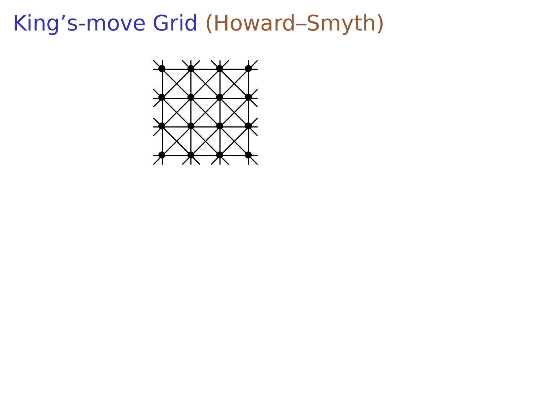# King's-move Grid (Howard–Smyth)

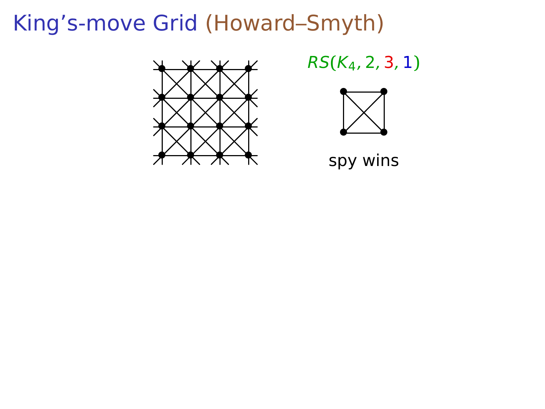# King's-move Grid (Howard–Smyth)



RS**(**K4, 2, 3, 1**)**



spy wins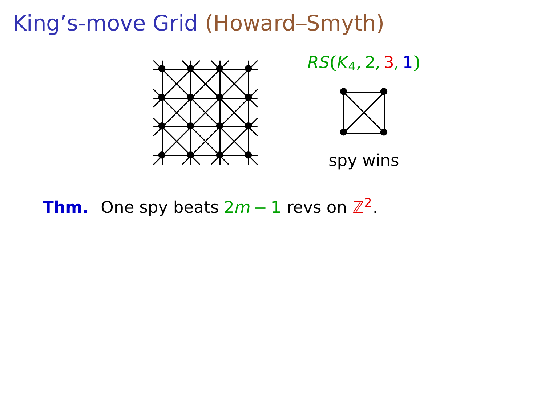

RS**(**K4, 2, 3, 1**)**



spy wins

## **Thm.** One spy beats <sup>2</sup><sup>m</sup> **<sup>−</sup>** <sup>1</sup> revs on <sup>Z</sup><sup>2</sup> .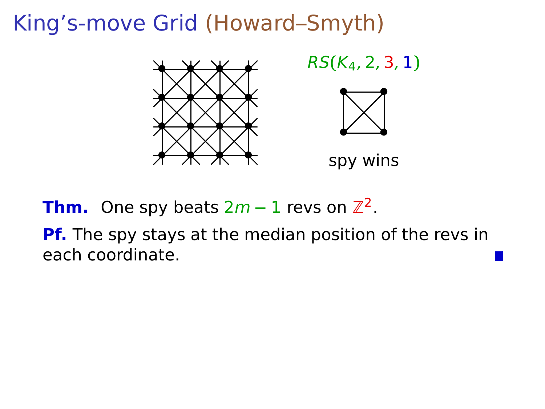

RS**(**K4, 2, 3, 1**)**



spy wins

**Thm.** One spy beats <sup>2</sup><sup>m</sup> **<sup>−</sup>** <sup>1</sup> revs on <sup>Z</sup><sup>2</sup> .

**Pf.** The spy stays at the median position of the revs in each coordinate.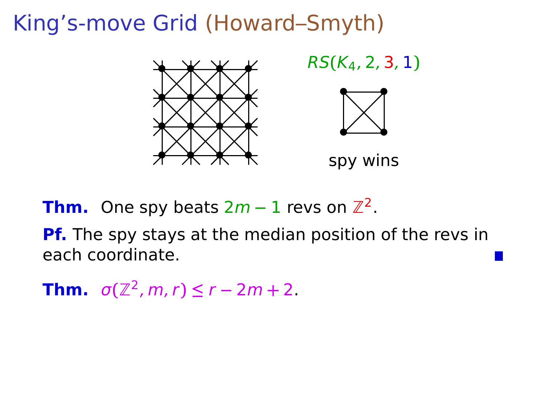

RS**(**K4, 2, 3, 1**)**



spy wins

**Thm.** One spy beats <sup>2</sup><sup>m</sup> **<sup>−</sup>** <sup>1</sup> revs on <sup>Z</sup><sup>2</sup> .

**Pf.** The spy stays at the median position of the revs in each coordinate.

**Thm.**  $\sigma(\mathbb{Z}^2, m, r) \le r - 2m + 2$ .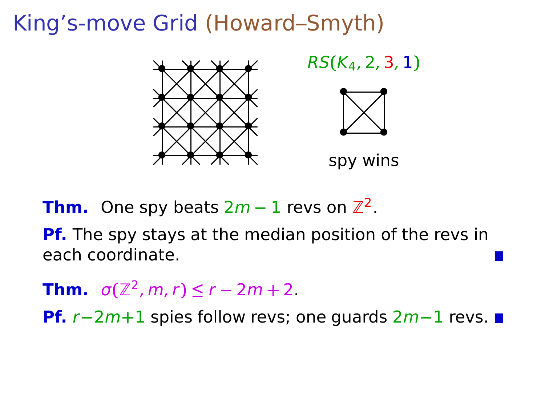

RS**(**K4, 2, 3, 1**)**



spy wins

**Thm.** One spy beats <sup>2</sup><sup>m</sup> **<sup>−</sup>** <sup>1</sup> revs on <sup>Z</sup><sup>2</sup> .

**Pf.** The spy stays at the median position of the revs in each coordinate.

**Thm.**  $\sigma(\mathbb{Z}^2, m, r) \le r - 2m + 2$ .

**Pf.** r**−**2m**+**1 spies follow revs; one guards 2m**−**1 revs.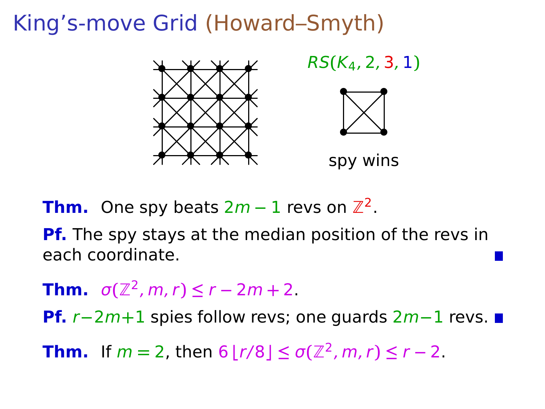

RS**(**K4, 2, 3, 1**)**



spy wins

**Thm.** One spy beats <sup>2</sup><sup>m</sup> **<sup>−</sup>** <sup>1</sup> revs on <sup>Z</sup><sup>2</sup> .

**Pf.** The spy stays at the median position of the revs in each coordinate.

**Thm.**  $\sigma(\mathbb{Z}^2, m, r) \le r - 2m + 2$ .

**Pf.** r**−**2m**+**1 spies follow revs; one guards 2m**−**1 revs.

**Thm.** If  $m = 2$ , then  $6 \lfloor r/8 \rfloor \le \sigma(\mathbb{Z}^2, m, r) \le r - 2$ .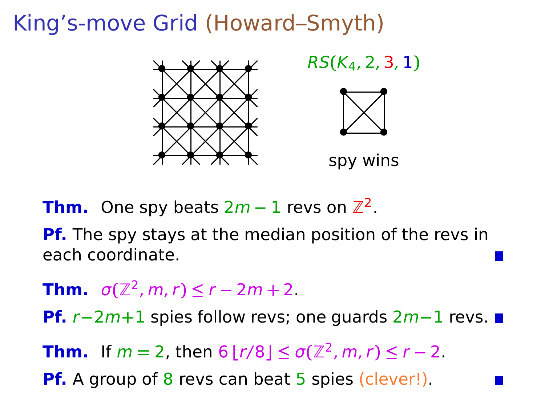

RS**(**K4, 2, 3, 1**)**



spy wins

**Thm.** One spy beats <sup>2</sup><sup>m</sup> **<sup>−</sup>** <sup>1</sup> revs on <sup>Z</sup><sup>2</sup> .

**Pf.** The spy stays at the median position of the revs in each coordinate.

**Thm.**  $\sigma(\mathbb{Z}^2, m, r) \le r - 2m + 2$ .

**Pf.** r**−**2m**+**1 spies follow revs; one guards 2m**−**1 revs.

**Thm.** If  $m = 2$ , then  $6 \lfloor r/8 \rfloor \le \sigma(\mathbb{Z}^2, m, r) \le r - 2$ .

**Pf.** A group of 8 revs can beat 5 spies (clever!).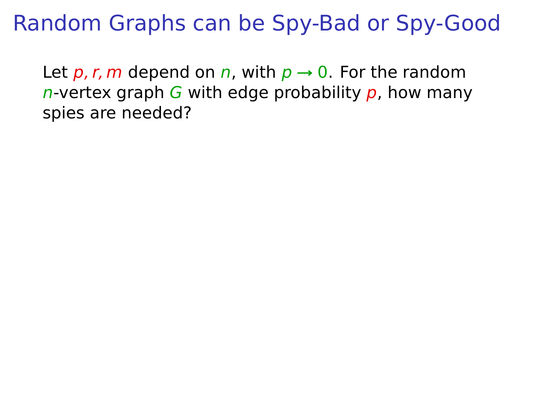Random Graphs can be Spy-Bad or Spy-Good

Let  $p, r, m$  depend on n, with  $p \rightarrow 0$ . For the random n-vertex graph G with edge probability  $p$ , how many spies are needed?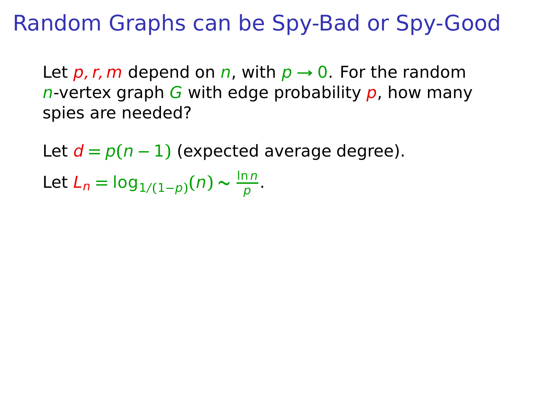Random Graphs can be Spy-Bad or Spy-Good

Let  $p, r, m$  depend on n, with  $p \rightarrow 0$ . For the random n-vertex graph G with edge probability  $p$ , how many spies are needed?

Let  $d = p(n - 1)$  (expected average degree).

Let  $L_n = \log_{1/(1-p)}(n) \sim \frac{\ln n}{p}$  $\frac{m}{p}$ .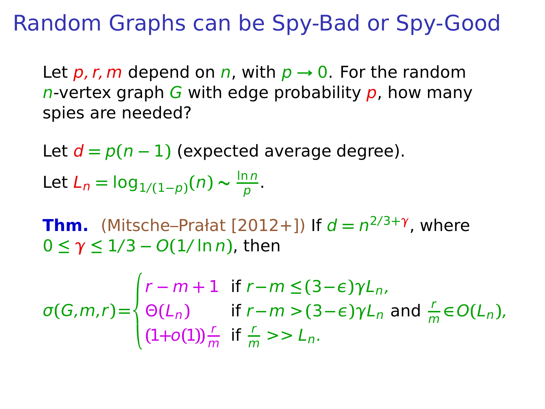Random Graphs can be Spy-Bad or Spy-Good

Let  $p, r, m$  depend on n, with  $p \rightarrow 0$ . For the random n-vertex graph G with edge probability  $p$ , how many spies are needed?

Let  $d = p(n - 1)$  (expected average degree).

Let  $L_n = \log_{1/(1-p)}(n) \sim \frac{\ln n}{p}$  $\frac{m}{p}$ .

**Thm.** (Mitsche–Prałat [2012+]) If d **=** n 2/3**+**γ , where 0 **≤** γ **≤** 1/3 **−** O**(**1/ ln n**)**, then

$$
\sigma(G,m,r) = \begin{cases}\nr - m + 1 & \text{if } r - m \le (3 - \epsilon)\gamma L_n, \\
\Theta(L_n) & \text{if } r - m > (3 - \epsilon)\gamma L_n \text{ and } \frac{r}{m} \in O(L_n), \\
(1 + o(1))\frac{r}{m} & \text{if } \frac{r}{m} > > L_n.\n\end{cases}
$$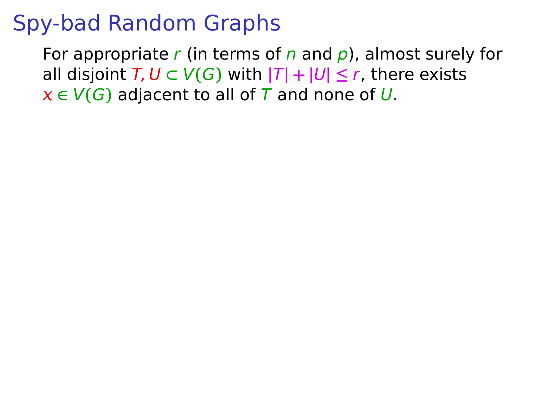For appropriate r (in terms of n and  $p$ ), almost surely for all disjoint  $T, U \subset V(G)$  with  $|T| + |U| \leq r$ , there exists  $x \in V(G)$  adjacent to all of T and none of U.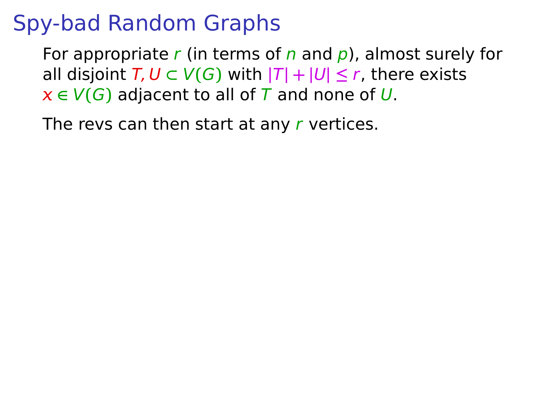For appropriate r (in terms of n and  $p$ ), almost surely for all disjoint  $T, U \subset V(G)$  with  $|T| + |U| \leq r$ , there exists  $x \in V(G)$  adjacent to all of T and none of U.

The revs can then start at any  $r$  vertices.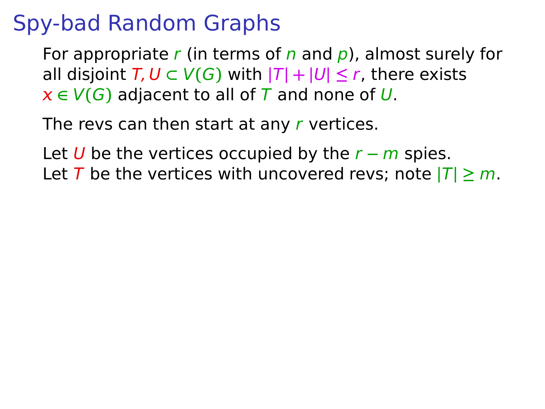For appropriate r (in terms of n and  $p$ ), almost surely for all disjoint  $T, U \subset V(G)$  with  $|T| + |U| \leq r$ , there exists  $x \in V(G)$  adjacent to all of T and none of U.

The revs can then start at any r vertices.

Let U be the vertices occupied by the r **−** m spies. Let T be the vertices with uncovered revs; note  $|T| \ge m$ .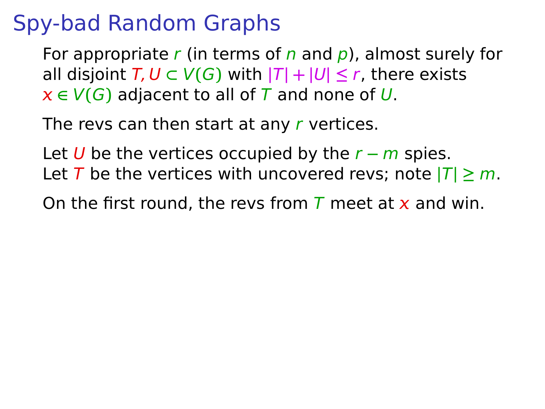For appropriate r (in terms of n and  $p$ ), almost surely for all disjoint  $T, U \subset V(G)$  with  $|T| + |U| \le r$ , there exists  $x \in V(G)$  adjacent to all of T and none of U.

The revs can then start at any r vertices.

Let U be the vertices occupied by the r **−** m spies. Let T be the vertices with uncovered revs; note  $|T| \ge m$ .

On the first round, the revs from  $\overline{T}$  meet at  $\overline{x}$  and win.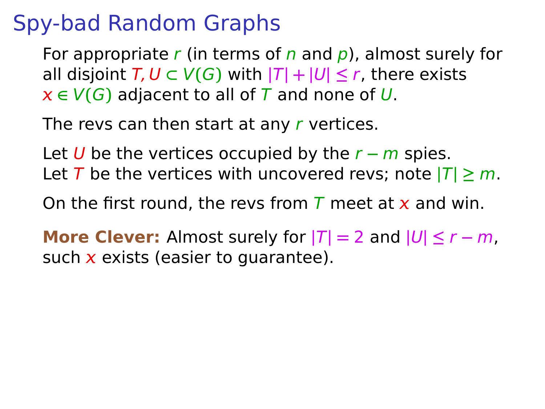For appropriate r (in terms of n and  $p$ ), almost surely for all disjoint  $T, U \subset V(G)$  with  $|T| + |U| \leq r$ , there exists  $x \in V(G)$  adjacent to all of T and none of U.

The revs can then start at any r vertices.

Let U be the vertices occupied by the r **−** m spies. Let T be the vertices with uncovered revs; note  $|T| \ge m$ .

On the first round, the revs from T meet at x and win.

**More Clever:** Almost surely for  $|T| = 2$  and  $|U| \le r - m$ , such  $x$  exists (easier to quarantee).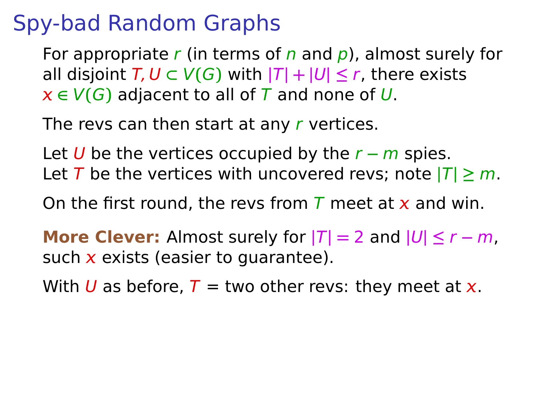For appropriate r (in terms of n and  $\rho$ ), almost surely for all disjoint  $T, U \subset V(G)$  with  $|T| + |U| \le r$ , there exists  $x \in V(G)$  adjacent to all of T and none of U.

The revs can then start at any r vertices.

Let U be the vertices occupied by the r **−** m spies. Let T be the vertices with uncovered revs; note  $|T| \ge m$ .

On the first round, the revs from  $\overline{T}$  meet at  $\overline{x}$  and win.

**More Clever:** Almost surely for  $|T| = 2$  and  $|U| \le r - m$ , such  $x$  exists (easier to quarantee).

With U as before,  $T =$  two other revs: they meet at x.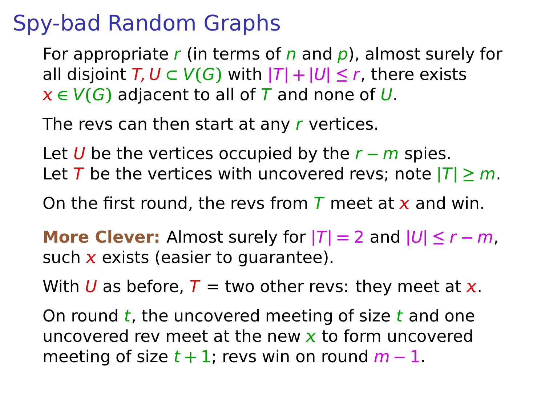For appropriate r (in terms of n and  $\rho$ ), almost surely for all disjoint  $T, U \subset V(G)$  with  $|T| + |U| \le r$ , there exists  $x \in V(G)$  adjacent to all of T and none of U.

The revs can then start at any r vertices.

Let U be the vertices occupied by the r **−** m spies. Let T be the vertices with uncovered revs; note  $|T| \ge m$ .

On the first round, the revs from T meet at x and win.

**More Clever:** Almost surely for  $|T| = 2$  and  $|U| \le r - m$ , such  $x$  exists (easier to guarantee).

With U as before,  $T =$  two other revs: they meet at x.

On round  $t$ , the uncovered meeting of size  $t$  and one uncovered rev meet at the new  $x$  to form uncovered meeting of size  $t + 1$ ; revs win on round  $m - 1$ .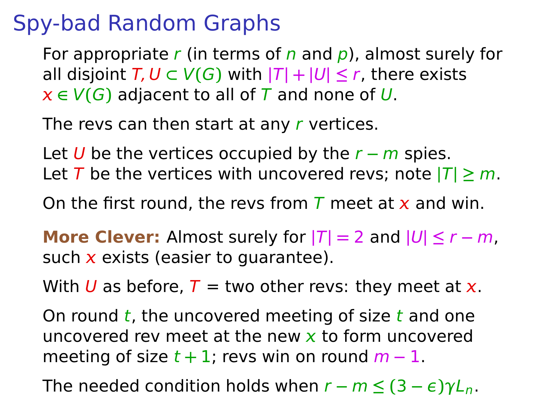For appropriate r (in terms of n and  $\rho$ ), almost surely for all disjoint  $T, U \subset V(G)$  with  $|T| + |U| \le r$ , there exists  $x \in V(G)$  adjacent to all of T and none of U.

The revs can then start at any r vertices.

Let U be the vertices occupied by the r **−** m spies. Let T be the vertices with uncovered revs; note  $|T| \ge m$ .

On the first round, the revs from T meet at x and win.

**More Clever:** Almost surely for  $|T| = 2$  and  $|U| \le r - m$ , such  $x$  exists (easier to guarantee).

With U as before,  $T =$  two other revs: they meet at x.

On round  $t$ , the uncovered meeting of size  $t$  and one uncovered rev meet at the new  $x$  to form uncovered meeting of size  $t + 1$ ; revs win on round  $m - 1$ .

The needed condition holds when  $r - m \leq (3 - \epsilon) \gamma L_n$ .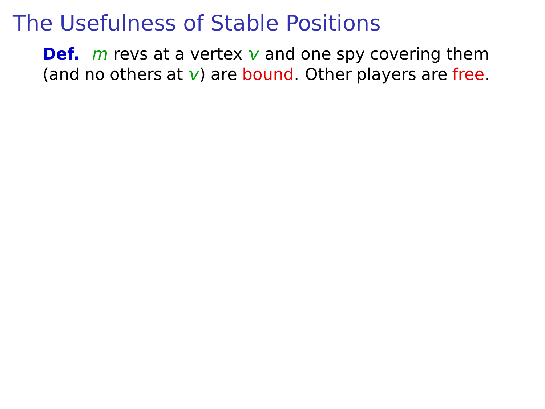**Def.** *m* revs at a vertex  $v$  and one spy covering them (and no others at  $v$ ) are bound. Other players are free.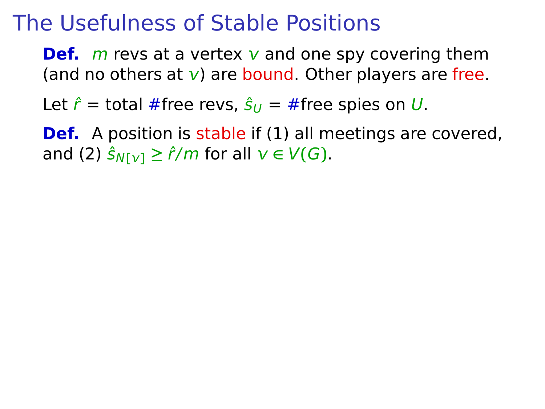**Def.** *m* revs at a vertex  $v$  and one spy covering them (and no others at  $\bf{v}$ ) are bound. Other players are free.

Let  $\hat{r}$  = total #free revs,  $\hat{s}_U = \#$ free spies on U.

**Def.** A position is stable if (1) all meetings are covered, and (2)  $\hat{S}_{N[V]} \geq \hat{r}/m$  for all  $v \in V(G)$ .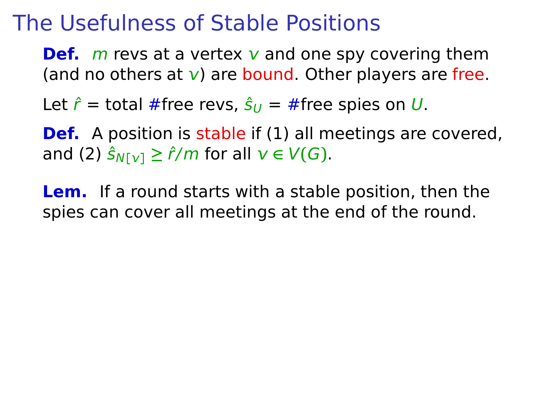**Def.** *m* revs at a vertex  $v$  and one spy covering them (and no others at  $\bf{v}$ ) are bound. Other players are free.

Let  $\hat{r}$  = total #free revs,  $\hat{s}_U = \#$ free spies on U.

**Def.** A position is stable if (1) all meetings are covered, and (2)  $\hat{S}_{N[V]} \geq \hat{r}/m$  for all  $v \in V(G)$ .

**Lem.** If a round starts with a stable position, then the spies can cover all meetings at the end of the round.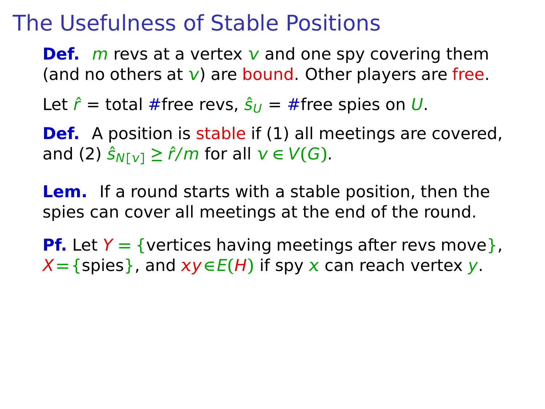**Def.** *m* revs at a vertex  $v$  and one spy covering them (and no others at  $v$ ) are bound. Other players are free.

Let  $\hat{r}$  = total #free revs,  $\hat{s}_{U}$  = #free spies on U.

**Def.** A position is stable if (1) all meetings are covered, and (2)  $\hat{S}_{N[V]} \geq \hat{r}/m$  for all  $v \in V(G)$ .

**Lem.** If a round starts with a stable position, then the spies can cover all meetings at the end of the round.

**Pf.** Let  $Y = \{$  vertices having meetings after revs move  $\}$ ,  $X = \{ \text{spies} \}$ , and  $xy \in E(H)$  if spy x can reach vertex y.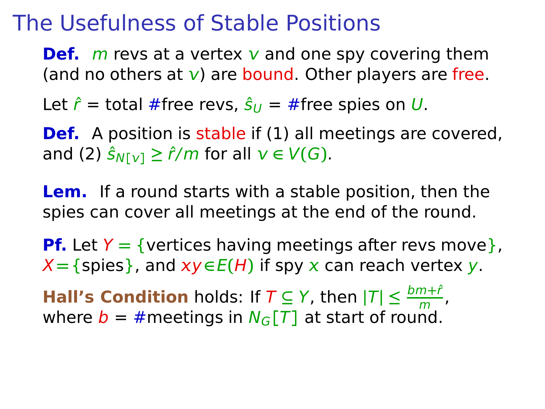**Def.** *m* revs at a vertex  $v$  and one spy covering them (and no others at  $v$ ) are bound. Other players are free.

Let  $\hat{r}$  = total #free revs,  $\hat{s}_{U}$  = #free spies on U.

**Def.** A position is stable if (1) all meetings are covered, and (2)  $\hat{S}_{N[V]} \geq \hat{r}/m$  for all  $v \in V(G)$ .

**Lem.** If a round starts with a stable position, then the spies can cover all meetings at the end of the round.

**Pf.** Let  $Y = \{$  vertices having meetings after revs move  $\}$ ,  $X = \{ \text{spies} \}$ , and  $xy \in E(H)$  if spy x can reach vertex y.

**Hall's Condition** holds: If  $T \subseteq Y$ , then  $|T| \leq \frac{bm+f}{m}$ , where  $b = #$  meetings in  $N_G[T]$  at start of round.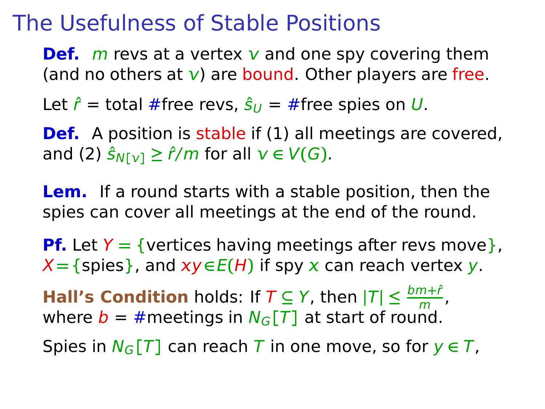**Def.** *m* revs at a vertex  $v$  and one spy covering them (and no others at  $v$ ) are bound. Other players are free.

Let  $\hat{r}$  = total #free revs,  $\hat{s}_{U}$  = #free spies on U.

**Def.** A position is stable if (1) all meetings are covered, and (2)  $\hat{S}_{N[V]} \geq \hat{r}/m$  for all  $v \in V(G)$ .

**Lem.** If a round starts with a stable position, then the spies can cover all meetings at the end of the round.

**Pf.** Let  $Y = \{$  vertices having meetings after revs move  $\}$ ,  $X = \{ \text{spies} \}$ , and  $xy \in E(H)$  if spy x can reach vertex y.

**Hall's Condition** holds: If  $T \subseteq Y$ , then  $|T| \leq \frac{bm+f}{m}$ , where  $b = #$  meetings in  $N_G[T]$  at start of round.

Spies in  $N_G[T]$  can reach T in one move, so for  $y \in T$ ,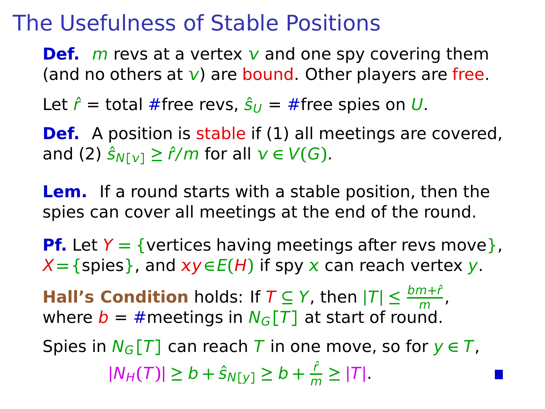**Def.** *m* revs at a vertex  $v$  and one spy covering them (and no others at  $v$ ) are bound. Other players are free.

Let  $\hat{r}$  = total #free revs,  $\hat{s}_{U}$  = #free spies on U.

**Def.** A position is stable if (1) all meetings are covered, and (2)  $\hat{S}_{N[V]} \geq \hat{r}/m$  for all  $v \in V(G)$ .

**Lem.** If a round starts with a stable position, then the spies can cover all meetings at the end of the round.

**Pf.** Let  $Y = \{$  vertices having meetings after revs move $\}$ ,  $X = \{ \text{spies} \}$ , and  $xy \in E(H)$  if spy x can reach vertex y.

**Hall's Condition** holds: If  $T \subseteq Y$ , then  $|T| \leq \frac{bm+f}{m}$ , where  $b = #$  meetings in  $N_G[T]$  at start of round.

Spies in  $N_G[T]$  can reach T in one move, so for  $y \in T$ ,  $|N_H(T)|$  ≥ b +  $\hat{S}_{N[y]}$  ≥ b +  $\frac{\hat{r}}{m}$  $\frac{1}{m} \geq |T|$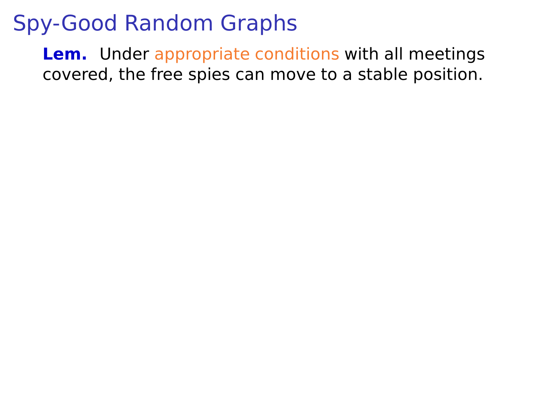**Lem.** Under appropriate conditions with all meetings covered, the free spies can move to a stable position.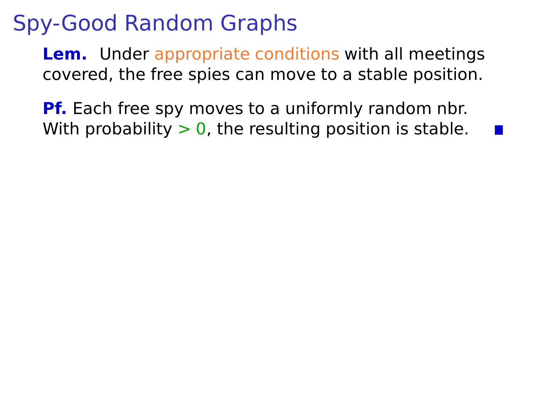**Lem.** Under appropriate conditions with all meetings covered, the free spies can move to a stable position.

**Pf.** Each free spy moves to a uniformly random nbr. With probability  $> 0$ , the resulting position is stable.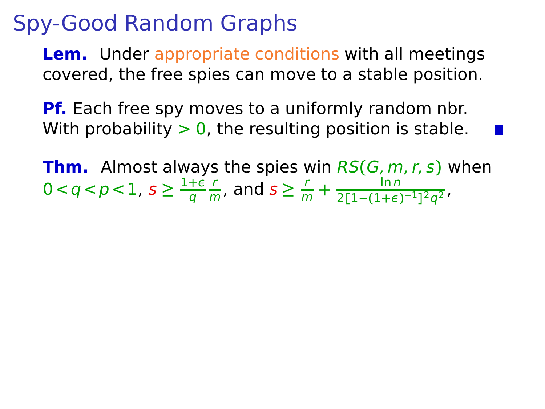**Lem.** Under appropriate conditions with all meetings covered, the free spies can move to a stable position.

**Pf.** Each free spy moves to a uniformly random nbr. With probability  $> 0$ , the resulting position is stable.

**Thm.** Almost always the spies win RS**(**G, m, r, s**)** when  $0 < q < p < 1, s \geq \frac{1+\epsilon}{q}$ q r  $\frac{r}{m}$ , and  $s \geq \frac{r}{m} + \frac{\ln n}{2[1-(1+\epsilon)]}$  $\frac{1}{2[1-(1+\epsilon)^{-1}]^2q^2}$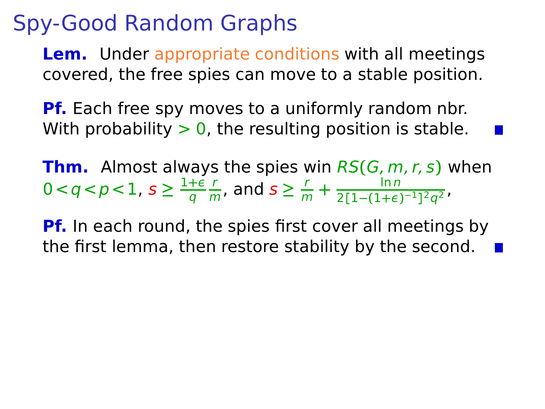**Lem.** Under appropriate conditions with all meetings covered, the free spies can move to a stable position.

**Pf.** Each free spy moves to a uniformly random nbr. With probability  $> 0$ , the resulting position is stable.

**Thm.** Almost always the spies win RS**(**G, m, r, s**)** when  $0 < q < p < 1, s \geq \frac{1+\epsilon}{q}$ q r  $\frac{r}{m}$ , and  $s \geq \frac{r}{m} + \frac{\ln n}{2[1-(1+\epsilon)]}$  $\frac{1}{2[1-(1+\epsilon)^{-1}]^2q^2}$ 

**Pf.** In each round, the spies first cover all meetings by the first lemma, then restore stability by the second.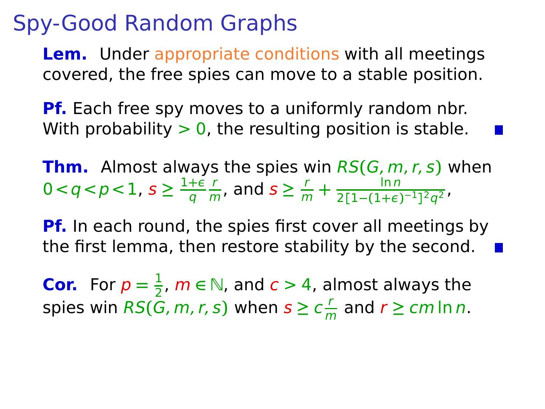**Lem.** Under appropriate conditions with all meetings covered, the free spies can move to a stable position.

**Pf.** Each free spy moves to a uniformly random nbr. With probability  $> 0$ , the resulting position is stable.

**Thm.** Almost always the spies win RS**(**G, m, r, s**)** when  $0 < q < p < 1, s \geq \frac{1+\epsilon}{q}$ q r  $\frac{r}{m}$ , and  $s \geq \frac{r}{m} + \frac{\ln n}{2[1-(1+\epsilon)]}$  $\frac{1}{2[1-(1+\epsilon)^{-1}]^2q^2}$ 

**Pf.** In each round, the spies first cover all meetings by the first lemma, then restore stability by the second.

**Cor.** For  $p = \frac{1}{2}$  $\frac{1}{2}$ ,  $m \in \mathbb{N}$ , and  $c > 4$ , almost always the spies win  $RS(\bar{G}, m, r, s)$  when  $s \geq c \frac{r}{n}$  $\frac{r}{m}$  and  $r \ge cm \ln n$ .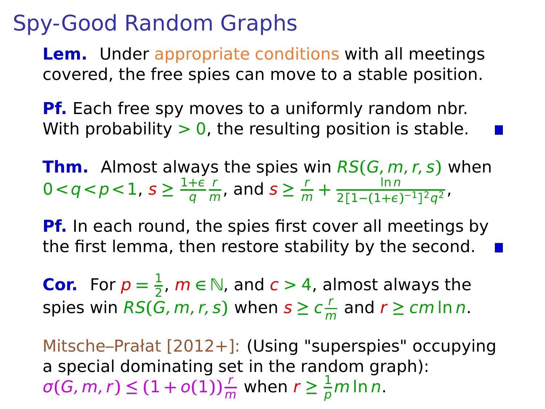**Lem.** Under appropriate conditions with all meetings covered, the free spies can move to a stable position.

**Pf.** Each free spy moves to a uniformly random nbr. With probability  $> 0$ , the resulting position is stable.

**Thm.** Almost always the spies win RS**(**G, m, r, s**)** when  $0 < q < p < 1, s \geq \frac{1+\epsilon}{q}$ q r  $\frac{r}{m}$ , and  $s \geq \frac{r}{m} + \frac{\ln n}{2[1-(1+\epsilon)]}$  $\frac{1}{2[1-(1+\epsilon)^{-1}]^2q^2}$ 

**Pf.** In each round, the spies first cover all meetings by the first lemma, then restore stability by the second.

**Cor.** For  $p = \frac{1}{2}$  $\frac{1}{2}$ ,  $m \in \mathbb{N}$ , and  $c > 4$ , almost always the spies win  $RS(\bar{G}, m, r, s)$  when  $s \geq c \frac{r}{n}$  $\frac{r}{m}$  and  $r \ge cm \ln n$ .

Mitsche–Prałat [2012+]: (Using "superspies" occupying a special dominating set in the random graph):  $\sigma(G, m, r) \leq (1 + o(1)) \frac{r}{m}$  when  $r \geq \frac{1}{p} m \ln n$ .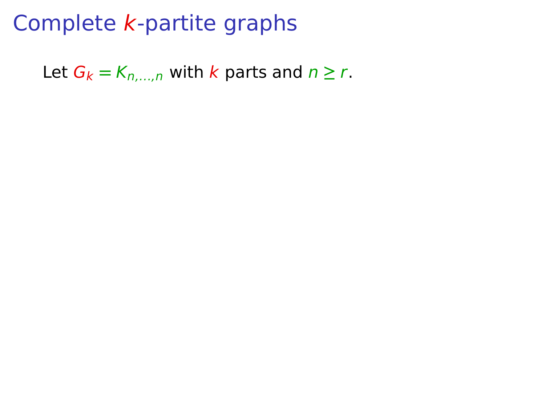Let  $G_k = K_{n,\dots,n}$  with k parts and  $n \geq r$ .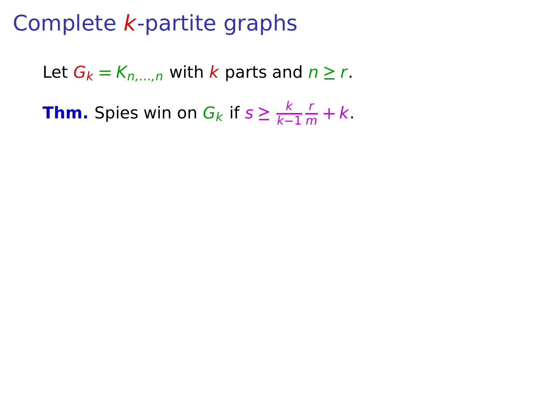Let  $G_k = K_{n,\dots,n}$  with k parts and  $n \geq r$ .

**Thm.** Spies win on  $G_k$  if  $s \geq \frac{k}{k-1}$ k**−**1  $\frac{r}{m} + k$ .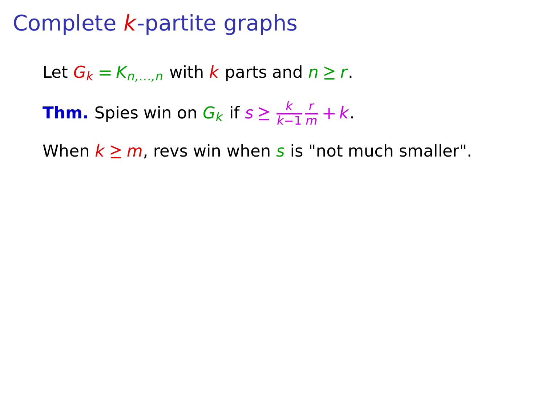Let  $G_k = K_{n,\dots,n}$  with k parts and  $n \geq r$ .

**Thm.** Spies win on  $G_k$  if  $s \geq \frac{k}{k-1}$ k**−**1  $\frac{r}{m} + k$ .

When  $k \ge m$ , revs win when s is "not much smaller".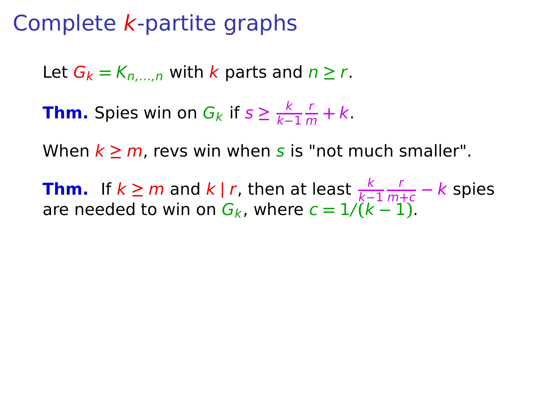Let  $G_k = K_n$ , with k parts and  $n \ge r$ .

**Thm.** Spies win on  $G_k$  if  $s \geq \frac{k}{k-1}$ k**−**1  $\frac{r}{m} + k$ .

When  $k \ge m$ , revs win when s is "not much smaller".

**Thm.** If  $k \ge m$  and  $k \mid r$ , then at least  $\frac{k}{k-1}$ r <sup>m</sup>**+**<sup>c</sup> **−** k spies are needed to win on  $G_k$ , where  $c = 1/(k-1)$ .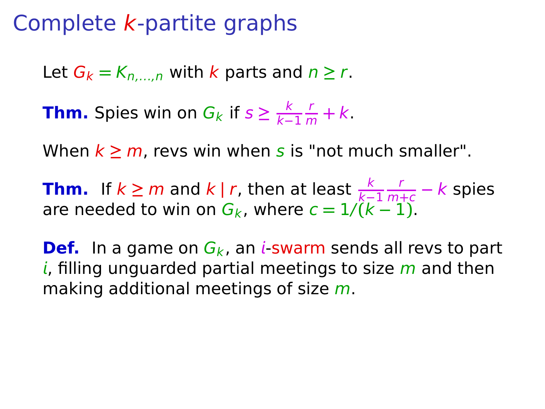Let  $G_k = K_n$ , with k parts and  $n \ge r$ .

**Thm.** Spies win on  $G_k$  if  $s \geq \frac{k}{k-1}$ k**−**1  $\frac{r}{m} + k$ .

When  $k > m$ , revs win when s is "not much smaller".

**Thm.** If  $k \ge m$  and  $k \mid r$ , then at least  $\frac{k}{k-1}$ r <sup>m</sup>**+**<sup>c</sup> **−** k spies are needed to win on  $G_k$ , where  $c = 1/(k-1)$ .

**Def.** In a game on  $G_k$ , an i-swarm sends all revs to part i, filling unguarded partial meetings to size  $m$  and then making additional meetings of size m.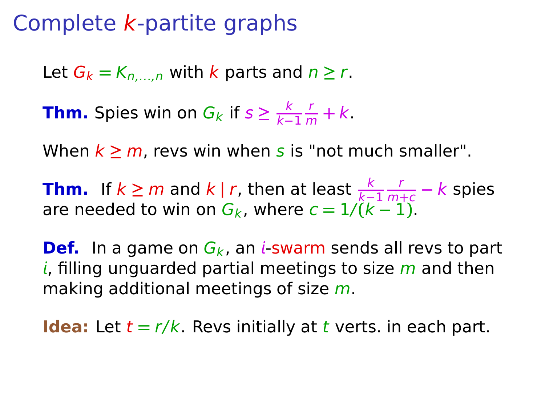Let  $G_k = K_n$ , with k parts and  $n \ge r$ .

**Thm.** Spies win on  $G_k$  if  $s \geq \frac{k}{k-1}$ k**−**1  $\frac{r}{m} + k$ .

When  $k > m$ , revs win when s is "not much smaller".

**Thm.** If  $k \ge m$  and  $k \mid r$ , then at least  $\frac{k}{k-1}$ r <sup>m</sup>**+**<sup>c</sup> **−** k spies are needed to win on  $G_k$ , where  $c = 1/(k-1)$ .

**Def.** In a game on  $G_k$ , an *i*-swarm sends all revs to part i, filling unguarded partial meetings to size  $m$  and then making additional meetings of size m.

**Idea:** Let  $t = r/k$ . Revs initially at t verts. in each part.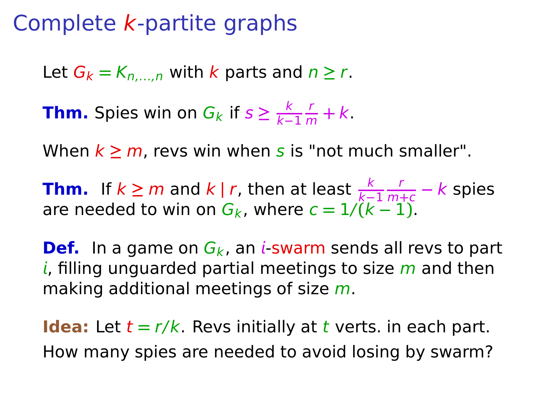## Complete k-partite graphs

Let  $G_k = K_n$ , with k parts and  $n \ge r$ .

**Thm.** Spies win on  $G_k$  if  $s \geq \frac{k}{k-1}$ k**−**1  $\frac{r}{m} + k$ .

When  $k \ge m$ , revs win when s is "not much smaller".

**Thm.** If  $k \ge m$  and  $k \mid r$ , then at least  $\frac{k}{k-1}$ r <sup>m</sup>**+**<sup>c</sup> **−** k spies are needed to win on  $G_k$ , where  $c = 1/(k-1)$ .

**Def.** In a game on  $G_k$ , an *i*-swarm sends all revs to part i, filling unguarded partial meetings to size  $m$  and then making additional meetings of size m.

**Idea:** Let  $t = r/k$ . Revs initially at t verts. in each part. How many spies are needed to avoid losing by swarm?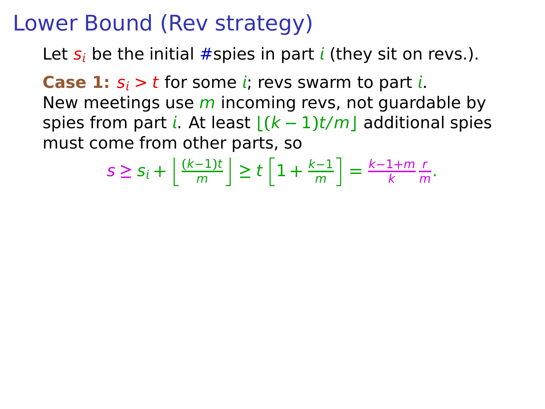Let  $s_i$  be the initial #spies in part *i* (they sit on revs.).

**Case 1:**  $s_i > t$  for some *i*; revs swarm to part *i*. New meetings use  $m$  incoming revs, not guardable by spies from part *i*. At least  $\frac{(k-1)t}{m}$  additional spies must come from other parts, so

$$
s \geq s_i + \left\lfloor \frac{(k-1)t}{m} \right\rfloor \geq t \left[ 1 + \frac{k-1}{m} \right] = \frac{k-1+m}{k} \frac{r}{m}.
$$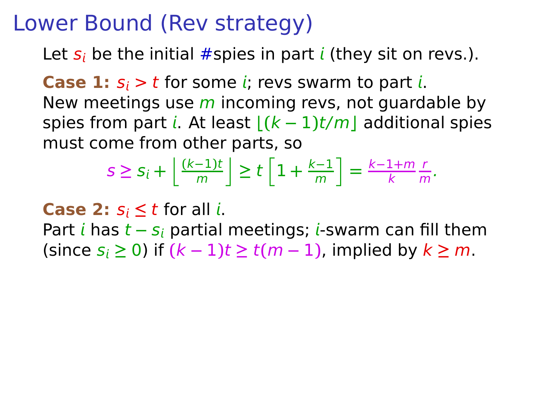Let  $s_i$  be the initial #spies in part *i* (they sit on revs.).

**Case 1:**  $s_i > t$  for some *i*; revs swarm to part *i*. New meetings use  $m$  incoming revs, not guardable by spies from part *i*. At least  $|(k-1)t/m|$  additional spies must come from other parts, so

$$
s \geq s_i + \left\lfloor \frac{(k-1)t}{m} \right\rfloor \geq t \left[ 1 + \frac{k-1}{m} \right] = \frac{k-1+m}{k} \frac{r}{m}.
$$

**Case 2:**  $s_i \leq t$  for all *i*.

Part *i* has *t* − s<sub>i</sub> partial meetings; *i*-swarm can fill them  $(k = 1)$  (since  $s_i \ge 0$ ) if  $(k − 1)$ t  $\ge t(m − 1)$ , implied by  $k \ge m$ .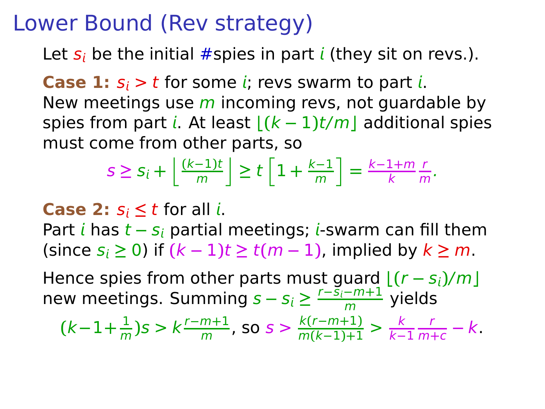Let  $s_i$  be the initial #spies in part *i* (they sit on revs.).

**Case 1:**  $s_i > t$  for some *i*; revs swarm to part *i*. New meetings use  $m$  incoming revs, not guardable by spies from part *i*. At least  $\frac{(k-1)t}{m}$  additional spies must come from other parts, so

$$
s \geq s_i + \left\lfloor \frac{(k-1)t}{m} \right\rfloor \geq t \left\lfloor 1 + \frac{k-1}{m} \right\rfloor = \frac{k-1+m}{k} \frac{r}{m}.
$$

**Case 2:**  $s_i \leq t$  for all *i*.

Part *i* has *t* − s<sub>i</sub> partial meetings; *i*-swarm can fill them  $(since s_i \ge 0)$  if  $(k-1)t \ge t(m-1)$ , implied by  $k \ge m$ .

Hence spies from other parts must guard  $|(r - s_i)/m|$ new meetings. Summing  $s - s_i \geq \frac{r - \bar{s}_i - m + 1}{m}$  yields

$$
(k-1+\frac{1}{m})s > k\frac{r-m+1}{m}, \text{ so } s > \frac{k(r-m+1)}{m(k-1)+1} > \frac{k}{k-1}\frac{r}{m+c} - k.
$$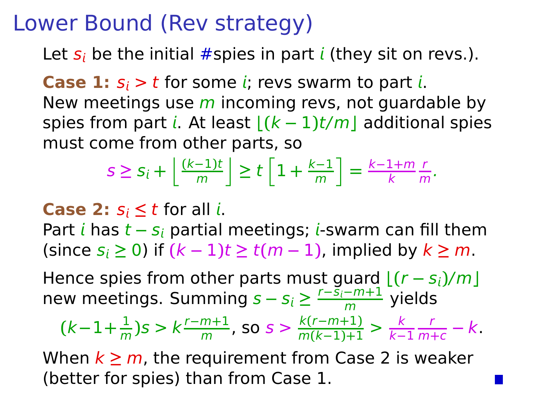Let  $s_i$  be the initial #spies in part *i* (they sit on revs.).

**Case 1:**  $s_i > t$  for some *i*; revs swarm to part *i*. New meetings use  $m$  incoming revs, not guardable by spies from part *i*. At least  $\frac{(k-1)t}{m}$  additional spies must come from other parts, so

$$
s \geq s_i + \left\lfloor \frac{(k-1)t}{m} \right\rfloor \geq t \left\lfloor 1 + \frac{k-1}{m} \right\rfloor = \frac{k-1+m}{k} \frac{r}{m}.
$$

**Case 2:**  $s_i \leq t$  for all *i*.

Part *i* has *t* − s<sub>i</sub> partial meetings; *i*-swarm can fill them  $(k = 1)$  (since  $s_i \ge 0$ ) if  $(k − 1)$ t  $\ge t(m − 1)$ , implied by  $k \ge m$ .

Hence spies from other parts must guard  $[(r - s_i)/m]$ new meetings. Summing  $s - s_i \geq \frac{r - \bar{s}_i - m + 1}{m}$  yields

$$
(k-1+\frac{1}{m})s > k\frac{r-m+1}{m}, \text{ so } s > \frac{k(r-m+1)}{m(k-1)+1} > \frac{k}{k-1}\frac{r}{m+c} - k.
$$

When  $k \ge m$ , the requirement from Case 2 is weaker (better for spies) than from Case 1.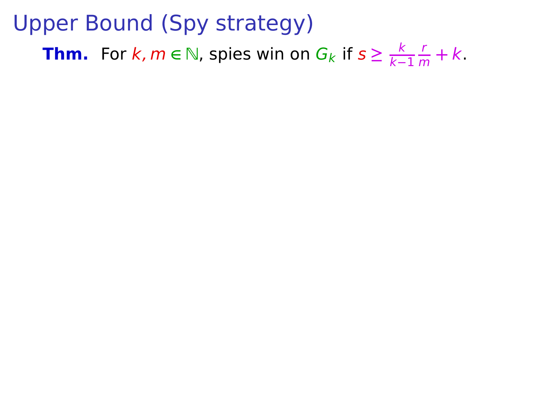**Thm.** For  $k, m \in \mathbb{N}$ , spies win on  $G_k$  if  $s \geq \frac{k}{k-1}$ k**−**1  $\frac{1}{m} + k$ .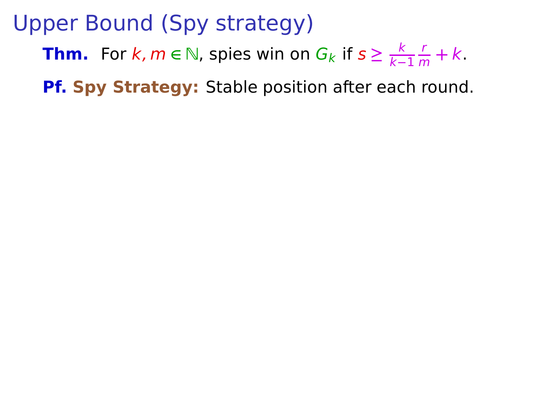**Thm.** For  $k, m \in \mathbb{N}$ , spies win on  $G_k$  if  $s \geq \frac{k}{k-1}$ k**−**1 r  $\frac{1}{m} + k$ .

**Pf. Spy Strategy:** Stable position after each round.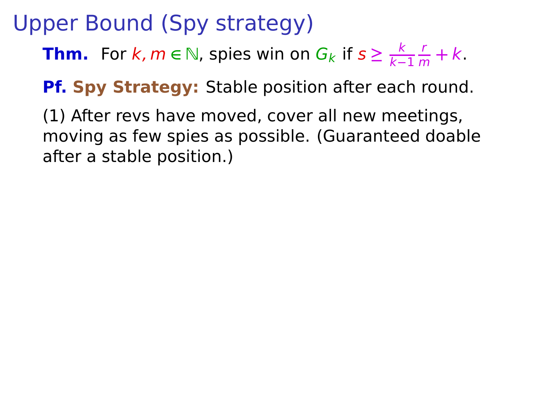**Thm.** For  $k, m \in \mathbb{N}$ , spies win on  $G_k$  if  $s \geq \frac{k}{k-1}$ k**−**1 r  $\frac{1}{m} + k$ .

**Pf. Spy Strategy:** Stable position after each round.

(1) After revs have moved, cover all new meetings, moving as few spies as possible. (Guaranteed doable after a stable position.)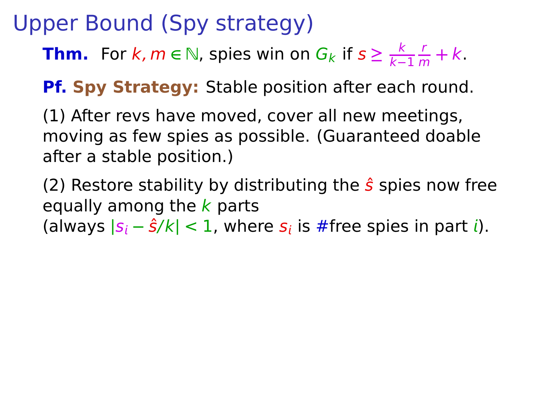**Thm.** For  $k, m \in \mathbb{N}$ , spies win on  $G_k$  if  $s \geq \frac{k}{k-1}$ k**−**1 r  $\frac{1}{m} + k$ .

**Pf. Spy Strategy:** Stable position after each round.

(1) After revs have moved, cover all new meetings, moving as few spies as possible. (Guaranteed doable after a stable position.)

(2) Restore stability by distributing the  $\hat{s}$  spies now free equally among the  $k$  parts (always |*s<sub>i</sub>* − *ŝ/k*| < 1, where *s<sub>i</sub>* is #free spies in part *i*).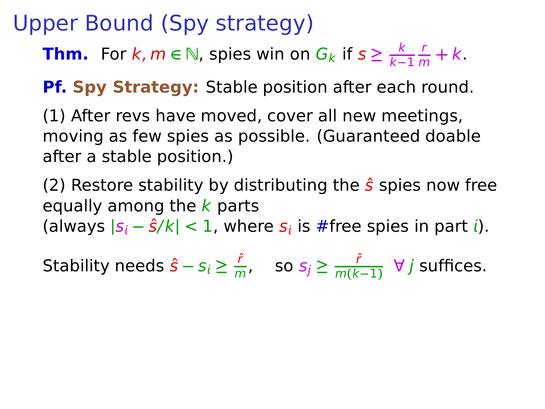**Thm.** For  $k, m \in \mathbb{N}$ , spies win on  $G_k$  if  $s \geq \frac{k}{k-1}$ k**−**1 r  $\frac{1}{m} + k$ .

**Pf. Spy Strategy:** Stable position after each round.

(1) After revs have moved, cover all new meetings, moving as few spies as possible. (Guaranteed doable after a stable position.)

(2) Restore stability by distributing the  $\hat{s}$  spies now free equally among the  $k$  parts (always |*s<sub>i</sub>* − *ŝ/k*| < 1, where *s<sub>i</sub>* is #free spies in part *i*).

Stability needs  $\hat{s} - s_i \geq \frac{\hat{r}}{m}$  $\frac{\hat{r}}{m}$ , so  $s_j \geq \frac{\hat{r}}{m(k)}$ m**(**k**−**1**)** ∀ j suffices.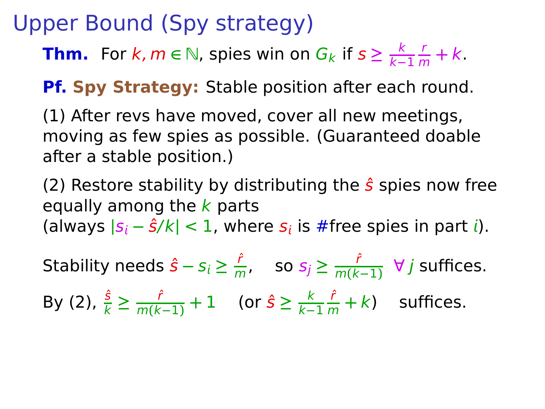**Thm.** For  $k, m \in \mathbb{N}$ , spies win on  $G_k$  if  $s \geq \frac{k}{k-1}$ k**−**1 r  $\frac{1}{m} + k$ .

**Pf. Spy Strategy:** Stable position after each round.

(1) After revs have moved, cover all new meetings, moving as few spies as possible. (Guaranteed doable after a stable position.)

(2) Restore stability by distributing the  $\hat{s}$  spies now free equally among the  $k$  parts (always |*s<sub>i</sub>* − *ŝ/k*| < 1, where *s<sub>i</sub>* is #free spies in part *i*).

Stability needs  $\hat{s} - s_i \geq \frac{\hat{r}}{m}$  $\frac{\hat{r}}{m}$ , so  $s_j \geq \frac{\hat{r}}{m(k)}$ m**(**k**−**1**)** ∀ j suffices. By (2),  $\frac{\hat{s}}{k}$  ≥  $\frac{\hat{r}}{m(k-1)} + 1$  (or  $\hat{s}$  ≥  $\frac{k}{k-1}$ k**−**1  $\frac{\hat{r}}{m} + k$ ) suffices.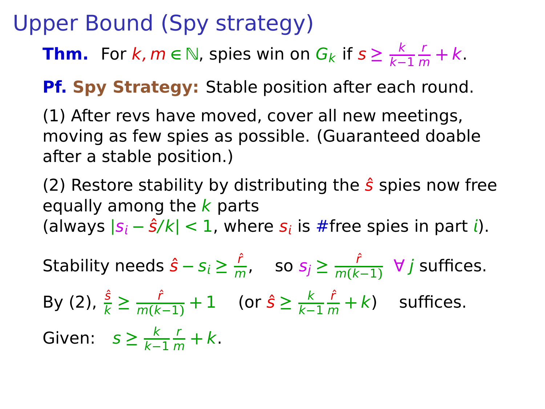**Thm.** For  $k, m \in \mathbb{N}$ , spies win on  $G_k$  if  $s \geq \frac{k}{k-1}$ k**−**1 r  $\frac{1}{m} + k$ .

**Pf. Spy Strategy:** Stable position after each round.

(1) After revs have moved, cover all new meetings, moving as few spies as possible. (Guaranteed doable after a stable position.)

(2) Restore stability by distributing the  $\hat{s}$  spies now free equally among the  $k$  parts (always |*s<sub>i</sub>* − *ŝ/k*| < 1, where *s<sub>i</sub>* is #free spies in part *i*).

Stability needs  $\hat{s} - s_i \geq \frac{\hat{r}}{m}$  $\frac{\hat{r}}{m}$ , so  $s_j \geq \frac{\hat{r}}{m(k)}$ m**(**k**−**1**)** ∀ j suffices. By (2),  $\frac{\hat{s}}{k}$  ≥  $\frac{\hat{r}}{m(k-1)} + 1$  (or  $\hat{s}$  ≥  $\frac{k}{k-1}$ k**−**1  $\frac{\hat{r}}{m} + k$ ) suffices. Given:  $s \geq \frac{k}{k-1}$ k**−**1  $\frac{r}{m} + k$ .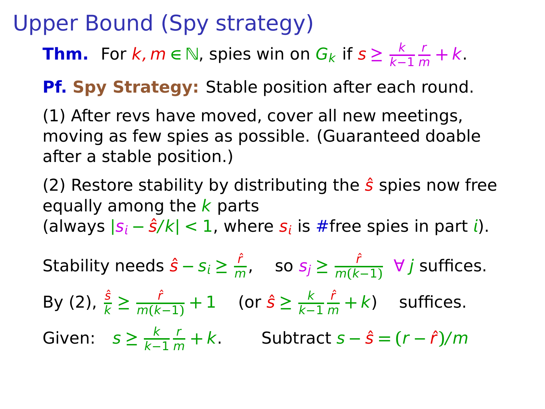**Thm.** For  $k, m \in \mathbb{N}$ , spies win on  $G_k$  if  $s \geq \frac{k}{k-1}$ k**−**1 r  $\frac{1}{m} + k$ .

**Pf. Spy Strategy:** Stable position after each round.

(1) After revs have moved, cover all new meetings, moving as few spies as possible. (Guaranteed doable after a stable position.)

(2) Restore stability by distributing the  $\hat{s}$  spies now free equally among the  $k$  parts (always |*s<sub>i</sub>* − *ŝ/k*| < 1, where *s<sub>i</sub>* is #free spies in part *i*).

Stability needs  $\hat{s} - s_i \geq \frac{\hat{r}}{m}$  $\frac{\hat{r}}{m}$ , so  $s_j \geq \frac{\hat{r}}{m(k)}$ m**(**k**−**1**)** ∀ j suffices. By (2),  $\frac{\hat{s}}{k}$  ≥  $\frac{\hat{r}}{m(k-1)} + 1$  (or  $\hat{s}$  ≥  $\frac{k}{k-1}$ k**−**1  $\frac{\hat{r}}{m} + k$ ) suffices. Given:  $s \geq \frac{k}{k-1}$ k**−**1 r <sup>m</sup> **+** k. Subtract s **−** sˆ **= (**r **−** rˆ**)**/m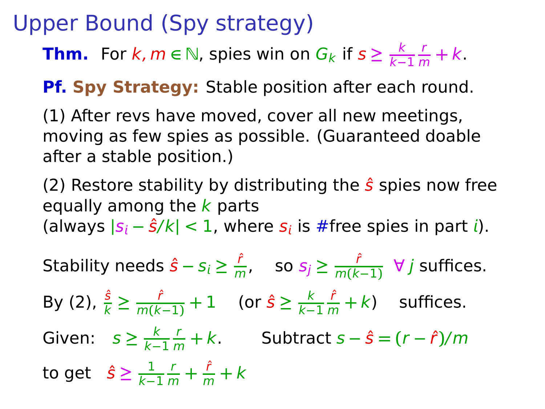**Thm.** For  $k, m \in \mathbb{N}$ , spies win on  $G_k$  if  $s \geq \frac{k}{k-1}$ k**−**1 r  $\frac{1}{m} + k$ .

**Pf. Spy Strategy:** Stable position after each round.

(1) After revs have moved, cover all new meetings, moving as few spies as possible. (Guaranteed doable after a stable position.)

(2) Restore stability by distributing the  $\hat{s}$  spies now free equally among the  $k$  parts (always |*s<sub>i</sub>* − *ŝ/k*| < 1, where *s<sub>i</sub>* is #free spies in part *i*).

Stability needs  $\hat{s} - s_i \geq \frac{\hat{r}}{m}$  $\frac{\hat{r}}{m}$ , so  $s_j \geq \frac{\hat{r}}{m(k)}$ m**(**k**−**1**)** ∀ j suffices. By (2),  $\frac{\hat{s}}{k}$  ≥  $\frac{\hat{r}}{m(k-1)} + 1$  (or  $\hat{s}$  ≥  $\frac{k}{k-1}$ k**−**1  $\frac{\hat{r}}{m} + k$ ) suffices. Given:  $s \geq \frac{k}{k-1}$ k**−**1 r <sup>m</sup> **+** k. Subtract s **−** sˆ **= (**r **−** rˆ**)**/m to get  $\hat{\mathcal{S}} \geq \frac{1}{k-1}$ k**−**1  $\frac{r}{m} + \frac{\hat{r}}{m} + k$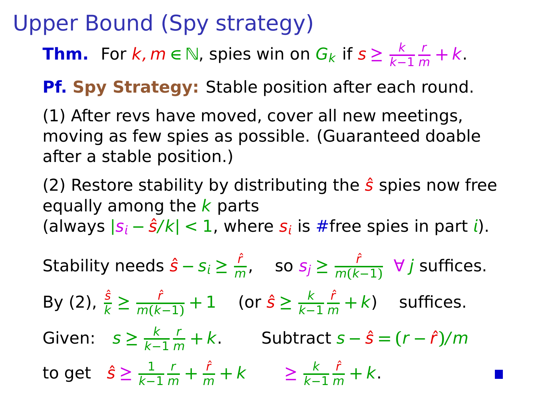**Thm.** For  $k, m \in \mathbb{N}$ , spies win on  $G_k$  if  $s \geq \frac{k}{k-1}$ k**−**1 r  $\frac{1}{m} + k$ .

**Pf. Spy Strategy:** Stable position after each round.

(1) After revs have moved, cover all new meetings, moving as few spies as possible. (Guaranteed doable after a stable position.)

(2) Restore stability by distributing the  $\hat{s}$  spies now free equally among the  $k$  parts (always |*s<sub>i</sub>* − *ŝ/k*| < 1, where *s<sub>i</sub>* is #free spies in part *i*).

Stability needs  $\hat{s} - s_i \geq \frac{\hat{r}}{m}$  $\frac{\hat{r}}{m}$ , so  $s_j \geq \frac{\hat{r}}{m(k)}$ m**(**k**−**1**)** ∀ j suffices. By (2),  $\frac{\hat{s}}{k}$  ≥  $\frac{\hat{r}}{m(k-1)} + 1$  (or  $\hat{s}$  ≥  $\frac{k}{k-1}$ k**−**1  $\frac{\hat{r}}{m} + k$ ) suffices. Given:  $s \geq \frac{k}{k-1}$ k**−**1 r <sup>m</sup> **+** k. Subtract s **−** sˆ **= (**r **−** rˆ**)**/m to get  $\hat{\mathcal{S}} \geq \frac{1}{k-1}$ k**−**1  $\frac{r}{m} + \frac{\hat{r}}{m} + k$   $\geq \frac{k}{k-1}$ k**−**1  $\frac{\hat{r}}{m} + k$ .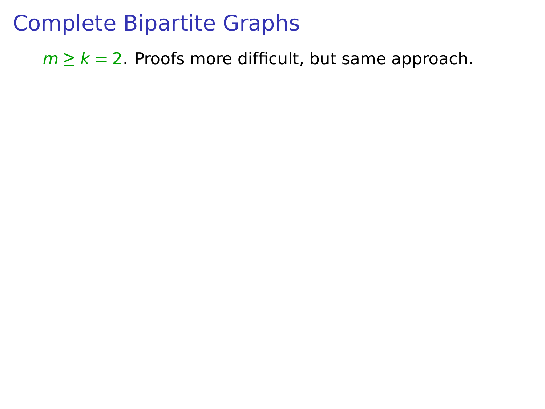$m \geq k = 2$ . Proofs more difficult, but same approach.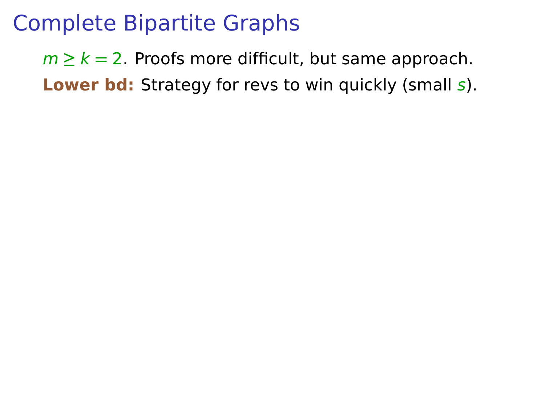### $m \ge k = 2$ . Proofs more difficult, but same approach. **Lower bd:** Strategy for revs to win quickly (small s).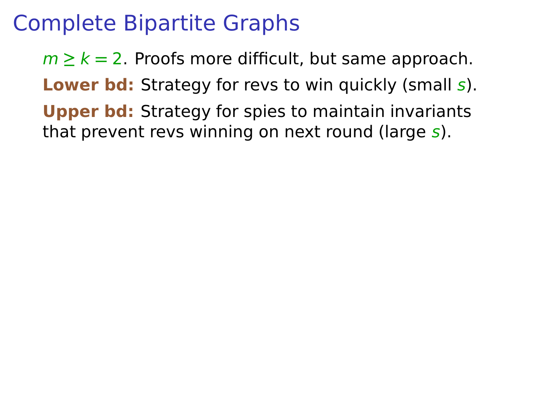$m \geq k = 2$ . Proofs more difficult, but same approach. **Lower bd:** Strategy for revs to win quickly (small s). **Upper bd:** Strategy for spies to maintain invariants that prevent revs winning on next round (large s).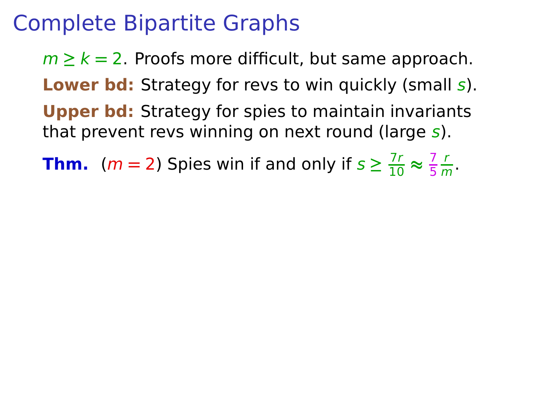$m \geq k = 2$ . Proofs more difficult, but same approach. **Lower bd:** Strategy for revs to win quickly (small s). **Upper bd:** Strategy for spies to maintain invariants that prevent revs winning on next round (large  $s$ ).

**Thm.** (*m* = 2) Spies win if and only if  $s \geq \frac{7r}{10} \approx \frac{7}{5}$ 5 r  $\frac{1}{m}$ .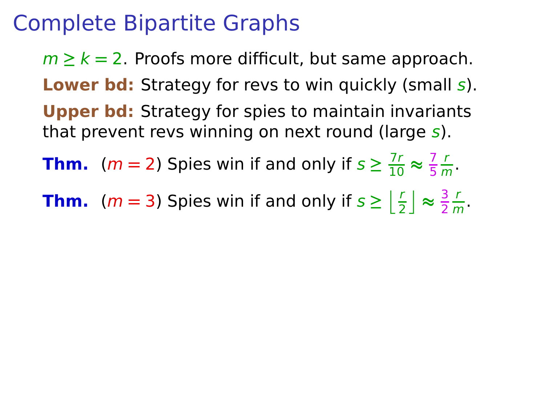$m \geq k = 2$ . Proofs more difficult, but same approach. **Lower bd:** Strategy for revs to win quickly (small s). **Upper bd:** Strategy for spies to maintain invariants that prevent revs winning on next round (large  $s$ ).

**Thm.** (*m* = 2) Spies win if and only if  $s \geq \frac{7r}{10} \approx \frac{7}{5}$ 5 r  $\frac{1}{m}$ .

**Thm.** (*m* = 3) Spies win if and only if  $s \geq \left\lfloor \frac{r}{2} \right\rfloor \approx \frac{3}{2}$ 2 r  $\frac{1}{m}$ .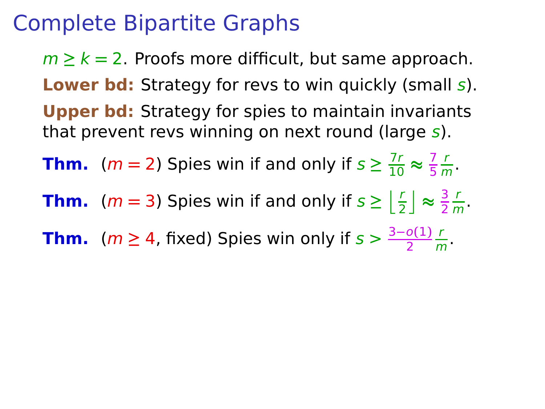$m \geq k = 2$ . Proofs more difficult, but same approach. **Lower bd:** Strategy for revs to win quickly (small s). **Upper bd:** Strategy for spies to maintain invariants that prevent revs winning on next round (large  $s$ ).

**Thm.** (*m* = 2) Spies win if and only if  $s \geq \frac{7r}{10} \approx \frac{7}{5}$ 5 r  $\frac{1}{m}$ .

**Thm.** (*m* = 3) Spies win if and only if  $s \geq \left\lfloor \frac{r}{2} \right\rfloor \approx \frac{3}{2}$ 2 r  $\frac{1}{m}$ .

**Thm.** ( $m \geq 4$ , fixed) Spies win only if  $s > \frac{3-o(1)}{2}$ r  $\frac{1}{m}$ .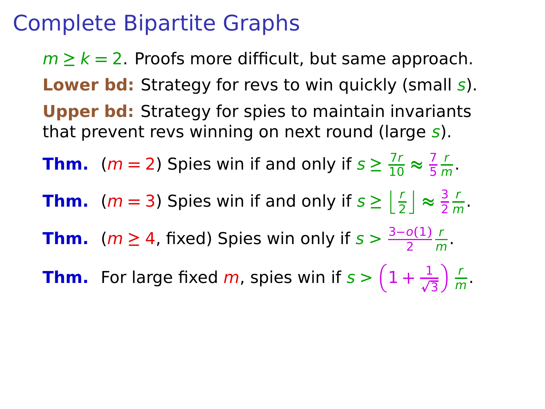$m \geq k = 2$ . Proofs more difficult, but same approach. **Lower bd:** Strategy for revs to win quickly (small s). **Upper bd:** Strategy for spies to maintain invariants that prevent revs winning on next round (large  $s$ ).

**Thm.** (*m* = 2) Spies win if and only if  $s \geq \frac{7r}{10} \approx \frac{7}{5}$ 5 r  $\frac{1}{m}$ .

**Thm.** (*m* = 3) Spies win if and only if  $s \geq \left\lfloor \frac{r}{2} \right\rfloor \approx \frac{3}{2}$ 2 r  $\frac{1}{m}$ .

**Thm.** ( $m \geq 4$ , fixed) Spies win only if  $s > \frac{3-o(1)}{2}$ r  $\frac{1}{m}$ .

**Thm.** For large fixed  $m$ , spies win if  $s > \left(1 + \frac{1}{\sqrt{3}}\right)$  $\sum$  $\frac{1}{m}$ .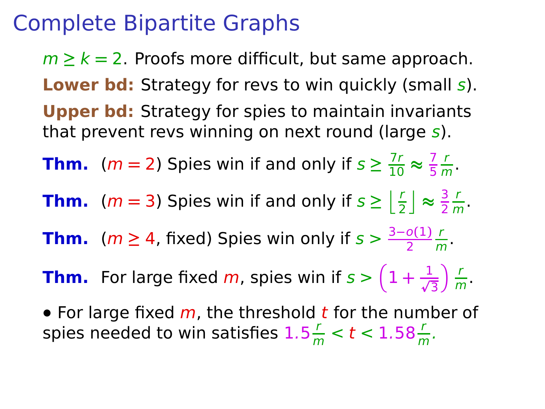$m \geq k = 2$ . Proofs more difficult, but same approach. **Lower bd:** Strategy for revs to win quickly (small s). **Upper bd:** Strategy for spies to maintain invariants that prevent revs winning on next round (large  $s$ ).

**Thm.** (*m* = 2) Spies win if and only if  $s \geq \frac{7r}{10} \approx \frac{7}{5}$ 5 r  $\frac{1}{m}$ .

**Thm.** (*m* = 3) Spies win if and only if  $s \geq \left\lfloor \frac{r}{2} \right\rfloor \approx \frac{3}{2}$ 2 r  $\frac{1}{m}$ .

**Thm.** ( $m \geq 4$ , fixed) Spies win only if  $s > \frac{3-o(1)}{2}$ r  $\frac{1}{m}$ .

**Thm.** For large fixed  $m$ , spies win if  $s > \left(1 + \frac{1}{\sqrt{3}}\right)$  $\sum$  $\frac{1}{m}$ .

• For large fixed m, the threshold t for the number of spies needed to win satisfies  $1.5\frac{r}{m} < t < 1.58\frac{r}{m}$ .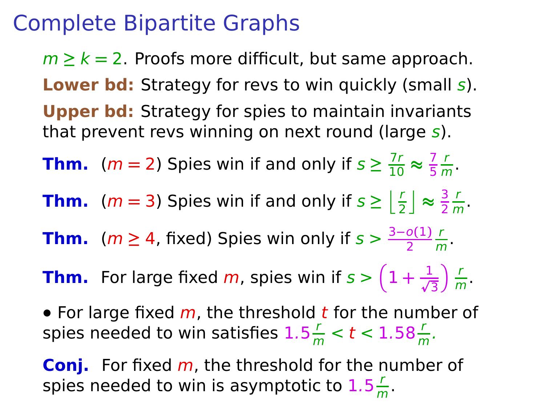$m \geq k = 2$ . Proofs more difficult, but same approach. **Lower bd:** Strategy for revs to win quickly (small s). **Upper bd:** Strategy for spies to maintain invariants that prevent revs winning on next round (large  $s$ ).

**Thm.** (*m* = 2) Spies win if and only if  $s \geq \frac{7r}{10} \approx \frac{7}{5}$ 5 r  $\frac{1}{m}$ .

**Thm.** (*m* = 3) Spies win if and only if  $s \geq \left\lfloor \frac{r}{2} \right\rfloor \approx \frac{3}{2}$ 2 r  $\frac{1}{m}$ .

**Thm.** ( $m \geq 4$ , fixed) Spies win only if  $s > \frac{3-o(1)}{2}$ r  $\frac{1}{m}$ .

**Thm.** For large fixed  $m$ , spies win if  $s > \left(1 + \frac{1}{\sqrt{3}}\right)$  $\sum$  $\frac{1}{m}$ .

• For large fixed m, the threshold t for the number of spies needed to win satisfies  $1.5\frac{r}{m} < t < 1.58\frac{r}{m}$ .

**Conj.** For fixed m, the threshold for the number of spies needed to win is asymptotic to  $1.5\frac{r}{a}$  $\frac{1}{m}$ .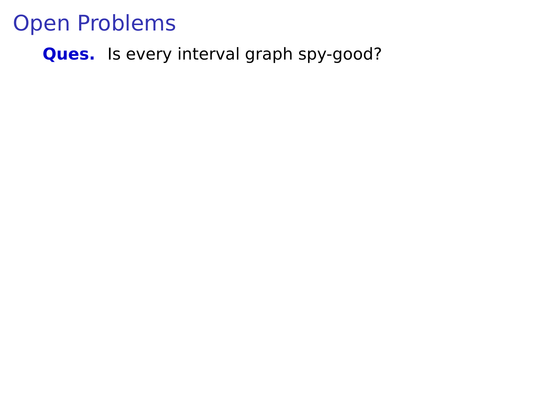**Ques.** Is every interval graph spy-good?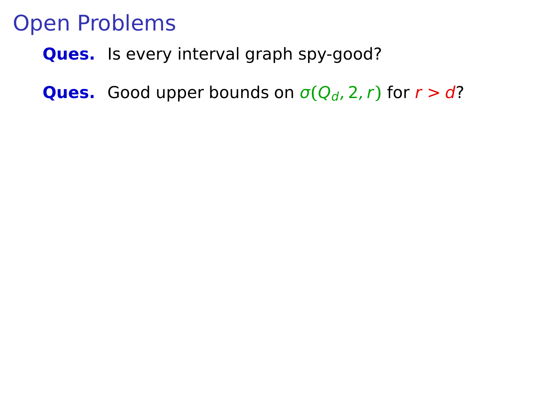**Ques.** Is every interval graph spy-good?

**Ques.** Good upper bounds on  $\sigma(Q_d, 2, r)$  for  $r > d$ ?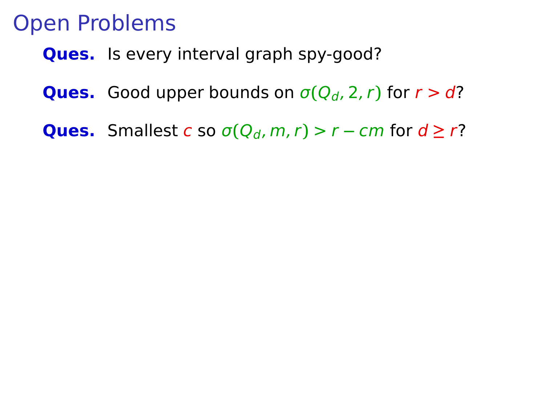**Ques.** Is every interval graph spy-good?

- **Ques.** Good upper bounds on  $\sigma(Q_d, 2, r)$  for  $r > d$ ?
- **Ques.** Smallest c so  $\sigma(Q_d, m, r) > r cm$  for  $d \ge r$ ?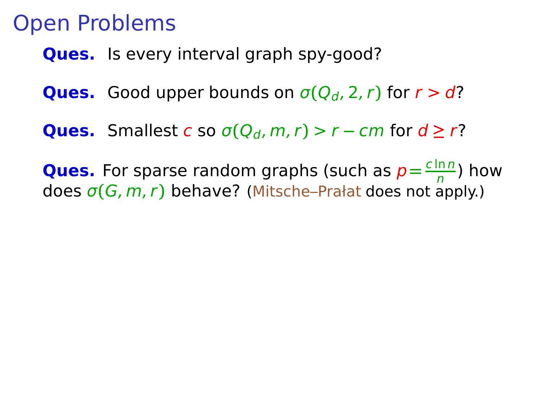**Ques.** Is every interval graph spy-good?

- **Ques.** Good upper bounds on  $\sigma(Q_d, 2, r)$  for  $r > d$ ?
- **Ques.** Smallest c so  $\sigma(Q_d, m, r) > r cm$  for  $d \ge r$ ?
- **Ques.** For sparse random graphs (such as  $p = \frac{c \ln n}{n}$  $\frac{mn}{n}$ ) how does σ**(**G, m, r**)** behave? (Mitsche–Prałat does not apply.)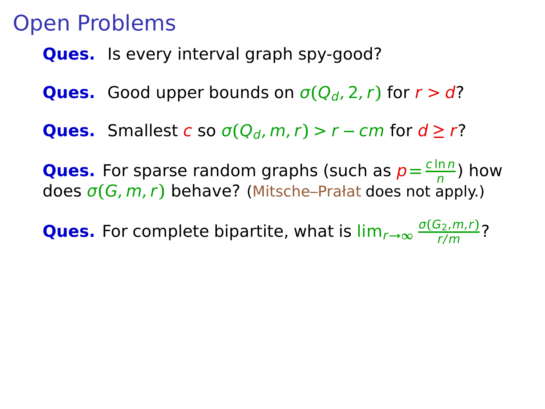**Ques.** Is every interval graph spy-good?

- **Ques.** Good upper bounds on  $\sigma(Q_d, 2, r)$  for  $r > d$ ?
- **Ques.** Smallest c so  $\sigma(Q_d, m, r) > r cm$  for  $d \ge r$ ?

**Ques.** For sparse random graphs (such as  $p = \frac{c \ln n}{n}$  $\frac{mn}{n}$ ) how does σ**(**G, m, r**)** behave? (Mitsche–Prałat does not apply.)

**Ques.** For complete bipartite, what is lim<sub>r→∞</sub>  $\frac{\sigma(G_2,m,r)}{r/m}$ ?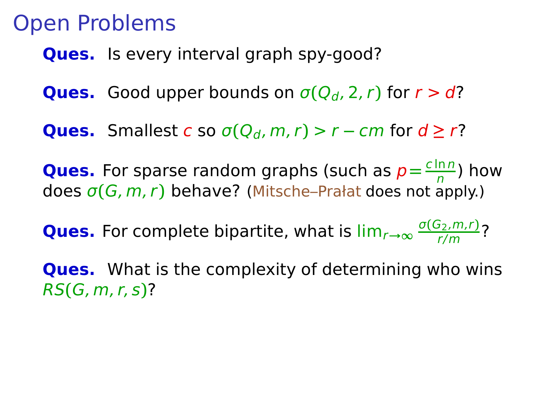**Ques.** Is every interval graph spy-good?

- **Ques.** Good upper bounds on  $\sigma(Q_d, 2, r)$  for  $r > d$ ?
- **Ques.** Smallest c so  $\sigma(Q_d, m, r) > r cm$  for  $d \ge r$ ?

**Ques.** For sparse random graphs (such as  $p = \frac{c \ln n}{n}$  $\frac{mn}{n}$ ) how does σ**(**G, m, r**)** behave? (Mitsche–Prałat does not apply.)

**Ques.** For complete bipartite, what is lim<sub>r→∞</sub>  $\frac{\sigma(G_2,m,r)}{r/m}$ ?

**Ques.** What is the complexity of determining who wins RS**(**G, m, r, s**)**?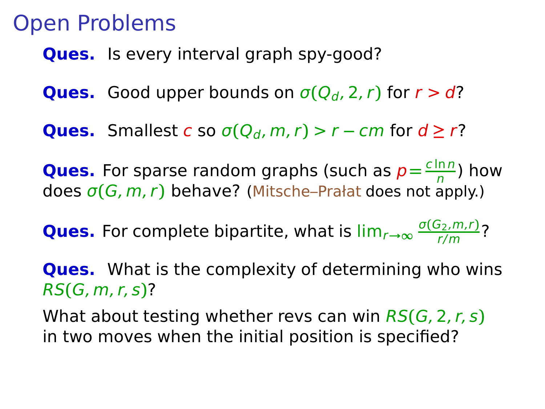**Ques.** Is every interval graph spy-good?

- **Ques.** Good upper bounds on  $\sigma(Q_d, 2, r)$  for  $r > d$ ?
- **Ques.** Smallest c so  $\sigma(Q_d, m, r) > r cm$  for  $d \ge r$ ?

**Ques.** For sparse random graphs (such as  $p = \frac{c \ln n}{n}$  $\frac{mn}{n}$ ) how does σ**(**G, m, r**)** behave? (Mitsche–Prałat does not apply.)

**Ques.** For complete bipartite, what is lim<sub>r→∞</sub>  $\frac{\sigma(G_2,m,r)}{r/m}$ ?

**Ques.** What is the complexity of determining who wins RS**(**G, m, r, s**)**?

What about testing whether revs can win RS**(**G, 2, r, s**)** in two moves when the initial position is specified?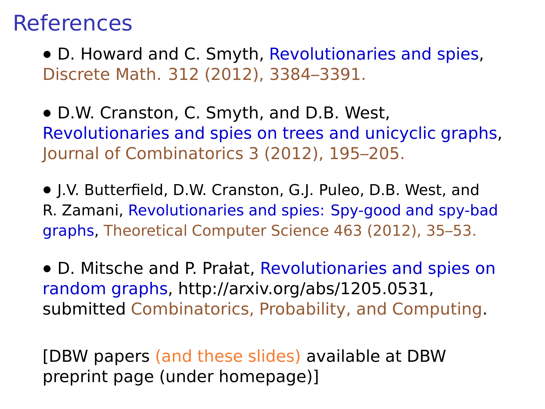#### **References**

**•** D. Howard and C. Smyth, Revolutionaries and spies, Discrete Math. 312 (2012), 3384–3391.

**•** D.W. Cranston, C. Smyth, and D.B. West, Revolutionaries and spies on trees and unicyclic graphs, Journal of Combinatorics 3 (2012), 195–205.

**•** J.V. Butterfield, D.W. Cranston, G.J. Puleo, D.B. West, and R. Zamani, Revolutionaries and spies: Spy-good and spy-bad graphs, Theoretical Computer Science 463 (2012), 35–53.

**•** D. Mitsche and P. Prałat, Revolutionaries and spies on random graphs, http://arxiv.org/abs/1205.0531, submitted Combinatorics, Probability, and Computing.

[DBW papers (and these slides) available at DBW preprint page (under homepage)]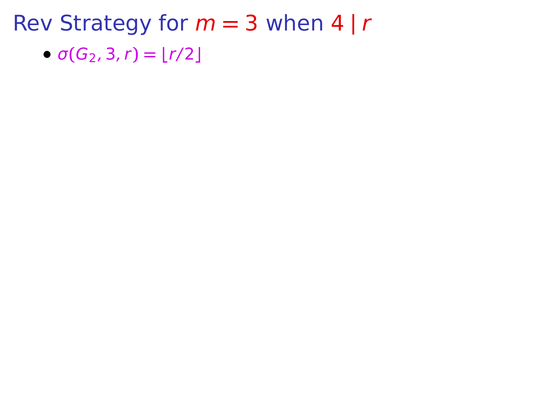•  $\sigma(G_2, 3, r) = \lfloor r/2 \rfloor$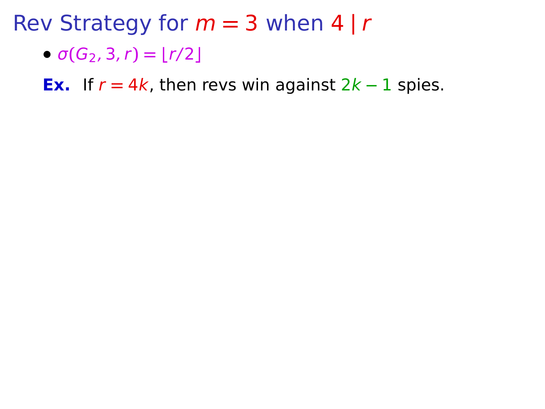•  $\sigma(G_2, 3, r) = |r/2|$ 

**Ex.** If  $r = 4k$ , then revs win against  $2k - 1$  spies.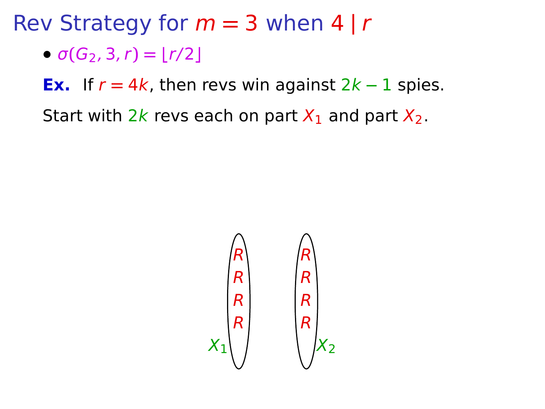$\bullet$   $\sigma(G_2, 3, r) = |r/2|$ 

**Ex.** If  $r = 4k$ , then revs win against  $2k - 1$  spies.

Start with 2k revs each on part  $X_1$  and part  $X_2$ .

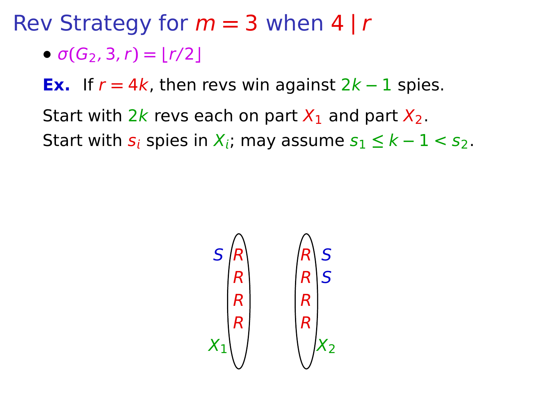$\bullet$   $\sigma(G_2, 3, r) = |r/2|$ 

**Ex.** If  $r = 4k$ , then revs win against  $2k - 1$  spies.

Start with 2k revs each on part  $X_1$  and part  $X_2$ . Start with  $s_i$  spies in  $X_i$ ; may assume  $s_1 \leq k-1 < s_2$ .

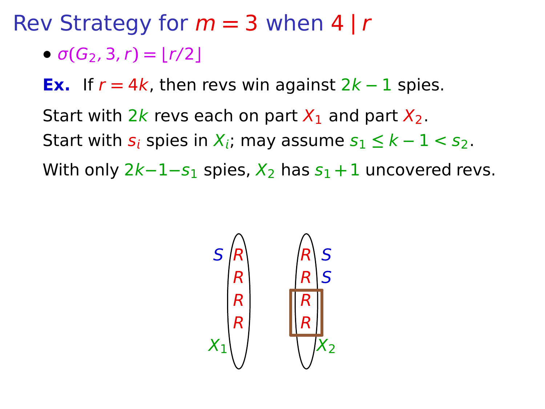Rev Strategy for m **=** 3 when 4 **|** r

 $\bullet$   $\sigma(G_2, 3, r) = |r/2|$ 

**Ex.** If  $r = 4k$ , then revs win against  $2k - 1$  spies.

Start with  $2k$  revs each on part  $X_1$  and part  $X_2$ . Start with  $s_i$  spies in  $X_i$ ; may assume  $s_1 \leq k-1 \leq s_2$ . With only 2k−1−s<sub>1</sub> spies,  $X_2$  has s<sub>1</sub> + 1 uncovered revs.

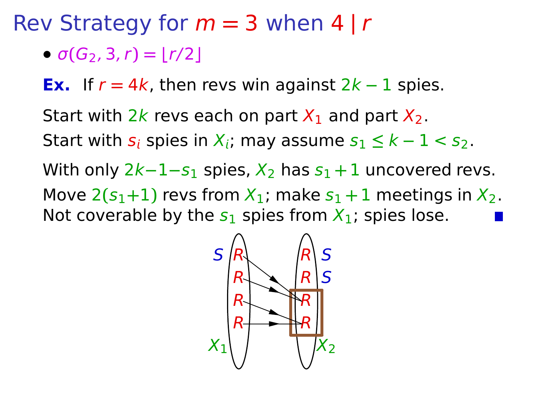Rev Strategy for m **=** 3 when 4 **|** r

 $\sigma(G_2, 3, r) = |r/2|$ 

**Ex.** If  $r = 4k$ , then revs win against  $2k - 1$  spies.

Start with 2k revs each on part  $X_1$  and part  $X_2$ . Start with  $s_i$  spies in  $X_i$ ; may assume  $s_1 \leq k-1 \leq s_2$ . With only 2k−1−s<sub>1</sub> spies,  $X_2$  has s<sub>1</sub> + 1 uncovered revs. Move  $2(s_1+1)$  revs from  $X_1$ ; make  $s_1+1$  meetings in  $X_2$ . Not coverable by the  $s_1$  spies from  $X_1$ ; spies lose.

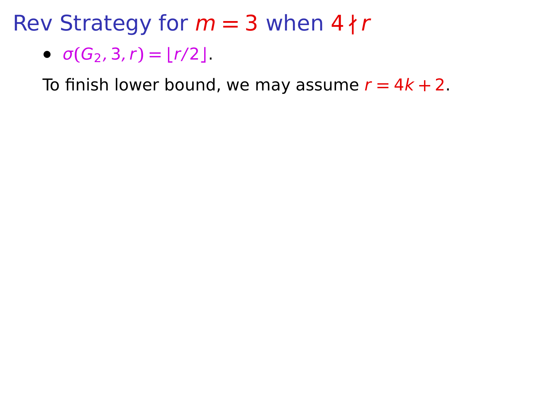Rev Strategy for  $m = 3$  when  $4 \nmid r$ 

$$
\bullet \ \sigma(G_2,3,r) = \lfloor r/2 \rfloor
$$

To finish lower bound, we may assume  $r = 4k + 2$ .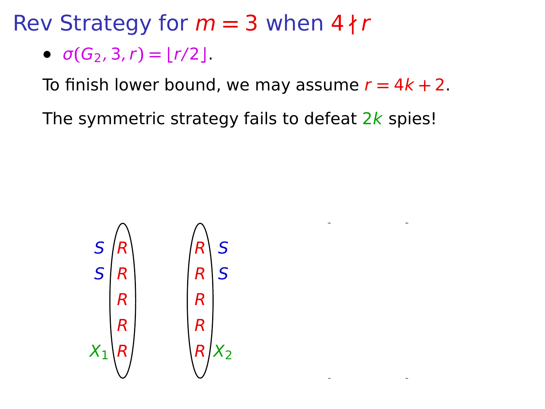Rev Strategy for  $m = 3$  when  $4 \nmid r$ 

•  $\sigma(G_2, 3, r) = |r/2|$ .

To finish lower bound, we may assume  $r = 4k + 2$ .

The symmetric strategy fails to defeat  $2k$  spies!

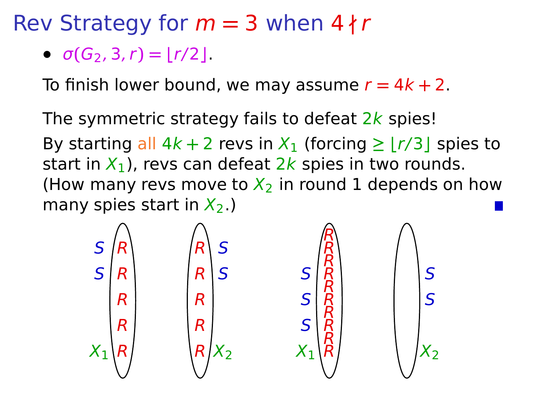Rev Strategy for m **=** 3 when 4 **∤** r

•  $\sigma(G_2, 3, r) = |r/2|$ .

To finish lower bound, we may assume  $r = 4k + 2$ .

The symmetric strategy fails to defeat  $2k$  spies! By starting all  $4k + 2$  revs in  $X_1$  (forcing  $\geq \lfloor r/3 \rfloor$  spies to start in  $X_1$ ), revs can defeat 2k spies in two rounds. (How many revs move to  $X_2$  in round 1 depends on how many spies start in  $X_2$ .)

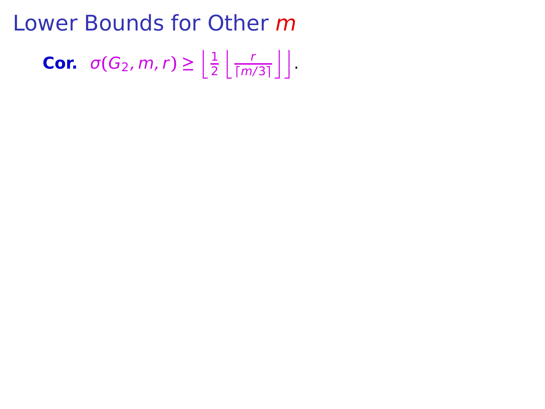Lower Bounds for Other m **Cor.**  $\sigma(G_2, m, r) \geq \left\lfloor \frac{1}{2} \right\rfloor$  $rac{1}{2} \left\lfloor \frac{r}{\lceil m \rceil} \right\rfloor$  $\frac{r}{\lceil m/3 \rceil}$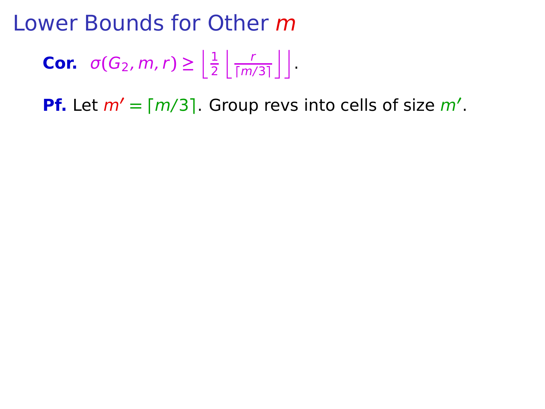**Cor.** 
$$
\sigma(G_2, m, r) \ge \left\lfloor \frac{1}{2} \left\lfloor \frac{r}{\lceil m/3 \rceil} \right\rfloor \right\rfloor
$$

**Pf.** Let m**′ = ⌈**m/3**⌉**. Group revs into cells of size m**′** .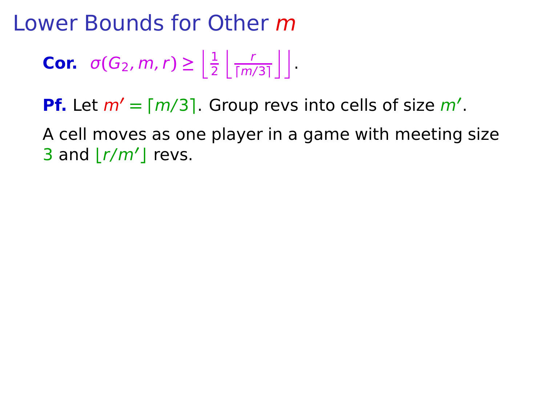**Cor.** 
$$
\sigma(G_2, m, r) \ge \left\lfloor \frac{1}{2} \left\lfloor \frac{r}{\lceil m/3 \rceil} \right\rfloor \right\rfloor
$$

**Pf.** Let m**′ = ⌈**m/3**⌉**. Group revs into cells of size m**′** .

A cell moves as one player in a game with meeting size 3 and **⌊**r/m**′ ⌋** revs.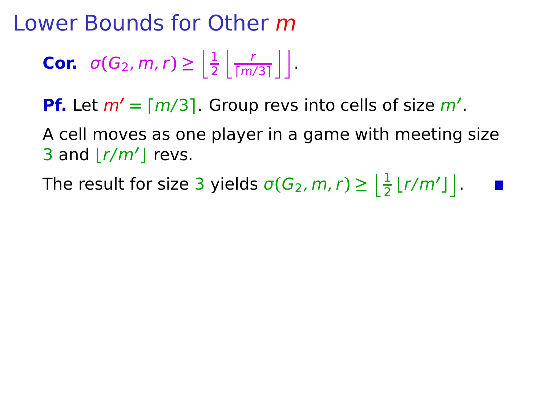**Cor.** 
$$
\sigma(G_2, m, r) \ge \left\lfloor \frac{1}{2} \left\lfloor \frac{r}{\lceil m/3 \rceil} \right\rfloor \right\rfloor
$$

**Pf.** Let m**′ = ⌈**m/3**⌉**. Group revs into cells of size m**′** .

A cell moves as one player in a game with meeting size 3 and **⌊**r/m**′ ⌋** revs.

The result for size 3 yields  $\sigma(G_2, m, r) \geq \left\lfloor \frac{1}{2} \lfloor r/m' \rfloor \right\rfloor$ .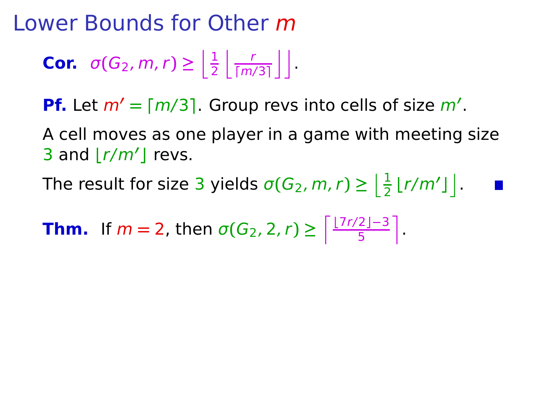**Cor.** 
$$
\sigma(G_2, m, r) \ge \left\lfloor \frac{1}{2} \left\lfloor \frac{r}{\lceil m/3 \rceil} \right\rfloor \right\rfloor
$$

**Pf.** Let m**′ = ⌈**m/3**⌉**. Group revs into cells of size m**′** .

A cell moves as one player in a game with meeting size 3 and **⌊**r/m**′ ⌋** revs.

The result for size 3 yields  $\sigma(G_2, m, r) \geq \left\lfloor \frac{1}{2} \lfloor r/m' \rfloor \right\rfloor$ .

**Thm.** If  $m = 2$ , then  $\sigma(G_2, 2, r) \ge \left\lceil \frac{\lfloor 7r/2 \rfloor - 3}{5} \right\rceil$ .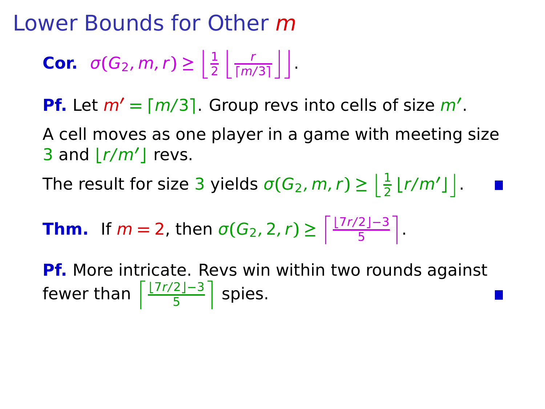**Cor.** 
$$
\sigma(G_2, m, r) \ge \left\lfloor \frac{1}{2} \left\lfloor \frac{r}{\lceil m/3 \rceil} \right\rfloor \right\rfloor
$$

**Pf.** Let m**′ = ⌈**m/3**⌉**. Group revs into cells of size m**′** .

A cell moves as one player in a game with meeting size 3 and **⌊**r/m**′ ⌋** revs.

The result for size 3 yields  $\sigma(G_2, m, r) \geq \left\lfloor \frac{1}{2} \lfloor r/m' \rfloor \right\rfloor$ .

**Thm.** If 
$$
m = 2
$$
, then  $\sigma(G_2, 2, r) \ge \left\lceil \frac{\lfloor 7r/2 \rfloor - 3}{5} \right\rceil$ .

**Pf.** More intricate. Revs win within two rounds against fewer than  $\left\lceil \frac{\lfloor 7r/2 \rfloor -3}{5} \right\rceil$  spies.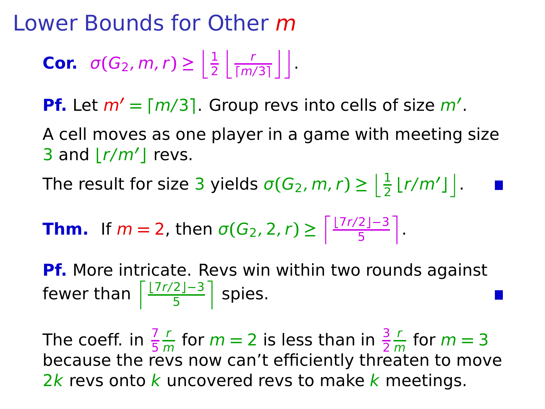**Cor.** 
$$
\sigma(G_2, m, r) \ge \left\lfloor \frac{1}{2} \left\lfloor \frac{r}{\lceil m/3 \rceil} \right\rfloor \right\rfloor
$$

**Pf.** Let m**′ = ⌈**m/3**⌉**. Group revs into cells of size m**′** .

A cell moves as one player in a game with meeting size 3 and **⌊**r/m**′ ⌋** revs.

The result for size 3 yields  $\sigma(G_2, m, r) \geq \left\lfloor \frac{1}{2} \lfloor r/m' \rfloor \right\rfloor$ .

**Thm.** If 
$$
m = 2
$$
, then  $\sigma(G_2, 2, r) \ge \left\lceil \frac{\lfloor 7r/2 \rfloor - 3}{5} \right\rceil$ .

**Pf.** More intricate. Revs win within two rounds against fewer than  $\left\lceil \frac{\lfloor 7r/2 \rfloor -3}{5} \right\rceil$  spies.

The coeff. in  $\frac{7}{5}$ r  $\frac{r}{m}$  for  $m = 2$  is less than in  $\frac{3}{2}$ r  $\frac{r}{m}$  for  $m = 3$ because the revs now can't efficiently threaten to move  $2k$  revs onto k uncovered revs to make k meetings.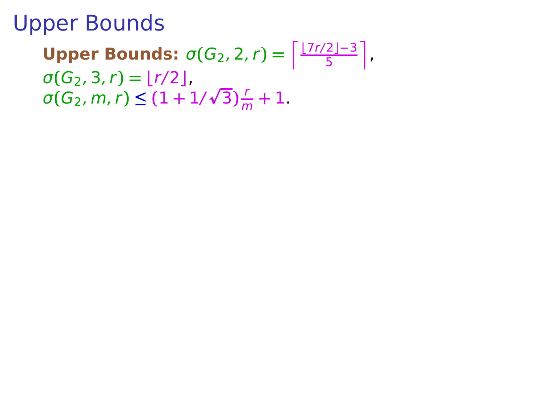**Upper Bounds:**  $\sigma(G_2, 2, r) = \left\lceil \frac{\lfloor 7r/2 \rfloor - 3}{5} \right\rceil$  $\sigma(G_2, 3, r) = \lfloor r/2 \rfloor$ ,  $\sigma(G_2, m, r) \leq (1 + 1/\sqrt{3})\frac{r}{n}$  $\frac{1}{m} + 1$ .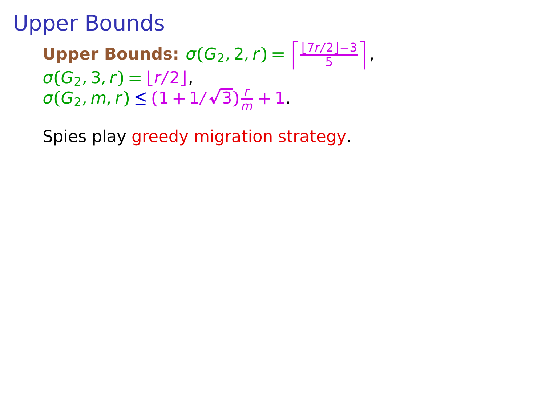**Upper Bounds:**  $\sigma(G_2, 2, r) = \left\lceil \frac{\lfloor 7r/2 \rfloor - 3}{5} \right\rceil$  $\sigma(G_2, 3, r) = \lfloor r/2 \rfloor$ ,  $\sigma(G_2, m, r) \leq (1 + 1/\sqrt{3})\frac{r}{n}$  $\frac{1}{m} + 1$ .

Spies play greedy migration strategy.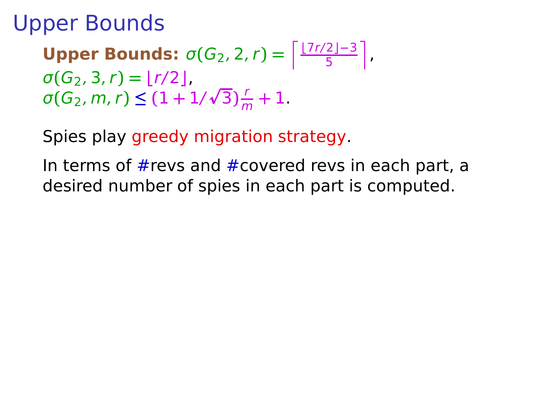**Upper Bounds:**  $\sigma(G_2, 2, r) = \left\lceil \frac{\lfloor 7r/2 \rfloor - 3}{5} \right\rceil$  $\sigma(G_2, 3, r) = |r/2|$ ,  $\sigma(G_2, m, r) \leq (1 + 1/\sqrt{3})\frac{r}{n}$  $\frac{1}{m} + 1$ .

Spies play greedy migration strategy.

In terms of  $#rows$  and  $#covered$  revs in each part, a desired number of spies in each part is computed.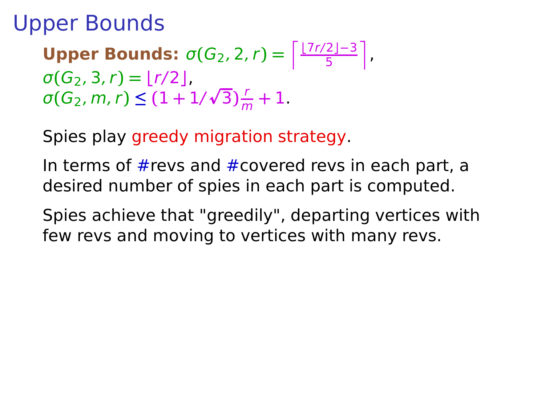**Upper Bounds:**  $\sigma(G_2, 2, r) = \left\lceil \frac{\lfloor 7r/2 \rfloor - 3}{5} \right\rceil$  $\sigma(G_2, 3, r) = |r/2|$  $\sigma(G_2, m, r) \leq (1 + 1/\sqrt{3})\frac{r}{n}$  $\frac{1}{m} + 1$ .

Spies play greedy migration strategy.

In terms of #revs and #covered revs in each part, a desired number of spies in each part is computed.

Spies achieve that "greedily", departing vertices with few revs and moving to vertices with many revs.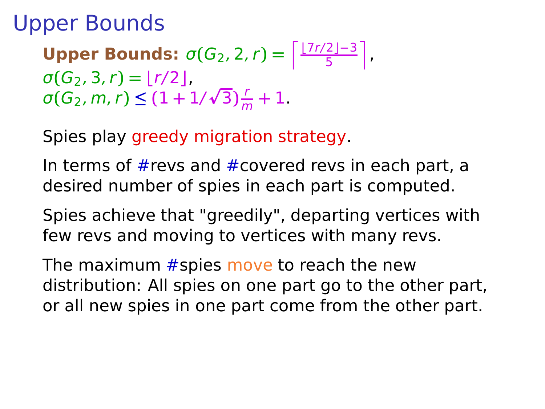**Upper Bounds:**  $\sigma(G_2, 2, r) = \left\lceil \frac{\lfloor 7r/2 \rfloor - 3}{5} \right\rceil$  $\sigma(G_2, 3, r) = |r/2|$  $\sigma(G_2, m, r) \leq (1 + 1/\sqrt{3})\frac{r}{n}$  $\frac{1}{m} + 1$ .

Spies play greedy migration strategy.

In terms of  $#rows$  and  $#covered$  revs in each part, a desired number of spies in each part is computed.

Spies achieve that "greedily", departing vertices with few revs and moving to vertices with many revs.

The maximum  $#$ spies move to reach the new distribution: All spies on one part go to the other part, or all new spies in one part come from the other part.